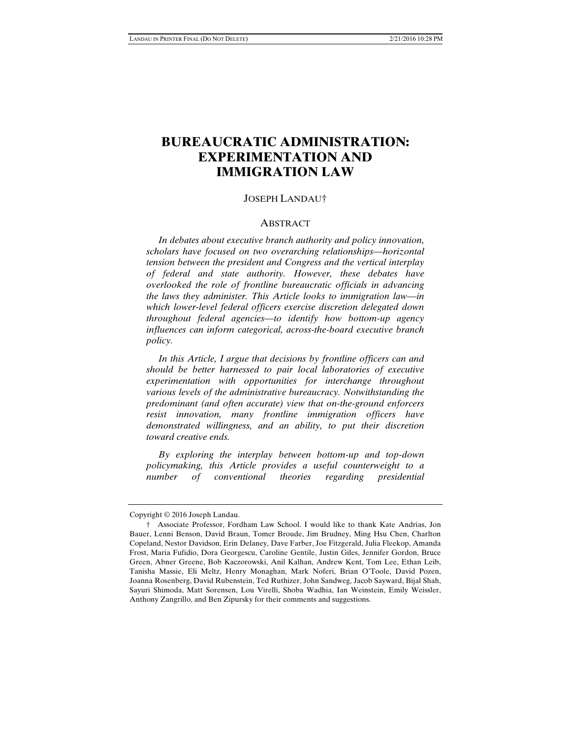# **BUREAUCRATIC ADMINISTRATION: EXPERIMENTATION AND IMMIGRATION LAW**

### JOSEPH LANDAU†

#### **ABSTRACT**

 *In debates about executive branch authority and policy innovation, scholars have focused on two overarching relationships—horizontal tension between the president and Congress and the vertical interplay of federal and state authority. However, these debates have overlooked the role of frontline bureaucratic officials in advancing the laws they administer. This Article looks to immigration law—in which lower-level federal officers exercise discretion delegated down throughout federal agencies—to identify how bottom-up agency influences can inform categorical, across-the-board executive branch policy.* 

 *In this Article, I argue that decisions by frontline officers can and should be better harnessed to pair local laboratories of executive experimentation with opportunities for interchange throughout various levels of the administrative bureaucracy. Notwithstanding the predominant (and often accurate) view that on-the-ground enforcers resist innovation, many frontline immigration officers have demonstrated willingness, and an ability, to put their discretion toward creative ends.* 

 *By exploring the interplay between bottom-up and top-down policymaking, this Article provides a useful counterweight to a number of conventional theories regarding presidential* 

Copyright © 2016 Joseph Landau.

 <sup>†</sup> Associate Professor, Fordham Law School. I would like to thank Kate Andrias, Jon Bauer, Lenni Benson, David Braun, Tomer Broude, Jim Brudney, Ming Hsu Chen, Charlton Copeland, Nestor Davidson, Erin Delaney, Dave Farber, Joe Fitzgerald, Julia Fleekop, Amanda Frost, Maria Fufidio, Dora Georgescu, Caroline Gentile, Justin Giles, Jennifer Gordon, Bruce Green, Abner Greene, Bob Kaczorowski, Anil Kalhan, Andrew Kent, Tom Lee, Ethan Leib, Tanisha Massie, Eli Meltz, Henry Monaghan, Mark Noferi, Brian O'Toole, David Pozen, Joanna Rosenberg, David Rubenstein, Ted Ruthizer, John Sandweg, Jacob Sayward, Bijal Shah, Sayuri Shimoda, Matt Sorensen, Lou Virelli, Shoba Wadhia, Ian Weinstein, Emily Weissler, Anthony Zangrillo, and Ben Zipursky for their comments and suggestions.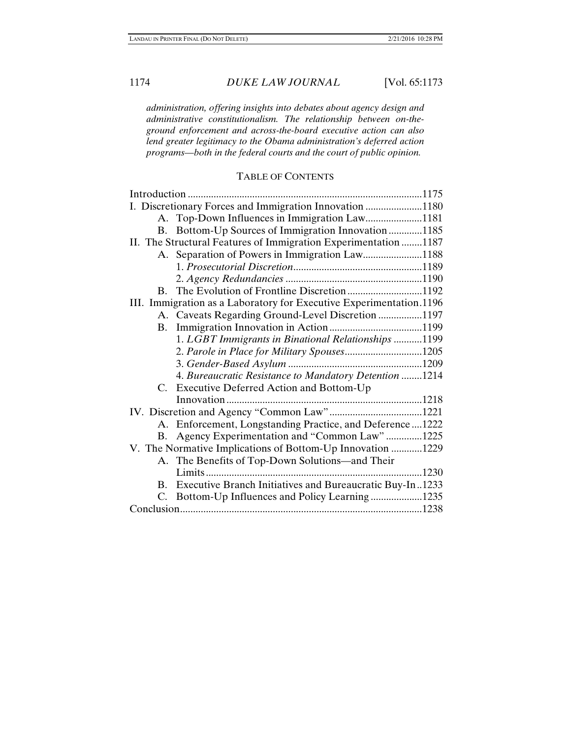*administration, offering insights into debates about agency design and administrative constitutionalism. The relationship between on-theground enforcement and across-the-board executive action can also lend greater legitimacy to the Obama administration's deferred action programs—both in the federal courts and the court of public opinion.* 

### TABLE OF CONTENTS

|                                                                     | I. Discretionary Forces and Immigration Innovation 1180     |      |
|---------------------------------------------------------------------|-------------------------------------------------------------|------|
|                                                                     | A. Top-Down Influences in Immigration Law1181               |      |
|                                                                     | B. Bottom-Up Sources of Immigration Innovation 1185         |      |
| II. The Structural Features of Immigration Experimentation 1187     |                                                             |      |
|                                                                     | A. Separation of Powers in Immigration Law1188              |      |
|                                                                     |                                                             |      |
|                                                                     |                                                             |      |
|                                                                     |                                                             |      |
| III. Immigration as a Laboratory for Executive Experimentation.1196 |                                                             |      |
|                                                                     | A. Caveats Regarding Ground-Level Discretion 1197           |      |
|                                                                     |                                                             |      |
|                                                                     | 1. LGBT Immigrants in Binational Relationships 1199         |      |
|                                                                     | 2. Parole in Place for Military Spouses1205                 |      |
|                                                                     |                                                             |      |
|                                                                     | 4. Bureaucratic Resistance to Mandatory Detention 1214      |      |
| $C_{\cdot}$                                                         | Executive Deferred Action and Bottom-Up                     |      |
|                                                                     |                                                             |      |
|                                                                     |                                                             |      |
|                                                                     | A. Enforcement, Longstanding Practice, and Deference  1222  |      |
|                                                                     | B. Agency Experimentation and "Common Law"1225              |      |
| V. The Normative Implications of Bottom-Up Innovation 1229          |                                                             |      |
|                                                                     | A. The Benefits of Top-Down Solutions—and Their             |      |
|                                                                     |                                                             | 1230 |
|                                                                     | B. Executive Branch Initiatives and Bureaucratic Buy-In1233 |      |
|                                                                     | C. Bottom-Up Influences and Policy Learning1235             |      |
|                                                                     |                                                             |      |
|                                                                     |                                                             |      |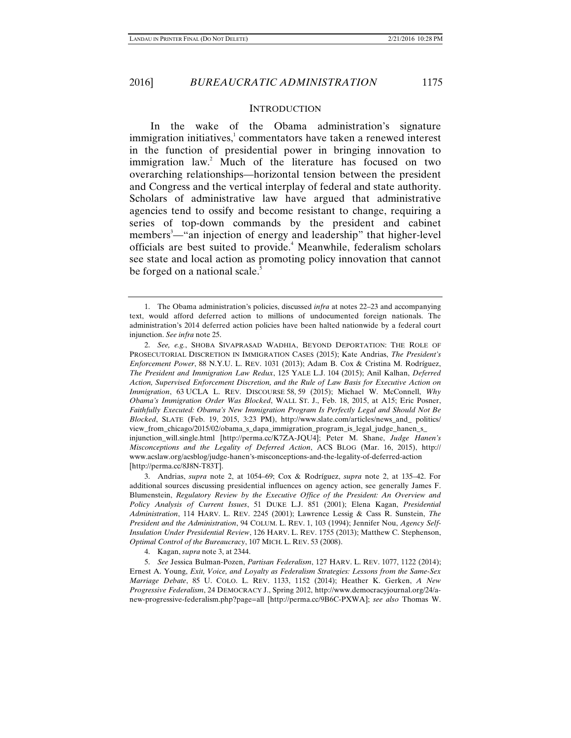#### **INTRODUCTION**

In the wake of the Obama administration's signature immigration initiatives, $\frac{1}{2}$  commentators have taken a renewed interest in the function of presidential power in bringing innovation to immigration law.<sup>2</sup> Much of the literature has focused on two overarching relationships—horizontal tension between the president and Congress and the vertical interplay of federal and state authority. Scholars of administrative law have argued that administrative agencies tend to ossify and become resistant to change, requiring a series of top-down commands by the president and cabinet members<sup>3</sup>—"an injection of energy and leadership" that higher-level officials are best suited to provide.<sup>4</sup> Meanwhile, federalism scholars see state and local action as promoting policy innovation that cannot be forged on a national scale.<sup>5</sup>

4. Kagan, *supra* note 3, at 2344.

 5. *See* Jessica Bulman-Pozen, *Partisan Federalism*, 127 HARV. L. REV. 1077, 1122 (2014); Ernest A. Young, *Exit, Voice, and Loyalty as Federalism Strategies: Lessons from the Same-Sex Marriage Debate*, 85 U. COLO. L. REV. 1133, 1152 (2014); Heather K. Gerken, *A New Progressive Federalism*, 24 DEMOCRACY J., Spring 2012, http://www.democracyjournal.org/24/anew-progressive-federalism.php?page=all [http://perma.cc/9B6C-PXWA]; *see also* Thomas W.

 <sup>1.</sup> The Obama administration's policies, discussed *infra* at notes 22–23 and accompanying text, would afford deferred action to millions of undocumented foreign nationals. The administration's 2014 deferred action policies have been halted nationwide by a federal court injunction. *See infra* note 25.

 <sup>2.</sup> *See, e.g.*, SHOBA SIVAPRASAD WADHIA, BEYOND DEPORTATION: THE ROLE OF PROSECUTORIAL DISCRETION IN IMMIGRATION CASES (2015); Kate Andrias, *The President's Enforcement Power*, 88 N.Y.U. L. REV. 1031 (2013); Adam B. Cox & Cristina M. Rodríguez, *The President and Immigration Law Redux*, 125 YALE L.J. 104 (2015); Anil Kalhan, *Deferred Action, Supervised Enforcement Discretion, and the Rule of Law Basis for Executive Action on Immigration*, 63 UCLA L. REV. DISCOURSE 58, 59 (2015); Michael W. McConnell, *Why Obama's Immigration Order Was Blocked*, WALL ST. J., Feb. 18, 2015, at A15; Eric Posner, *Faithfully Executed: Obama's New Immigration Program Is Perfectly Legal and Should Not Be Blocked*, SLATE (Feb. 19, 2015, 3:23 PM), http://www.slate.com/articles/news\_and\_ politics/ view\_from\_chicago/2015/02/obama\_s\_dapa\_immigration\_program\_is\_legal\_judge\_hanen\_s\_ injunction\_will.single.html [http://perma.cc/K7ZA-JQU4]; Peter M. Shane, *Judge Hanen's Misconceptions and the Legality of Deferred Action*, ACS BLOG (Mar. 16, 2015), http:// www.acslaw.org/acsblog/judge-hanen's-misconceptions-and-the-legality-of-deferred-action [http://perma.cc/8J8N-T83T].

 <sup>3.</sup> Andrias, *supra* note 2, at 1054–69; Cox & Rodríguez, *supra* note 2, at 135–42. For additional sources discussing presidential influences on agency action, see generally James F. Blumenstein, *Regulatory Review by the Executive Office of the President: An Overview and Policy Analysis of Current Issues*, 51 DUKE L.J. 851 (2001); Elena Kagan, *Presidential Administration*, 114 HARV. L. REV. 2245 (2001); Lawrence Lessig & Cass R. Sunstein, *The President and the Administration*, 94 COLUM. L. REV. 1, 103 (1994); Jennifer Nou, *Agency Self-Insulation Under Presidential Review*, 126 HARV. L. REV. 1755 (2013); Matthew C. Stephenson, *Optimal Control of the Bureaucracy*, 107 MICH. L. REV. 53 (2008).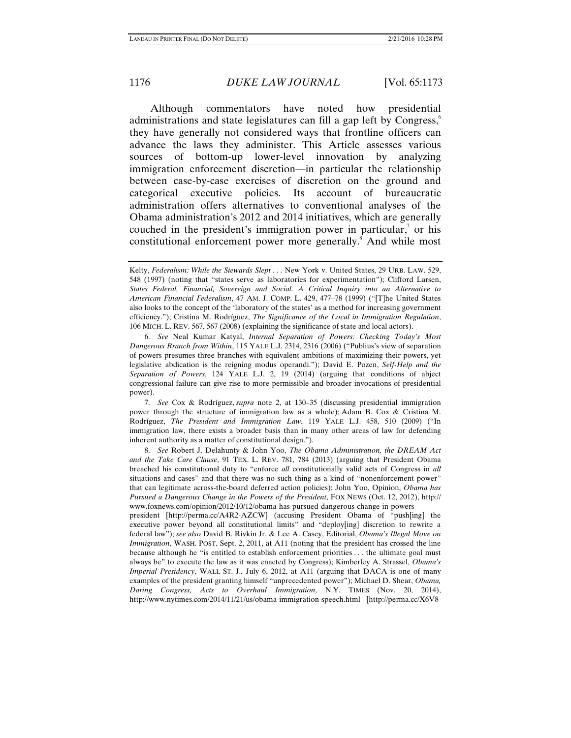Although commentators have noted how presidential administrations and state legislatures can fill a gap left by Congress,<sup>6</sup> they have generally not considered ways that frontline officers can advance the laws they administer. This Article assesses various sources of bottom-up lower-level innovation by analyzing immigration enforcement discretion—in particular the relationship between case-by-case exercises of discretion on the ground and categorical executive policies. Its account of bureaucratic administration offers alternatives to conventional analyses of the Obama administration's 2012 and 2014 initiatives, which are generally couched in the president's immigration power in particular, $\alpha$  or his constitutional enforcement power more generally.<sup>8</sup> And while most

 6. *See* Neal Kumar Katyal, *Internal Separation of Powers: Checking Today's Most Dangerous Branch from Within*, 115 YALE L.J. 2314, 2316 (2006) ("Publius's view of separation of powers presumes three branches with equivalent ambitions of maximizing their powers, yet legislative abdication is the reigning modus operandi."); David E. Pozen, *Self-Help and the Separation of Powers*, 124 YALE L.J. 2, 19 (2014) (arguing that conditions of abject congressional failure can give rise to more permissible and broader invocations of presidential power).

 7. *See* Cox & Rodríguez, *supra* note 2, at 130–35 (discussing presidential immigration power through the structure of immigration law as a whole); Adam B. Cox & Cristina M. Rodríguez, *The President and Immigration Law*, 119 YALE L.J. 458, 510 (2009) ("In immigration law, there exists a broader basis than in many other areas of law for defending inherent authority as a matter of constitutional design.").

 8. *See* Robert J. Delahunty & John Yoo, *The Obama Administration, the DREAM Act and the Take Care Clause*, 91 TEX. L. REV. 781, 784 (2013) (arguing that President Obama breached his constitutional duty to "enforce *all* constitutionally valid acts of Congress in *all*  situations and cases" and that there was no such thing as a kind of "nonenforcement power" that can legitimate across-the-board deferred action policies); John Yoo, Opinion, *Obama has Pursued a Dangerous Change in the Powers of the President*, FOX NEWS (Oct. 12, 2012), http:// www.foxnews.com/opinion/2012/10/12/obama-has-pursued-dangerous-change-in-powers-

president [http://perma.cc/A4R2-AZCW] (accusing President Obama of "push[ing] the executive power beyond all constitutional limits" and "deploy[ing] discretion to rewrite a federal law"); *see also* David B. Rivkin Jr. & Lee A. Casey, Editorial, *Obama's Illegal Move on Immigration*, WASH. POST, Sept. 2, 2011, at A11 (noting that the president has crossed the line because although he "is entitled to establish enforcement priorities . . . the ultimate goal must always be" to execute the law as it was enacted by Congress); Kimberley A. Strassel, *Obama's Imperial Presidency*, WALL ST. J., July 6, 2012, at A11 (arguing that DACA is one of many examples of the president granting himself "unprecedented power"); Michael D. Shear, *Obama, Daring Congress, Acts to Overhaul Immigration*, N.Y. TIMES (Nov. 20, 2014), http://www.nytimes.com/2014/11/21/us/obama-immigration-speech.html [http://perma.cc/X6V8-

Kelty, *Federalism: While the Stewards Slept ...* New York v. United States, 29 URB. LAW. 529, 548 (1997) (noting that "states serve as laboratories for experimentation"); Clifford Larsen, *States Federal, Financial, Sovereign and Social. A Critical Inquiry into an Alternative to American Financial Federalism*, 47 AM. J. COMP. L. 429, 477–78 (1999) ("[T]he United States also looks to the concept of the 'laboratory of the states' as a method for increasing government efficiency."); Cristina M. Rodríguez, *The Significance of the Local in Immigration Regulation*, 106 MICH. L. REV. 567, 567 (2008) (explaining the significance of state and local actors).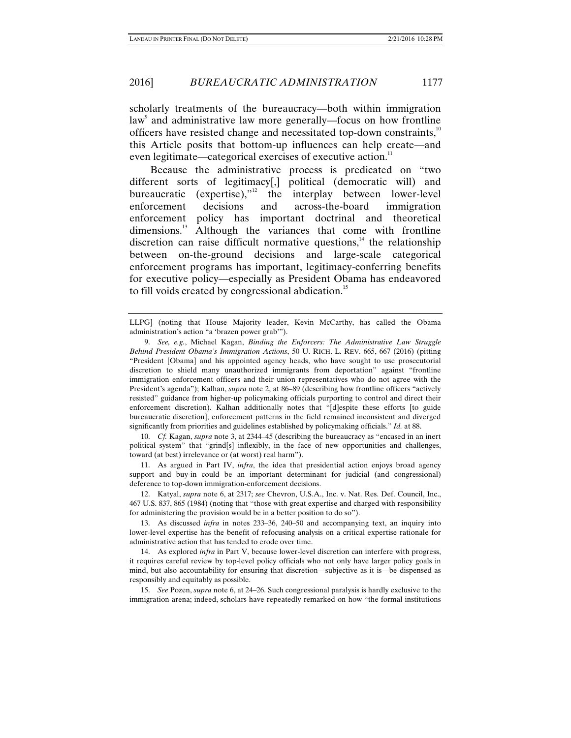### 2016] *BUREAUCRATIC ADMINISTRATION* 1177

scholarly treatments of the bureaucracy—both within immigration law<sup>9</sup> and administrative law more generally—focus on how frontline officers have resisted change and necessitated top-down constraints,<sup>10</sup> this Article posits that bottom-up influences can help create—and even legitimate—categorical exercises of executive action. $11$ 

Because the administrative process is predicated on "two different sorts of legitimacy[,] political (democratic will) and bureaucratic (expertise), $n<sup>12</sup>$  the interplay between lower-level enforcement decisions and across-the-board immigration enforcement policy has important doctrinal and theoretical dimensions.<sup>13</sup> Although the variances that come with frontline discretion can raise difficult normative questions, $14$  the relationship between on-the-ground decisions and large-scale categorical enforcement programs has important, legitimacy-conferring benefits for executive policy—especially as President Obama has endeavored to fill voids created by congressional abdication.<sup>15</sup>

 10. *Cf.* Kagan, *supra* note 3, at 2344–45 (describing the bureaucracy as "encased in an inert political system" that "grind[s] inflexibly, in the face of new opportunities and challenges, toward (at best) irrelevance or (at worst) real harm").

 11. As argued in Part IV, *infra*, the idea that presidential action enjoys broad agency support and buy-in could be an important determinant for judicial (and congressional) deference to top-down immigration-enforcement decisions.

 12. Katyal, *supra* note 6, at 2317; *see* Chevron, U.S.A., Inc. v. Nat. Res. Def. Council, Inc., 467 U.S. 837, 865 (1984) (noting that "those with great expertise and charged with responsibility for administering the provision would be in a better position to do so").

 13. As discussed *infra* in notes 233–36, 240–50 and accompanying text, an inquiry into lower-level expertise has the benefit of refocusing analysis on a critical expertise rationale for administrative action that has tended to erode over time.

 14. As explored *infra* in Part V, because lower-level discretion can interfere with progress, it requires careful review by top-level policy officials who not only have larger policy goals in mind, but also accountability for ensuring that discretion—subjective as it is—be dispensed as responsibly and equitably as possible.

 15. *See* Pozen, *supra* note 6, at 24–26. Such congressional paralysis is hardly exclusive to the immigration arena; indeed, scholars have repeatedly remarked on how "the formal institutions

LLPG] (noting that House Majority leader, Kevin McCarthy, has called the Obama administration's action "a 'brazen power grab'").

 <sup>9.</sup> *See, e.g.*, Michael Kagan, *Binding the Enforcers: The Administrative Law Struggle Behind President Obama's Immigration Actions*, 50 U. RICH. L. REV. 665, 667 (2016) (pitting "President [Obama] and his appointed agency heads, who have sought to use prosecutorial discretion to shield many unauthorized immigrants from deportation" against "frontline immigration enforcement officers and their union representatives who do not agree with the President's agenda"); Kalhan, *supra* note 2, at 86–89 (describing how frontline officers "actively resisted" guidance from higher-up policymaking officials purporting to control and direct their enforcement discretion). Kalhan additionally notes that "[d]espite these efforts [to guide bureaucratic discretion], enforcement patterns in the field remained inconsistent and diverged significantly from priorities and guidelines established by policymaking officials." *Id.* at 88.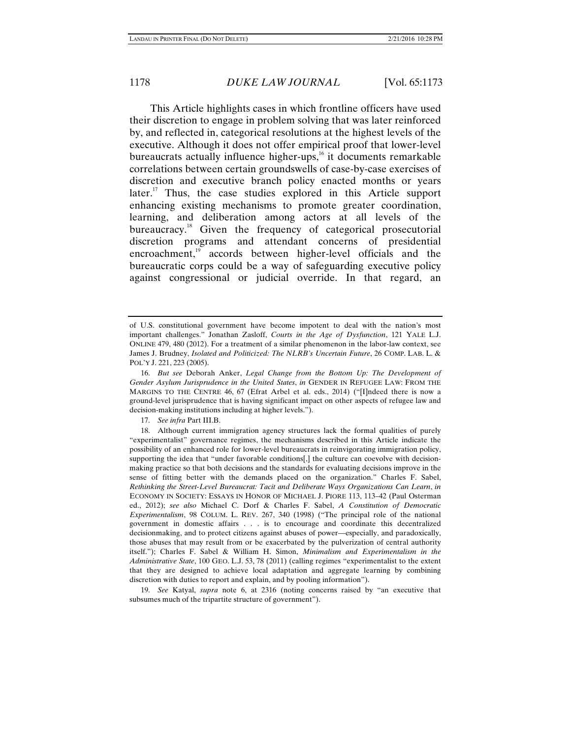This Article highlights cases in which frontline officers have used their discretion to engage in problem solving that was later reinforced by, and reflected in, categorical resolutions at the highest levels of the executive. Although it does not offer empirical proof that lower-level bureaucrats actually influence higher-ups, $16$  it documents remarkable correlations between certain groundswells of case-by-case exercises of discretion and executive branch policy enacted months or years later.<sup>17</sup> Thus, the case studies explored in this Article support enhancing existing mechanisms to promote greater coordination, learning, and deliberation among actors at all levels of the bureaucracy.<sup>18</sup> Given the frequency of categorical prosecutorial discretion programs and attendant concerns of presidential encroachment,<sup>19</sup> accords between higher-level officials and the bureaucratic corps could be a way of safeguarding executive policy against congressional or judicial override. In that regard, an

17. *See infra* Part III.B.

 19. *See* Katyal, *supra* note 6, at 2316 (noting concerns raised by "an executive that subsumes much of the tripartite structure of government").

of U.S. constitutional government have become impotent to deal with the nation's most important challenges." Jonathan Zasloff, *Courts in the Age of Dysfunction*, 121 YALE L.J. ONLINE 479, 480 (2012). For a treatment of a similar phenomenon in the labor-law context, see James J. Brudney, *Isolated and Politicized: The NLRB's Uncertain Future*, 26 COMP. LAB. L. & POL'Y J. 221, 223 (2005).

 <sup>16.</sup> *But see* Deborah Anker, *Legal Change from the Bottom Up: The Development of Gender Asylum Jurisprudence in the United States*, *in* GENDER IN REFUGEE LAW: FROM THE MARGINS TO THE CENTRE 46, 67 (Efrat Arbel et al. eds., 2014) ("[I]ndeed there is now a ground-level jurisprudence that is having significant impact on other aspects of refugee law and decision-making institutions including at higher levels.").

 <sup>18.</sup> Although current immigration agency structures lack the formal qualities of purely "experimentalist" governance regimes, the mechanisms described in this Article indicate the possibility of an enhanced role for lower-level bureaucrats in reinvigorating immigration policy, supporting the idea that "under favorable conditions[,] the culture can coevolve with decisionmaking practice so that both decisions and the standards for evaluating decisions improve in the sense of fitting better with the demands placed on the organization." Charles F. Sabel, *Rethinking the Street-Level Bureaucrat: Tacit and Deliberate Ways Organizations Can Learn*, *in* ECONOMY IN SOCIETY: ESSAYS IN HONOR OF MICHAEL J. PIORE 113, 113–42 (Paul Osterman ed., 2012); *see also* Michael C. Dorf & Charles F. Sabel, *A Constitution of Democratic Experimentalism*, 98 COLUM. L. REV. 267, 340 (1998) ("The principal role of the national government in domestic affairs . . . is to encourage and coordinate this decentralized decisionmaking, and to protect citizens against abuses of power—especially, and paradoxically, those abuses that may result from or be exacerbated by the pulverization of central authority itself."); Charles F. Sabel & William H. Simon, *Minimalism and Experimentalism in the Administrative State*, 100 GEO. L.J. 53, 78 (2011) (calling regimes "experimentalist to the extent that they are designed to achieve local adaptation and aggregate learning by combining discretion with duties to report and explain, and by pooling information").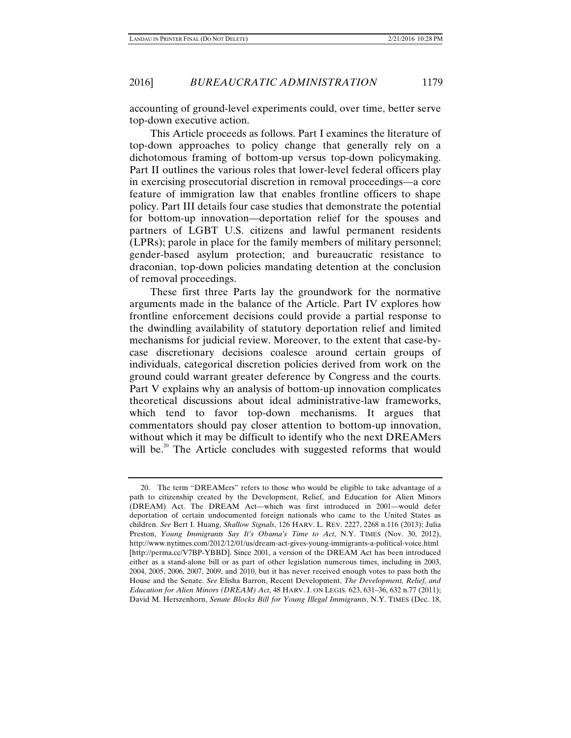accounting of ground-level experiments could, over time, better serve top-down executive action.

This Article proceeds as follows. Part I examines the literature of top-down approaches to policy change that generally rely on a dichotomous framing of bottom-up versus top-down policymaking. Part II outlines the various roles that lower-level federal officers play in exercising prosecutorial discretion in removal proceedings—a core feature of immigration law that enables frontline officers to shape policy. Part III details four case studies that demonstrate the potential for bottom-up innovation—deportation relief for the spouses and partners of LGBT U.S. citizens and lawful permanent residents (LPRs); parole in place for the family members of military personnel; gender-based asylum protection; and bureaucratic resistance to draconian, top-down policies mandating detention at the conclusion of removal proceedings.

These first three Parts lay the groundwork for the normative arguments made in the balance of the Article. Part IV explores how frontline enforcement decisions could provide a partial response to the dwindling availability of statutory deportation relief and limited mechanisms for judicial review. Moreover, to the extent that case-bycase discretionary decisions coalesce around certain groups of individuals, categorical discretion policies derived from work on the ground could warrant greater deference by Congress and the courts. Part V explains why an analysis of bottom-up innovation complicates theoretical discussions about ideal administrative-law frameworks, which tend to favor top-down mechanisms. It argues that commentators should pay closer attention to bottom-up innovation, without which it may be difficult to identify who the next DREAMers will be.<sup>20</sup> The Article concludes with suggested reforms that would

 <sup>20.</sup> The term "DREAMers" refers to those who would be eligible to take advantage of a path to citizenship created by the Development, Relief, and Education for Alien Minors (DREAM) Act. The DREAM Act—which was first introduced in 2001—would defer deportation of certain undocumented foreign nationals who came to the United States as children. *See* Bert I. Huang, *Shallow Signals*, 126 HARV. L. REV. 2227, 2268 n.116 (2013); Julia Preston, *Young Immigrants Say It's Obama's Time to Act*, N.Y. TIMES (Nov. 30, 2012), http://www.nytimes.com/2012/12/01/us/dream-act-gives-young-immigrants-a-political-voice.html [http://perma.cc/V7BP-YBBD]. Since 2001, a version of the DREAM Act has been introduced either as a stand-alone bill or as part of other legislation numerous times, including in 2003, 2004, 2005, 2006, 2007, 2009, and 2010, but it has never received enough votes to pass both the House and the Senate. *See* Elisha Barron, Recent Development, *The Development, Relief, and Education for Alien Minors (DREAM) Act*, 48 HARV. J. ON LEGIS. 623, 631–36, 632 n.77 (2011); David M. Herszenhorn, *Senate Blocks Bill for Young Illegal Immigrants*, N.Y. TIMES (Dec. 18,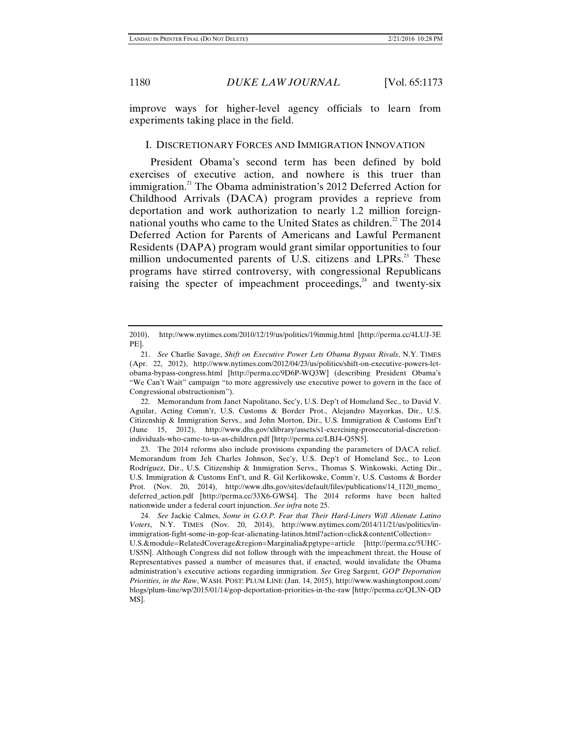improve ways for higher-level agency officials to learn from experiments taking place in the field.

### I. DISCRETIONARY FORCES AND IMMIGRATION INNOVATION

President Obama's second term has been defined by bold exercises of executive action, and nowhere is this truer than immigration.<sup>21</sup> The Obama administration's 2012 Deferred Action for Childhood Arrivals (DACA) program provides a reprieve from deportation and work authorization to nearly 1.2 million foreignnational youths who came to the United States as children. $^{22}$  The 2014 Deferred Action for Parents of Americans and Lawful Permanent Residents (DAPA) program would grant similar opportunities to four million undocumented parents of U.S. citizens and LPRs.<sup>23</sup> These programs have stirred controversy, with congressional Republicans raising the specter of impeachment proceedings, $24$  and twenty-six

 23. The 2014 reforms also include provisions expanding the parameters of DACA relief. Memorandum from Jeh Charles Johnson, Sec'y, U.S. Dep't of Homeland Sec., to Leon Rodríguez, Dir., U.S. Citizenship & Immigration Servs., Thomas S. Winkowski, Acting Dir., U.S. Immigration & Customs Enf't, and R. Gil Kerlikowske, Comm'r, U.S. Customs & Border Prot. (Nov. 20, 2014), http://www.dhs.gov/sites/default/files/publications/14\_1120\_memo\_ deferred\_action.pdf [http://perma.cc/33X6-GWS4]. The 2014 reforms have been halted nationwide under a federal court injunction. *See infra* note 25.

 24. *See* Jackie Calmes, *Some in G.O.P. Fear that Their Hard-Liners Will Alienate Latino Voters*, N.Y. TIMES (Nov. 20, 2014), http://www.nytimes.com/2014/11/21/us/politics/inimmigration-fight-some-in-gop-fear-alienating-latinos.html?action=click&contentCollection= U.S.&module=RelatedCoverage&region=Marginalia&pgtype=article [http://perma.cc/5UHC-US5N]. Although Congress did not follow through with the impeachment threat, the House of Representatives passed a number of measures that, if enacted, would invalidate the Obama administration's executive actions regarding immigration. *See* Greg Sargent, *GOP Deportation Priorities, in the Raw*, WASH. POST: PLUM LINE (Jan. 14, 2015), http://www.washingtonpost.com/ blogs/plum-line/wp/2015/01/14/gop-deportation-priorities-in-the-raw [http://perma.cc/QL3N-QD MS].

<sup>2010),</sup> http://www.nytimes.com/2010/12/19/us/politics/19immig.html [http://perma.cc/4LUJ-3E PE].

 <sup>21.</sup> *See* Charlie Savage, *Shift on Executive Power Lets Obama Bypass Rivals*, N.Y. TIMES (Apr. 22, 2012), http://www.nytimes.com/2012/04/23/us/politics/shift-on-executive-powers-letobama-bypass-congress.html [http://perma.cc/9D6P-WQ3W] (describing President Obama's "We Can't Wait" campaign "to more aggressively use executive power to govern in the face of Congressional obstructionism").

 <sup>22.</sup> Memorandum from Janet Napolitano, Sec'y, U.S. Dep't of Homeland Sec., to David V. Aguilar, Acting Comm'r, U.S. Customs & Border Prot., Alejandro Mayorkas, Dir., U.S. Citizenship & Immigration Servs., and John Morton, Dir., U.S. Immigration & Customs Enf't (June 15, 2012), http://www.dhs.gov/xlibrary/assets/s1-exercising-prosecutorial-discretionindividuals-who-came-to-us-as-children.pdf [http://perma.cc/LBJ4-Q5N5].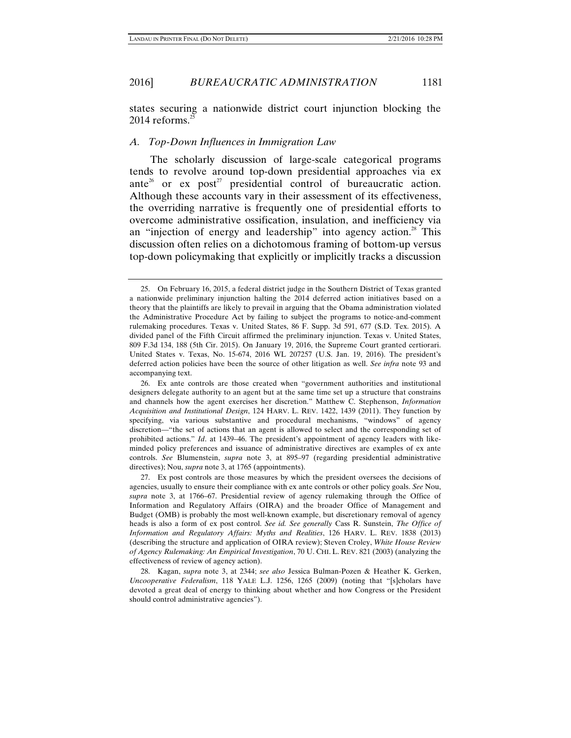states securing a nationwide district court injunction blocking the 2014 reforms. $25$ 

#### *A. Top-Down Influences in Immigration Law*

The scholarly discussion of large-scale categorical programs tends to revolve around top-down presidential approaches via ex ante<sup>26</sup> or ex post<sup>27</sup> presidential control of bureaucratic action. Although these accounts vary in their assessment of its effectiveness, the overriding narrative is frequently one of presidential efforts to overcome administrative ossification, insulation, and inefficiency via an "injection of energy and leadership" into agency action.<sup>28</sup> This discussion often relies on a dichotomous framing of bottom-up versus top-down policymaking that explicitly or implicitly tracks a discussion

 <sup>25.</sup> On February 16, 2015, a federal district judge in the Southern District of Texas granted a nationwide preliminary injunction halting the 2014 deferred action initiatives based on a theory that the plaintiffs are likely to prevail in arguing that the Obama administration violated the Administrative Procedure Act by failing to subject the programs to notice-and-comment rulemaking procedures. Texas v. United States, 86 F. Supp. 3d 591, 677 (S.D. Tex. 2015). A divided panel of the Fifth Circuit affirmed the preliminary injunction. Texas v. United States, 809 F.3d 134, 188 (5th Cir. 2015). On January 19, 2016, the Supreme Court granted certiorari. United States v. Texas, No. 15-674, 2016 WL 207257 (U.S. Jan. 19, 2016). The president's deferred action policies have been the source of other litigation as well. *See infra* note 93 and accompanying text.

 <sup>26.</sup> Ex ante controls are those created when "government authorities and institutional designers delegate authority to an agent but at the same time set up a structure that constrains and channels how the agent exercises her discretion." Matthew C. Stephenson, *Information Acquisition and Institutional Design*, 124 HARV. L. REV. 1422, 1439 (2011). They function by specifying, via various substantive and procedural mechanisms, "windows" of agency discretion—"the set of actions that an agent is allowed to select and the corresponding set of prohibited actions." *Id*. at 1439–46. The president's appointment of agency leaders with likeminded policy preferences and issuance of administrative directives are examples of ex ante controls. *See* Blumenstein, *supra* note 3, at 895–97 (regarding presidential administrative directives); Nou, *supra* note 3, at 1765 (appointments).

 <sup>27.</sup> Ex post controls are those measures by which the president oversees the decisions of agencies, usually to ensure their compliance with ex ante controls or other policy goals. *See* Nou, *supra* note 3, at 1766–67. Presidential review of agency rulemaking through the Office of Information and Regulatory Affairs (OIRA) and the broader Office of Management and Budget (OMB) is probably the most well-known example, but discretionary removal of agency heads is also a form of ex post control. *See id. See generally* Cass R. Sunstein, *The Office of Information and Regulatory Affairs: Myths and Realities*, 126 HARV. L. REV. 1838 (2013) (describing the structure and application of OIRA review); Steven Croley, *White House Review of Agency Rulemaking: An Empirical Investigation*, 70 U. CHI. L. REV. 821 (2003) (analyzing the effectiveness of review of agency action).

 <sup>28.</sup> Kagan, *supra* note 3, at 2344; *see also* Jessica Bulman-Pozen & Heather K. Gerken, *Uncooperative Federalism*, 118 YALE L.J. 1256, 1265 (2009) (noting that "[s]cholars have devoted a great deal of energy to thinking about whether and how Congress or the President should control administrative agencies").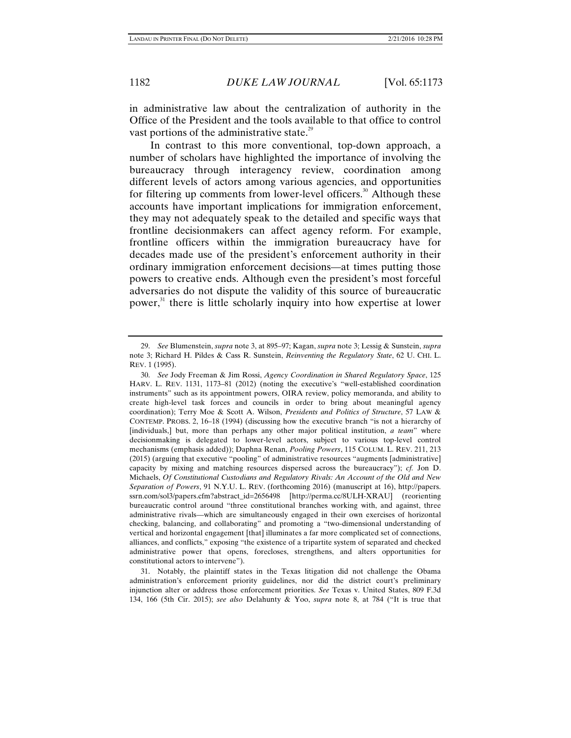in administrative law about the centralization of authority in the Office of the President and the tools available to that office to control vast portions of the administrative state. $^{29}$ 

In contrast to this more conventional, top-down approach, a number of scholars have highlighted the importance of involving the bureaucracy through interagency review, coordination among different levels of actors among various agencies, and opportunities for filtering up comments from lower-level officers.<sup>30</sup> Although these accounts have important implications for immigration enforcement, they may not adequately speak to the detailed and specific ways that frontline decisionmakers can affect agency reform. For example, frontline officers within the immigration bureaucracy have for decades made use of the president's enforcement authority in their ordinary immigration enforcement decisions—at times putting those powers to creative ends. Although even the president's most forceful adversaries do not dispute the validity of this source of bureaucratic power,<sup>31</sup> there is little scholarly inquiry into how expertise at lower

 <sup>29.</sup> *See* Blumenstein, *supra* note 3, at 895–97; Kagan, *supra* note 3; Lessig & Sunstein, *supra*  note 3; Richard H. Pildes & Cass R. Sunstein, *Reinventing the Regulatory State*, 62 U. CHI. L. REV. 1 (1995).

 <sup>30.</sup> *See* Jody Freeman & Jim Rossi, *Agency Coordination in Shared Regulatory Space*, 125 HARV. L. REV. 1131, 1173–81 (2012) (noting the executive's "well-established coordination instruments" such as its appointment powers, OIRA review, policy memoranda, and ability to create high-level task forces and councils in order to bring about meaningful agency coordination); Terry Moe & Scott A. Wilson, *Presidents and Politics of Structure*, 57 LAW & CONTEMP. PROBS. 2, 16–18 (1994) (discussing how the executive branch "is not a hierarchy of [individuals,] but, more than perhaps any other major political institution, *a team*" where decisionmaking is delegated to lower-level actors, subject to various top-level control mechanisms (emphasis added)); Daphna Renan, *Pooling Powers*, 115 COLUM. L. REV. 211, 213 (2015) (arguing that executive "pooling" of administrative resources "augments [administrative] capacity by mixing and matching resources dispersed across the bureaucracy"); *cf.* Jon D. Michaels, *Of Constitutional Custodians and Regulatory Rivals: An Account of the Old and New Separation of Powers*, 91 N.Y.U. L. REV. (forthcoming 2016) (manuscript at 16), http://papers. ssrn.com/sol3/papers.cfm?abstract\_id=2656498 [http://perma.cc/8ULH-XRAU] (reorienting bureaucratic control around "three constitutional branches working with, and against, three administrative rivals—which are simultaneously engaged in their own exercises of horizontal checking, balancing, and collaborating" and promoting a "two-dimensional understanding of vertical and horizontal engagement [that] illuminates a far more complicated set of connections, alliances, and conflicts," exposing "the existence of a tripartite system of separated and checked administrative power that opens, forecloses, strengthens, and alters opportunities for constitutional actors to intervene").

 <sup>31.</sup> Notably, the plaintiff states in the Texas litigation did not challenge the Obama administration's enforcement priority guidelines, nor did the district court's preliminary injunction alter or address those enforcement priorities. *See* Texas v. United States, 809 F.3d 134, 166 (5th Cir. 2015); *see also* Delahunty & Yoo, *supra* note 8, at 784 ("It is true that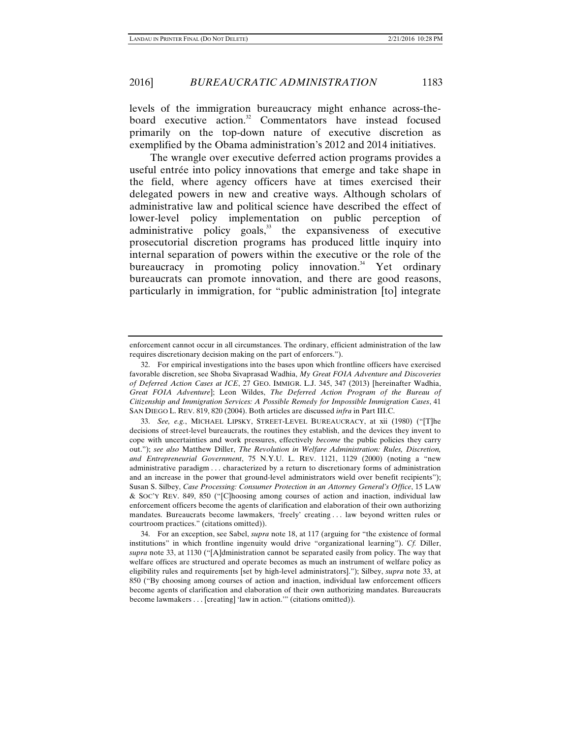levels of the immigration bureaucracy might enhance across-theboard executive action.<sup>32</sup> Commentators have instead focused primarily on the top-down nature of executive discretion as exemplified by the Obama administration's 2012 and 2014 initiatives.

The wrangle over executive deferred action programs provides a useful entrée into policy innovations that emerge and take shape in the field, where agency officers have at times exercised their delegated powers in new and creative ways. Although scholars of administrative law and political science have described the effect of lower-level policy implementation on public perception of administrative policy goals, $33$  the expansiveness of executive prosecutorial discretion programs has produced little inquiry into internal separation of powers within the executive or the role of the bureaucracy in promoting policy innovation. $34$  Yet ordinary bureaucrats can promote innovation, and there are good reasons, particularly in immigration, for "public administration [to] integrate

enforcement cannot occur in all circumstances. The ordinary, efficient administration of the law requires discretionary decision making on the part of enforcers.").

 <sup>32.</sup> For empirical investigations into the bases upon which frontline officers have exercised favorable discretion, see Shoba Sivaprasad Wadhia, *My Great FOIA Adventure and Discoveries of Deferred Action Cases at ICE*, 27 GEO. IMMIGR. L.J. 345, 347 (2013) [hereinafter Wadhia, *Great FOIA Adventure*]; Leon Wildes, *The Deferred Action Program of the Bureau of Citizenship and Immigration Services: A Possible Remedy for Impossible Immigration Cases*, 41 SAN DIEGO L. REV. 819, 820 (2004). Both articles are discussed *infra* in Part III.C.

 <sup>33.</sup> *See, e.g.*, MICHAEL LIPSKY, STREET-LEVEL BUREAUCRACY, at xii (1980) ("[T]he decisions of street-level bureaucrats, the routines they establish, and the devices they invent to cope with uncertainties and work pressures, effectively *become* the public policies they carry out."); *see also* Matthew Diller, *The Revolution in Welfare Administration: Rules, Discretion, and Entrepreneurial Government*, 75 N.Y.U. L. REV. 1121, 1129 (2000) (noting a "new administrative paradigm . . . characterized by a return to discretionary forms of administration and an increase in the power that ground-level administrators wield over benefit recipients"); Susan S. Silbey, *Case Processing: Consumer Protection in an Attorney General's Office*, 15 LAW & SOC'Y REV. 849, 850 ("[C]hoosing among courses of action and inaction, individual law enforcement officers become the agents of clarification and elaboration of their own authorizing mandates. Bureaucrats become lawmakers, 'freely' creating . . . law beyond written rules or courtroom practices." (citations omitted)).

 <sup>34.</sup> For an exception, see Sabel, *supra* note 18, at 117 (arguing for "the existence of formal institutions" in which frontline ingenuity would drive "organizational learning"). *Cf.* Diller, *supra* note 33, at 1130 ("[A]dministration cannot be separated easily from policy. The way that welfare offices are structured and operate becomes as much an instrument of welfare policy as eligibility rules and requirements [set by high-level administrators]."); Silbey, *supra* note 33, at 850 ("By choosing among courses of action and inaction, individual law enforcement officers become agents of clarification and elaboration of their own authorizing mandates. Bureaucrats become lawmakers . . . [creating] 'law in action.'" (citations omitted)).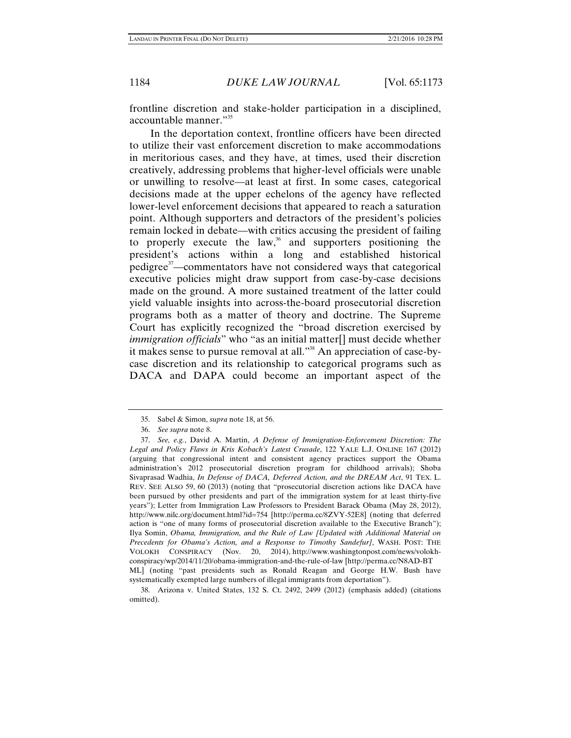frontline discretion and stake-holder participation in a disciplined, accountable manner."<sup>35</sup>

In the deportation context, frontline officers have been directed to utilize their vast enforcement discretion to make accommodations in meritorious cases, and they have, at times, used their discretion creatively, addressing problems that higher-level officials were unable or unwilling to resolve—at least at first. In some cases, categorical decisions made at the upper echelons of the agency have reflected lower-level enforcement decisions that appeared to reach a saturation point. Although supporters and detractors of the president's policies remain locked in debate—with critics accusing the president of failing to properly execute the law, $36$  and supporters positioning the president's actions within a long and established historical pedigree<sup>37</sup>—commentators have not considered ways that categorical executive policies might draw support from case-by-case decisions made on the ground. A more sustained treatment of the latter could yield valuable insights into across-the-board prosecutorial discretion programs both as a matter of theory and doctrine. The Supreme Court has explicitly recognized the "broad discretion exercised by *immigration officials*" who "as an initial matter[] must decide whether it makes sense to pursue removal at all."<sup>38</sup> An appreciation of case-bycase discretion and its relationship to categorical programs such as DACA and DAPA could become an important aspect of the

 <sup>35.</sup> Sabel & Simon, *supra* note 18, at 56.

 <sup>36.</sup> *See supra* note 8.

 <sup>37.</sup> *See, e.g.*, David A. Martin, *A Defense of Immigration-Enforcement Discretion: The Legal and Policy Flaws in Kris Kobach's Latest Crusade*, 122 YALE L.J. ONLINE 167 (2012) (arguing that congressional intent and consistent agency practices support the Obama administration's 2012 prosecutorial discretion program for childhood arrivals); Shoba Sivaprasad Wadhia, *In Defense of DACA, Deferred Action, and the DREAM Act*, 91 TEX. L. REV. SEE ALSO 59, 60 (2013) (noting that "prosecutorial discretion actions like DACA have been pursued by other presidents and part of the immigration system for at least thirty-five years"); Letter from Immigration Law Professors to President Barack Obama (May 28, 2012), http://www.nilc.org/document.html?id=754 [http://perma.cc/8ZVY-52E8] (noting that deferred action is "one of many forms of prosecutorial discretion available to the Executive Branch"); Ilya Somin, *Obama, Immigration, and the Rule of Law [Updated with Additional Material on Precedents for Obama's Action, and a Response to Timothy Sandefur]*, WASH. POST: THE VOLOKH CONSPIRACY (Nov. 20, 2014), http://www.washingtonpost.com/news/volokhconspiracy/wp/2014/11/20/obama-immigration-and-the-rule-of-law [http://perma.cc/N8AD-BT ML] (noting "past presidents such as Ronald Reagan and George H.W. Bush have systematically exempted large numbers of illegal immigrants from deportation").

 <sup>38.</sup> Arizona v. United States, 132 S. Ct. 2492, 2499 (2012) (emphasis added) (citations omitted).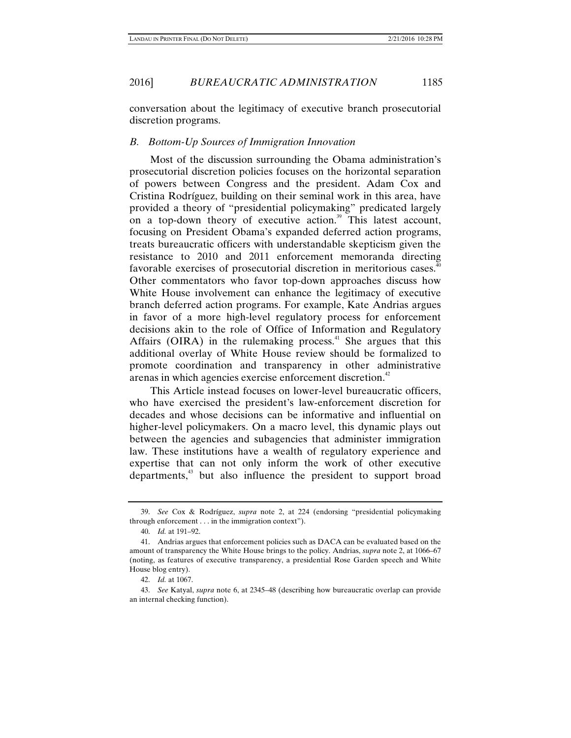conversation about the legitimacy of executive branch prosecutorial discretion programs.

### *B. Bottom-Up Sources of Immigration Innovation*

Most of the discussion surrounding the Obama administration's prosecutorial discretion policies focuses on the horizontal separation of powers between Congress and the president. Adam Cox and Cristina Rodríguez, building on their seminal work in this area, have provided a theory of "presidential policymaking" predicated largely on a top-down theory of executive action.<sup>39</sup> This latest account, focusing on President Obama's expanded deferred action programs, treats bureaucratic officers with understandable skepticism given the resistance to 2010 and 2011 enforcement memoranda directing favorable exercises of prosecutorial discretion in meritorious cases.<sup>40</sup> Other commentators who favor top-down approaches discuss how White House involvement can enhance the legitimacy of executive branch deferred action programs. For example, Kate Andrias argues in favor of a more high-level regulatory process for enforcement decisions akin to the role of Office of Information and Regulatory Affairs (OIRA) in the rulemaking process. $41$  She argues that this additional overlay of White House review should be formalized to promote coordination and transparency in other administrative arenas in which agencies exercise enforcement discretion.<sup>42</sup>

This Article instead focuses on lower-level bureaucratic officers, who have exercised the president's law-enforcement discretion for decades and whose decisions can be informative and influential on higher-level policymakers. On a macro level, this dynamic plays out between the agencies and subagencies that administer immigration law. These institutions have a wealth of regulatory experience and expertise that can not only inform the work of other executive departments,<sup>43</sup> but also influence the president to support broad

 <sup>39.</sup> *See* Cox & Rodríguez, *supra* note 2, at 224 (endorsing "presidential policymaking through enforcement . . . in the immigration context").

 <sup>40.</sup> *Id.* at 191–92.

 <sup>41.</sup> Andrias argues that enforcement policies such as DACA can be evaluated based on the amount of transparency the White House brings to the policy. Andrias, *supra* note 2, at 1066–67 (noting, as features of executive transparency, a presidential Rose Garden speech and White House blog entry).

 <sup>42.</sup> *Id.* at 1067.

 <sup>43.</sup> *See* Katyal, *supra* note 6, at 2345–48 (describing how bureaucratic overlap can provide an internal checking function).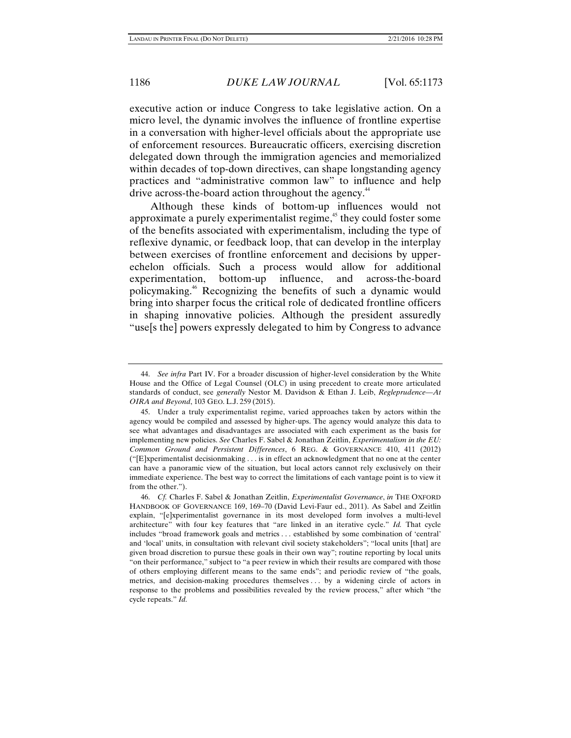executive action or induce Congress to take legislative action. On a micro level, the dynamic involves the influence of frontline expertise in a conversation with higher-level officials about the appropriate use of enforcement resources. Bureaucratic officers, exercising discretion delegated down through the immigration agencies and memorialized within decades of top-down directives, can shape longstanding agency practices and "administrative common law" to influence and help drive across-the-board action throughout the agency.<sup>44</sup>

Although these kinds of bottom-up influences would not approximate a purely experimentalist regime,<sup>45</sup> they could foster some of the benefits associated with experimentalism, including the type of reflexive dynamic, or feedback loop, that can develop in the interplay between exercises of frontline enforcement and decisions by upperechelon officials. Such a process would allow for additional experimentation, bottom-up influence, and across-the-board policymaking.46 Recognizing the benefits of such a dynamic would bring into sharper focus the critical role of dedicated frontline officers in shaping innovative policies. Although the president assuredly "use[s the] powers expressly delegated to him by Congress to advance

 <sup>44.</sup> *See infra* Part IV. For a broader discussion of higher-level consideration by the White House and the Office of Legal Counsel (OLC) in using precedent to create more articulated standards of conduct, see *generally* Nestor M. Davidson & Ethan J. Leib, *Regleprudence—At OIRA and Beyond*, 103 GEO. L.J. 259 (2015).

 <sup>45.</sup> Under a truly experimentalist regime, varied approaches taken by actors within the agency would be compiled and assessed by higher-ups. The agency would analyze this data to see what advantages and disadvantages are associated with each experiment as the basis for implementing new policies. *See* Charles F. Sabel & Jonathan Zeitlin, *Experimentalism in the EU: Common Ground and Persistent Differences*, 6 REG. & GOVERNANCE 410, 411 (2012) ("[E]xperimentalist decisionmaking . . . is in effect an acknowledgment that no one at the center can have a panoramic view of the situation, but local actors cannot rely exclusively on their immediate experience. The best way to correct the limitations of each vantage point is to view it from the other.").

 <sup>46.</sup> *Cf.* Charles F. Sabel & Jonathan Zeitlin, *Experimentalist Governance*, *in* THE OXFORD HANDBOOK OF GOVERNANCE 169, 169–70 (David Levi-Faur ed., 2011). As Sabel and Zeitlin explain, "[e]xperimentalist governance in its most developed form involves a multi-level architecture" with four key features that "are linked in an iterative cycle." *Id.* That cycle includes "broad framework goals and metrics . . . established by some combination of 'central' and 'local' units, in consultation with relevant civil society stakeholders"; "local units [that] are given broad discretion to pursue these goals in their own way"; routine reporting by local units "on their performance," subject to "a peer review in which their results are compared with those of others employing different means to the same ends"; and periodic review of "the goals, metrics, and decision-making procedures themselves . . . by a widening circle of actors in response to the problems and possibilities revealed by the review process," after which "the cycle repeats." *Id.*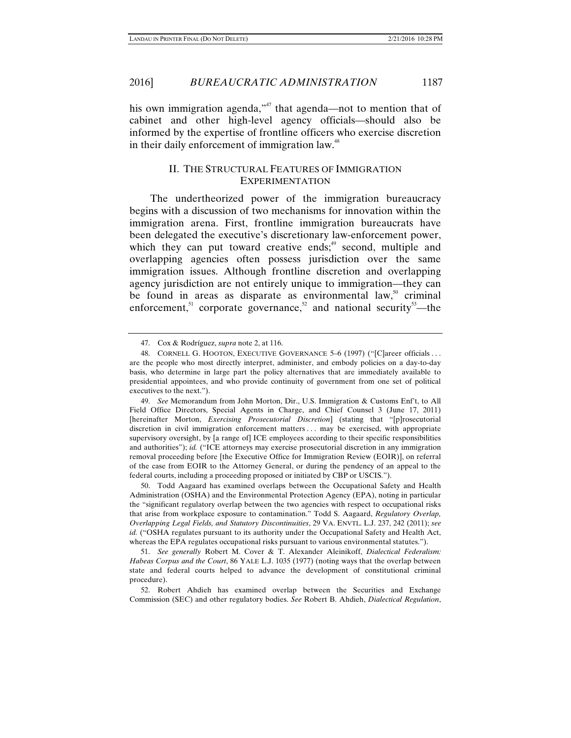2016] *BUREAUCRATIC ADMINISTRATION* 1187

his own immigration agenda,<sup>"47</sup> that agenda—not to mention that of cabinet and other high-level agency officials—should also be informed by the expertise of frontline officers who exercise discretion in their daily enforcement of immigration law.<sup>48</sup>

### II. THE STRUCTURAL FEATURES OF IMMIGRATION EXPERIMENTATION

The undertheorized power of the immigration bureaucracy begins with a discussion of two mechanisms for innovation within the immigration arena. First, frontline immigration bureaucrats have been delegated the executive's discretionary law-enforcement power, which they can put toward creative ends; $49$  second, multiple and overlapping agencies often possess jurisdiction over the same immigration issues. Although frontline discretion and overlapping agency jurisdiction are not entirely unique to immigration—they can be found in areas as disparate as environmental law, $\frac{50}{3}$  criminal enforcement,<sup>51</sup> corporate governance,<sup>52</sup> and national security<sup>53</sup>—the

 50. Todd Aagaard has examined overlaps between the Occupational Safety and Health Administration (OSHA) and the Environmental Protection Agency (EPA), noting in particular the "significant regulatory overlap between the two agencies with respect to occupational risks that arise from workplace exposure to contamination." Todd S. Aagaard, *Regulatory Overlap, Overlapping Legal Fields, and Statutory Discontinuities*, 29 VA. ENVTL. L.J. 237, 242 (2011); *see id.* ("OSHA regulates pursuant to its authority under the Occupational Safety and Health Act, whereas the EPA regulates occupational risks pursuant to various environmental statutes.").

 51. *See generally* Robert M. Cover & T. Alexander Aleinikoff, *Dialectical Federalism: Habeas Corpus and the Court*, 86 YALE L.J. 1035 (1977) (noting ways that the overlap between state and federal courts helped to advance the development of constitutional criminal procedure).

 52. Robert Ahdieh has examined overlap between the Securities and Exchange Commission (SEC) and other regulatory bodies. *See* Robert B. Ahdieh, *Dialectical Regulation*,

 <sup>47.</sup> Cox & Rodríguez, *supra* note 2, at 116.

 <sup>48.</sup> CORNELL G. HOOTON, EXECUTIVE GOVERNANCE 5–6 (1997) ("[C]areer officials . . . are the people who most directly interpret, administer, and embody policies on a day-to-day basis, who determine in large part the policy alternatives that are immediately available to presidential appointees, and who provide continuity of government from one set of political executives to the next.").

 <sup>49.</sup> *See* Memorandum from John Morton, Dir., U.S. Immigration & Customs Enf't, to All Field Office Directors, Special Agents in Charge, and Chief Counsel 3 (June 17, 2011) [hereinafter Morton, *Exercising Prosecutorial Discretion*] (stating that "[p]rosecutorial discretion in civil immigration enforcement matters . . . may be exercised, with appropriate supervisory oversight, by [a range of] ICE employees according to their specific responsibilities and authorities"); *id.* ("ICE attorneys may exercise prosecutorial discretion in any immigration removal proceeding before [the Executive Office for Immigration Review (EOIR)], on referral of the case from EOIR to the Attorney General, or during the pendency of an appeal to the federal courts, including a proceeding proposed or initiated by CBP or USCIS.").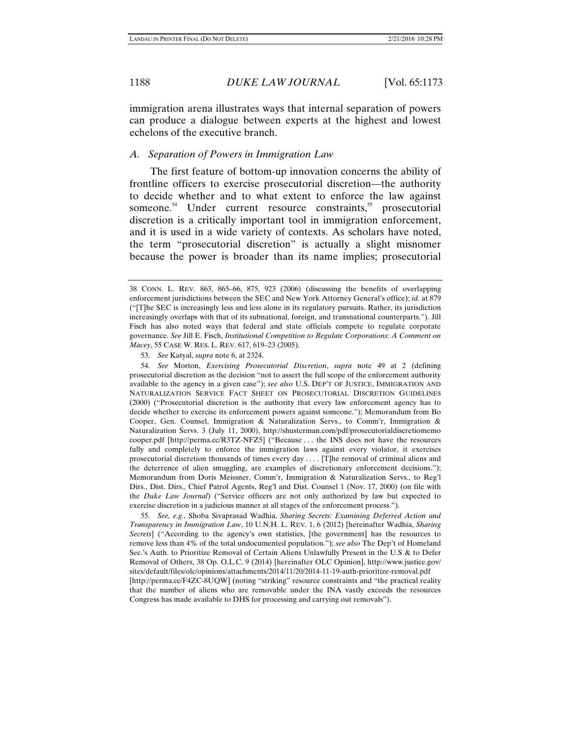immigration arena illustrates ways that internal separation of powers can produce a dialogue between experts at the highest and lowest echelons of the executive branch.

#### *A. Separation of Powers in Immigration Law*

The first feature of bottom-up innovation concerns the ability of frontline officers to exercise prosecutorial discretion—the authority to decide whether and to what extent to enforce the law against someone.<sup>54</sup> Under current resource constraints,<sup>55</sup> prosecutorial discretion is a critically important tool in immigration enforcement, and it is used in a wide variety of contexts. As scholars have noted, the term "prosecutorial discretion" is actually a slight misnomer because the power is broader than its name implies; prosecutorial

53. *See* Katyal, *supra* note 6, at 2324.

 54. *See* Morton, *Exercising Prosecutorial Discretion*, *supra* note 49 at 2 (defining prosecutorial discretion as the decision "not to assert the full scope of the enforcement authority available to the agency in a given case"); *see also* U.S. DEP'T OF JUSTICE, IMMIGRATION AND NATURALIZATION SERVICE FACT SHEET ON PROSECUTORIAL DISCRETION GUIDELINES (2000) ("Prosecutorial discretion is the authority that every law enforcement agency has to decide whether to exercise its enforcement powers against someone."); Memorandum from Bo Cooper, Gen. Counsel, Immigration & Naturalization Servs., to Comm'r, Immigration & Naturalization Servs. 3 (July 11, 2000), http://shusterman.com/pdf/prosecutorialdiscretiomemo cooper.pdf [http://perma.cc/R3TZ-NFZ5] ("Because . . . the INS does not have the resources fully and completely to enforce the immigration laws against every violator, it exercises prosecutorial discretion thousands of times every day . . . . [T]he removal of criminal aliens and the deterrence of alien smuggling, are examples of discretionary enforcement decisions."); Memorandum from Doris Meissner, Comm'r, Immigration & Naturalization Servs., to Reg'l Dirs., Dist. Dirs., Chief Patrol Agents, Reg'l and Dist. Counsel 1 (Nov. 17, 2000) (on file with the *Duke Law Journal*) ("Service officers are not only authorized by law but expected to exercise discretion in a judicious manner at all stages of the enforcement process.").

 55. *See, e.g.*, Shoba Sivaprasad Wadhia, *Sharing Secrets: Examining Deferred Action and Transparency in Immigration Law*, 10 U.N.H. L. REV. 1, 6 (2012) [hereinafter Wadhia, *Sharing Secrets*] ("According to the agency's own statistics, [the government] has the resources to remove less than 4% of the total undocumented population."); *see also* The Dep't of Homeland Sec.'s Auth. to Prioritize Removal of Certain Aliens Unlawfully Present in the U.S & to Defer Removal of Others, 38 Op. O.L.C. 9 (2014) [hereinafter OLC Opinion], http://www.justice.gov/ sites/default/files/olc/opinions/attachments/2014/11/20/2014-11-19-auth-prioritize-removal.pdf [http://perma.cc/F4ZC-8UQW] (noting "striking" resource constraints and "the practical reality that the number of aliens who are removable under the INA vastly exceeds the resources Congress has made available to DHS for processing and carrying out removals").

<sup>38</sup> CONN. L. REV. 863, 865–66, 875, 923 (2006) (discussing the benefits of overlapping enforcement jurisdictions between the SEC and New York Attorney General's office); *id.* at 879 ("[T]he SEC is increasingly less and less alone in its regulatory pursuits. Rather, its jurisdiction increasingly overlaps with that of its subnational, foreign, and transnational counterparts."). Jill Fisch has also noted ways that federal and state officials compete to regulate corporate governance. *See* Jill E. Fisch, *Institutional Competition to Regulate Corporations: A Comment on Macey*, 55 CASE W. RES. L. REV. 617, 619–23 (2005).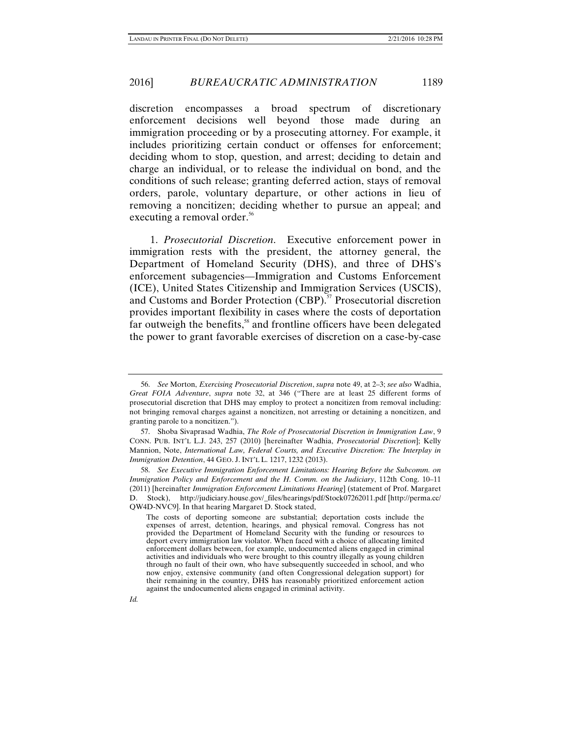### 2016] *BUREAUCRATIC ADMINISTRATION* 1189

discretion encompasses a broad spectrum of discretionary enforcement decisions well beyond those made during an immigration proceeding or by a prosecuting attorney. For example, it includes prioritizing certain conduct or offenses for enforcement; deciding whom to stop, question, and arrest; deciding to detain and charge an individual, or to release the individual on bond, and the conditions of such release; granting deferred action, stays of removal orders, parole, voluntary departure, or other actions in lieu of removing a noncitizen; deciding whether to pursue an appeal; and executing a removal order.<sup>56</sup>

1. *Prosecutorial Discretion*. Executive enforcement power in immigration rests with the president, the attorney general, the Department of Homeland Security (DHS), and three of DHS's enforcement subagencies—Immigration and Customs Enforcement (ICE), United States Citizenship and Immigration Services (USCIS), and Customs and Border Protection (CBP).<sup>57</sup> Prosecutorial discretion provides important flexibility in cases where the costs of deportation far outweigh the benefits,<sup>58</sup> and frontline officers have been delegated the power to grant favorable exercises of discretion on a case-by-case

*Id.*

 <sup>56.</sup> *See* Morton, *Exercising Prosecutorial Discretion*, *supra* note 49, at 2–3; *see also* Wadhia, *Great FOIA Adventure*, *supra* note 32, at 346 ("There are at least 25 different forms of prosecutorial discretion that DHS may employ to protect a noncitizen from removal including: not bringing removal charges against a noncitizen, not arresting or detaining a noncitizen, and granting parole to a noncitizen.").

 <sup>57.</sup> Shoba Sivaprasad Wadhia, *The Role of Prosecutorial Discretion in Immigration Law*, 9 CONN. PUB. INT'L L.J. 243, 257 (2010) [hereinafter Wadhia, *Prosecutorial Discretion*]; Kelly Mannion, Note, *International Law, Federal Courts, and Executive Discretion: The Interplay in Immigration Detention*, 44 GEO. J. INT'L L. 1217, 1232 (2013).

 <sup>58.</sup> *See Executive Immigration Enforcement Limitations: Hearing Before the Subcomm. on Immigration Policy and Enforcement and the H. Comm. on the Judiciary*, 112th Cong. 10–11 (2011) [hereinafter *Immigration Enforcement Limitations Hearing*] (statement of Prof. Margaret D. Stock), http://judiciary.house.gov/\_files/hearings/pdf/Stock07262011.pdf [http://perma.cc/ QW4D-NVC9]. In that hearing Margaret D. Stock stated,

The costs of deporting someone are substantial; deportation costs include the expenses of arrest, detention, hearings, and physical removal. Congress has not provided the Department of Homeland Security with the funding or resources to deport every immigration law violator. When faced with a choice of allocating limited enforcement dollars between, for example, undocumented aliens engaged in criminal activities and individuals who were brought to this country illegally as young children through no fault of their own, who have subsequently succeeded in school, and who now enjoy, extensive community (and often Congressional delegation support) for their remaining in the country, DHS has reasonably prioritized enforcement action against the undocumented aliens engaged in criminal activity.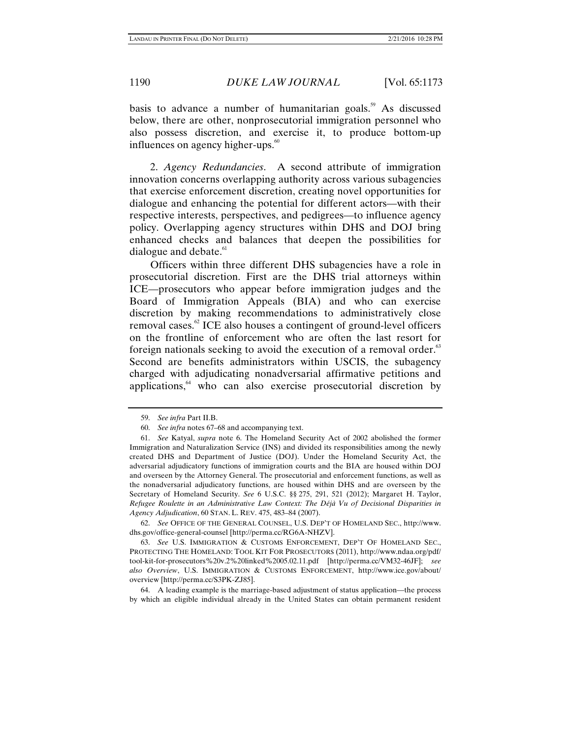basis to advance a number of humanitarian goals.<sup>59</sup> As discussed below, there are other, nonprosecutorial immigration personnel who also possess discretion, and exercise it, to produce bottom-up influences on agency higher-ups.<sup>60</sup>

2. *Agency Redundancies*. A second attribute of immigration innovation concerns overlapping authority across various subagencies that exercise enforcement discretion, creating novel opportunities for dialogue and enhancing the potential for different actors—with their respective interests, perspectives, and pedigrees—to influence agency policy. Overlapping agency structures within DHS and DOJ bring enhanced checks and balances that deepen the possibilities for dialogue and debate. $61$ 

Officers within three different DHS subagencies have a role in prosecutorial discretion. First are the DHS trial attorneys within ICE—prosecutors who appear before immigration judges and the Board of Immigration Appeals (BIA) and who can exercise discretion by making recommendations to administratively close removal cases. $\degree$  ICE also houses a contingent of ground-level officers on the frontline of enforcement who are often the last resort for foreign nationals seeking to avoid the execution of a removal order.<sup>83</sup> Second are benefits administrators within USCIS, the subagency charged with adjudicating nonadversarial affirmative petitions and applications,<sup>64</sup> who can also exercise prosecutorial discretion by

 62. *See* OFFICE OF THE GENERAL COUNSEL, U.S. DEP'T OF HOMELAND SEC., http://www. dhs.gov/office-general-counsel [http://perma.cc/RG6A-NHZV].

 63. *See* U.S. IMMIGRATION & CUSTOMS ENFORCEMENT, DEP'T OF HOMELAND SEC., PROTECTING THE HOMELAND: TOOL KIT FOR PROSECUTORS (2011), http://www.ndaa.org/pdf/ tool-kit-for-prosecutors%20v.2%20linked%2005.02.11.pdf [http://perma.cc/VM32-46JF]; *see also Overview*, U.S. IMMIGRATION & CUSTOMS ENFORCEMENT, http://www.ice.gov/about/ overview [http://perma.cc/S3PK-ZJ85].

 64. A leading example is the marriage-based adjustment of status application—the process by which an eligible individual already in the United States can obtain permanent resident

 <sup>59.</sup> *See infra* Part II.B.

 <sup>60.</sup> *See infra* notes 67–68 and accompanying text.

 <sup>61.</sup> *See* Katyal, *supra* note 6. The Homeland Security Act of 2002 abolished the former Immigration and Naturalization Service (INS) and divided its responsibilities among the newly created DHS and Department of Justice (DOJ). Under the Homeland Security Act, the adversarial adjudicatory functions of immigration courts and the BIA are housed within DOJ and overseen by the Attorney General. The prosecutorial and enforcement functions, as well as the nonadversarial adjudicatory functions, are housed within DHS and are overseen by the Secretary of Homeland Security. *See* 6 U.S.C. §§ 275, 291, 521 (2012); Margaret H. Taylor, *Refugee Roulette in an Administrative Law Context: The Déjà Vu of Decisional Disparities in Agency Adjudication*, 60 STAN. L. REV. 475, 483–84 (2007).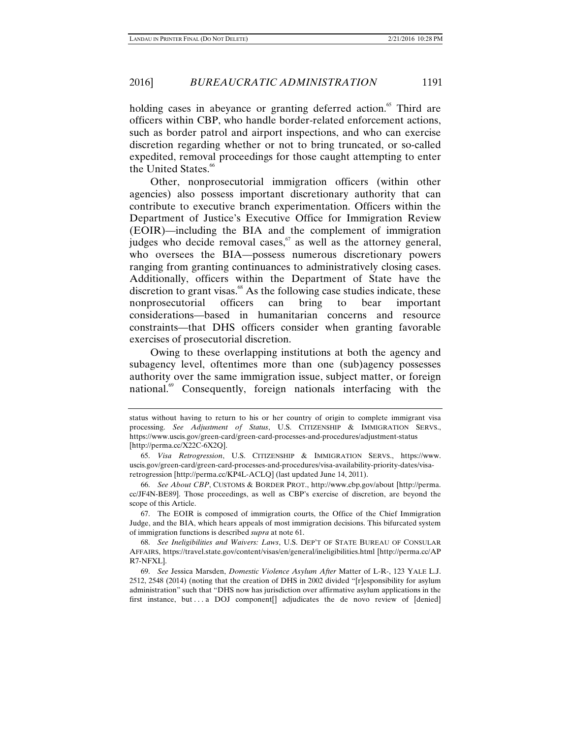holding cases in abeyance or granting deferred action.<sup>65</sup> Third are officers within CBP, who handle border-related enforcement actions, such as border patrol and airport inspections, and who can exercise discretion regarding whether or not to bring truncated, or so-called expedited, removal proceedings for those caught attempting to enter the United States.<sup>66</sup>

Other, nonprosecutorial immigration officers (within other agencies) also possess important discretionary authority that can contribute to executive branch experimentation. Officers within the Department of Justice's Executive Office for Immigration Review (EOIR)—including the BIA and the complement of immigration judges who decide removal cases,  $\frac{6}{3}$  as well as the attorney general, who oversees the BIA—possess numerous discretionary powers ranging from granting continuances to administratively closing cases. Additionally, officers within the Department of State have the discretion to grant visas. $^{68}$  As the following case studies indicate, these nonprosecutorial officers can bring to bear important considerations—based in humanitarian concerns and resource constraints—that DHS officers consider when granting favorable exercises of prosecutorial discretion.

Owing to these overlapping institutions at both the agency and subagency level, oftentimes more than one (sub)agency possesses authority over the same immigration issue, subject matter, or foreign national.<sup>69</sup> Consequently, foreign nationals interfacing with the

status without having to return to his or her country of origin to complete immigrant visa processing. *See Adjustment of Status*, U.S. CITIZENSHIP & IMMIGRATION SERVS., https://www.uscis.gov/green-card/green-card-processes-and-procedures/adjustment-status [http://perma.cc/X22C-6X2Q].

 <sup>65.</sup> *Visa Retrogression*, U.S. CITIZENSHIP & IMMIGRATION SERVS., https://www. uscis.gov/green-card/green-card-processes-and-procedures/visa-availability-priority-dates/visaretrogression [http://perma.cc/KP4L-ACLQ] (last updated June 14, 2011).

<sup>66.</sup> *See About CBP*, CUSTOMS & BORDER PROT., http://www.cbp.gov/about [http://perma. cc/JF4N-BE89]. Those proceedings, as well as CBP's exercise of discretion, are beyond the scope of this Article.

 <sup>67.</sup> The EOIR is composed of immigration courts, the Office of the Chief Immigration Judge, and the BIA, which hears appeals of most immigration decisions. This bifurcated system of immigration functions is described *supra* at note 61.

 <sup>68.</sup> *See Ineligibilities and Waivers: Laws*, U.S. DEP'T OF STATE BUREAU OF CONSULAR AFFAIRS, https://travel.state.gov/content/visas/en/general/ineligibilities.html [http://perma.cc/AP R7-NFXL].

 <sup>69.</sup> *See* Jessica Marsden, *Domestic Violence Asylum After* Matter of L-R-, 123 YALE L.J. 2512, 2548 (2014) (noting that the creation of DHS in 2002 divided "[r]esponsibility for asylum administration" such that "DHS now has jurisdiction over affirmative asylum applications in the first instance, but . . . a DOJ component [] adjudicates the de novo review of  $[denied]$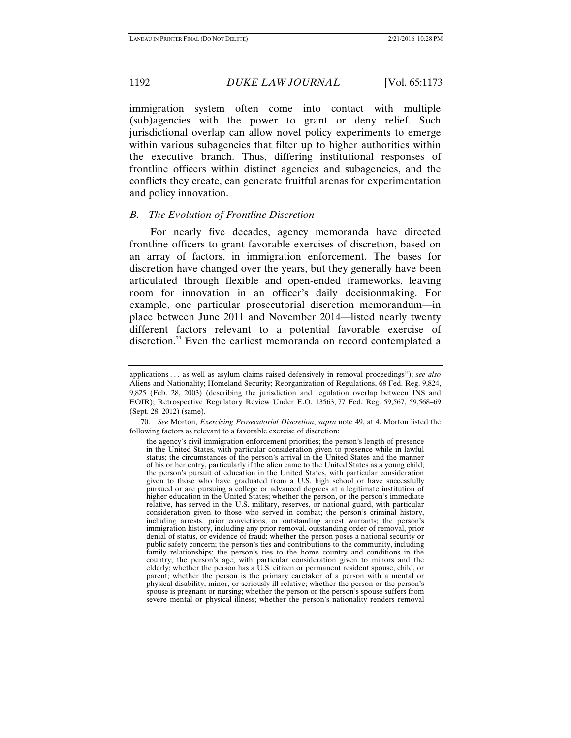immigration system often come into contact with multiple (sub)agencies with the power to grant or deny relief. Such jurisdictional overlap can allow novel policy experiments to emerge within various subagencies that filter up to higher authorities within the executive branch. Thus, differing institutional responses of frontline officers within distinct agencies and subagencies, and the conflicts they create, can generate fruitful arenas for experimentation and policy innovation.

### *B. The Evolution of Frontline Discretion*

For nearly five decades, agency memoranda have directed frontline officers to grant favorable exercises of discretion, based on an array of factors, in immigration enforcement. The bases for discretion have changed over the years, but they generally have been articulated through flexible and open-ended frameworks, leaving room for innovation in an officer's daily decisionmaking. For example, one particular prosecutorial discretion memorandum—in place between June 2011 and November 2014—listed nearly twenty different factors relevant to a potential favorable exercise of discretion.<sup>70</sup> Even the earliest memoranda on record contemplated a

applications . . . as well as asylum claims raised defensively in removal proceedings"); *see also*  Aliens and Nationality; Homeland Security; Reorganization of Regulations, 68 Fed. Reg. 9,824, 9,825 (Feb. 28, 2003) (describing the jurisdiction and regulation overlap between INS and EOIR); Retrospective Regulatory Review Under E.O. 13563, 77 Fed. Reg. 59,567, 59,568–69 (Sept. 28, 2012) (same).

 <sup>70.</sup> *See* Morton, *Exercising Prosecutorial Discretion*, *supra* note 49, at 4. Morton listed the following factors as relevant to a favorable exercise of discretion:

the agency's civil immigration enforcement priorities; the person's length of presence in the United States, with particular consideration given to presence while in lawful status; the circumstances of the person's arrival in the United States and the manner of his or her entry, particularly if the alien came to the United States as a young child; the person's pursuit of education in the United States, with particular consideration given to those who have graduated from a U.S. high school or have successfully pursued or are pursuing a college or advanced degrees at a legitimate institution of higher education in the United States; whether the person, or the person's immediate relative, has served in the U.S. military, reserves, or national guard, with particular consideration given to those who served in combat; the person's criminal history, including arrests, prior convictions, or outstanding arrest warrants; the person's immigration history, including any prior removal, outstanding order of removal, prior denial of status, or evidence of fraud; whether the person poses a national security or public safety concern; the person's ties and contributions to the community, including family relationships; the person's ties to the home country and conditions in the country; the person's age, with particular consideration given to minors and the elderly; whether the person has a U.S. citizen or permanent resident spouse, child, or parent; whether the person is the primary caretaker of a person with a mental or physical disability, minor, or seriously ill relative; whether the person or the person's spouse is pregnant or nursing; whether the person or the person's spouse suffers from severe mental or physical illness; whether the person's nationality renders removal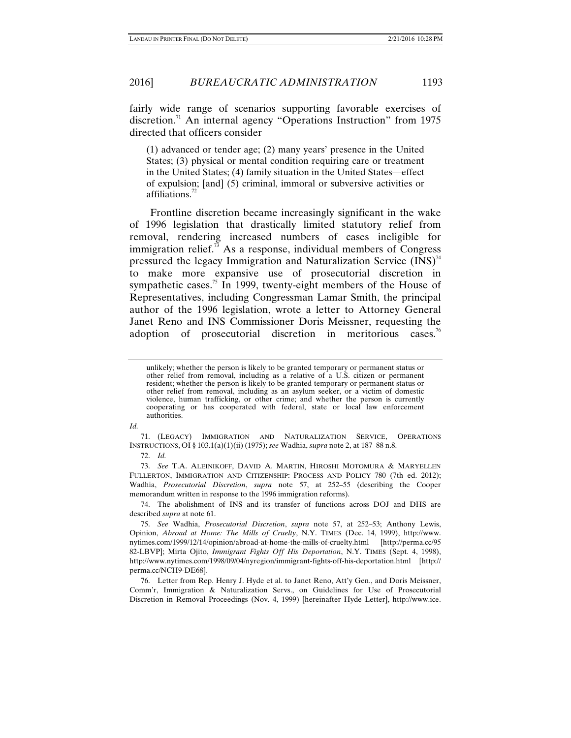fairly wide range of scenarios supporting favorable exercises of discretion.<sup>71</sup> An internal agency "Operations Instruction" from 1975 directed that officers consider

(1) advanced or tender age; (2) many years' presence in the United States; (3) physical or mental condition requiring care or treatment in the United States; (4) family situation in the United States—effect of expulsion; [and] (5) criminal, immoral or subversive activities or affiliations.<sup>7</sup>

Frontline discretion became increasingly significant in the wake of 1996 legislation that drastically limited statutory relief from removal, rendering increased numbers of cases ineligible for immigration relief.<sup>73</sup> As a response, individual members of Congress pressured the legacy Immigration and Naturalization Service  $(INS)^{74}$ to make more expansive use of prosecutorial discretion in sympathetic cases.<sup>75</sup> In 1999, twenty-eight members of the House of Representatives, including Congressman Lamar Smith, the principal author of the 1996 legislation, wrote a letter to Attorney General Janet Reno and INS Commissioner Doris Meissner, requesting the adoption of prosecutorial discretion in meritorious cases.<sup>76</sup>

*Id.*

 71. (LEGACY) IMMIGRATION AND NATURALIZATION SERVICE, OPERATIONS INSTRUCTIONS, OI § 103.1(a)(1)(ii) (1975); *see* Wadhia, *supra* note 2, at 187–88 n.8.

72. *Id.*

 73. *See* T.A. ALEINIKOFF, DAVID A. MARTIN, HIROSHI MOTOMURA & MARYELLEN FULLERTON, IMMIGRATION AND CITIZENSHIP: PROCESS AND POLICY 780 (7th ed. 2012); Wadhia, *Prosecutorial Discretion*, *supra* note 57, at 252–55 (describing the Cooper memorandum written in response to the 1996 immigration reforms).

 74. The abolishment of INS and its transfer of functions across DOJ and DHS are described *supra* at note 61.

 75. *See* Wadhia, *Prosecutorial Discretion*, *supra* note 57, at 252–53; Anthony Lewis, Opinion, *Abroad at Home: The Mills of Cruelty*, N.Y. TIMES (Dec. 14, 1999), http://www. nytimes.com/1999/12/14/opinion/abroad-at-home-the-mills-of-cruelty.html [http://perma.cc/95 82-LBVP]; Mirta Ojito, *Immigrant Fights Off His Deportation*, N.Y. TIMES (Sept. 4, 1998), http://www.nytimes.com/1998/09/04/nyregion/immigrant-fights-off-his-deportation.html [http:// perma.cc/NCH9-DE68].

 76. Letter from Rep. Henry J. Hyde et al. to Janet Reno, Att'y Gen., and Doris Meissner, Comm'r, Immigration & Naturalization Servs., on Guidelines for Use of Prosecutorial Discretion in Removal Proceedings (Nov. 4, 1999) [hereinafter Hyde Letter], http://www.ice.

unlikely; whether the person is likely to be granted temporary or permanent status or other relief from removal, including as a relative of a U.S. citizen or permanent resident; whether the person is likely to be granted temporary or permanent status or other relief from removal, including as an asylum seeker, or a victim of domestic violence, human trafficking, or other crime; and whether the person is currently cooperating or has cooperated with federal, state or local law enforcement authorities.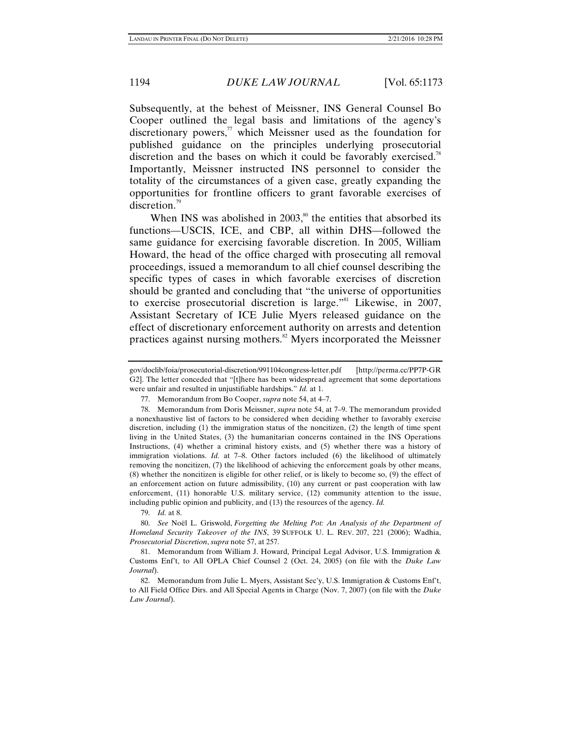Subsequently, at the behest of Meissner, INS General Counsel Bo Cooper outlined the legal basis and limitations of the agency's discretionary powers, $\frac{7}{1}$  which Meissner used as the foundation for published guidance on the principles underlying prosecutorial discretion and the bases on which it could be favorably exercised.<sup>78</sup> Importantly, Meissner instructed INS personnel to consider the totality of the circumstances of a given case, greatly expanding the opportunities for frontline officers to grant favorable exercises of discretion.<sup>79</sup>

When INS was abolished in  $2003$ ,<sup>80</sup>, the entities that absorbed its functions—USCIS, ICE, and CBP, all within DHS—followed the same guidance for exercising favorable discretion. In 2005, William Howard, the head of the office charged with prosecuting all removal proceedings, issued a memorandum to all chief counsel describing the specific types of cases in which favorable exercises of discretion should be granted and concluding that "the universe of opportunities to exercise prosecutorial discretion is large."<sup>81</sup> Likewise, in 2007, Assistant Secretary of ICE Julie Myers released guidance on the effect of discretionary enforcement authority on arrests and detention practices against nursing mothers.<sup>82</sup> Myers incorporated the Meissner

79. *Id.* at 8.

 80. *See* Noël L. Griswold, *Forgetting the Melting Pot: An Analysis of the Department of Homeland Security Takeover of the INS*, 39 SUFFOLK U. L. REV. 207, 221 (2006); Wadhia, *Prosecutorial Discretion*, *supra* note 57, at 257.

 81. Memorandum from William J. Howard, Principal Legal Advisor, U.S. Immigration & Customs Enf't, to All OPLA Chief Counsel 2 (Oct. 24, 2005) (on file with the *Duke Law Journal*).

 82. Memorandum from Julie L. Myers, Assistant Sec'y, U.S. Immigration & Customs Enf't, to All Field Office Dirs. and All Special Agents in Charge (Nov. 7, 2007) (on file with the *Duke Law Journal*).

gov/doclib/foia/prosecutorial-discretion/991104congress-letter.pdf [http://perma.cc/PP7P-GR G2]. The letter conceded that "[t]here has been widespread agreement that some deportations were unfair and resulted in unjustifiable hardships." *Id.* at 1.

 <sup>77.</sup> Memorandum from Bo Cooper, *supra* note 54, at 4–7.

 <sup>78.</sup> Memorandum from Doris Meissner, *supra* note 54, at 7–9. The memorandum provided a nonexhaustive list of factors to be considered when deciding whether to favorably exercise discretion, including (1) the immigration status of the noncitizen, (2) the length of time spent living in the United States, (3) the humanitarian concerns contained in the INS Operations Instructions, (4) whether a criminal history exists, and (5) whether there was a history of immigration violations. *Id.* at 7–8. Other factors included (6) the likelihood of ultimately removing the noncitizen, (7) the likelihood of achieving the enforcement goals by other means, (8) whether the noncitizen is eligible for other relief, or is likely to become so, (9) the effect of an enforcement action on future admissibility, (10) any current or past cooperation with law enforcement, (11) honorable U.S. military service, (12) community attention to the issue, including public opinion and publicity, and (13) the resources of the agency. *Id.*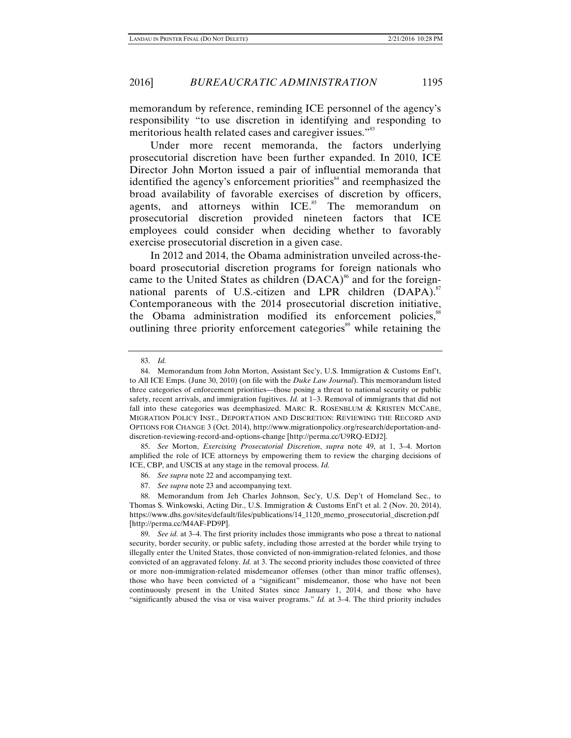memorandum by reference, reminding ICE personnel of the agency's responsibility "to use discretion in identifying and responding to meritorious health related cases and caregiver issues."<sup>83</sup>

Under more recent memoranda, the factors underlying prosecutorial discretion have been further expanded. In 2010, ICE Director John Morton issued a pair of influential memoranda that identified the agency's enforcement priorities<sup>84</sup> and reemphasized the broad availability of favorable exercises of discretion by officers, agents, and attorneys within  $ICE<sup>85</sup>$  The memorandum on prosecutorial discretion provided nineteen factors that ICE employees could consider when deciding whether to favorably exercise prosecutorial discretion in a given case.

In 2012 and 2014, the Obama administration unveiled across-theboard prosecutorial discretion programs for foreign nationals who came to the United States as children (DACA)<sup>86</sup> and for the foreignnational parents of U.S.-citizen and LPR children  $(DAPA)$ .<sup>87</sup> Contemporaneous with the 2014 prosecutorial discretion initiative, the Obama administration modified its enforcement policies,<sup>88</sup> outlining three priority enforcement categories<sup>89</sup> while retaining the

 85. *See* Morton, *Exercising Prosecutorial Discretion*, *supra* note 49, at 1, 3–4. Morton amplified the role of ICE attorneys by empowering them to review the charging decisions of ICE, CBP, and USCIS at any stage in the removal process. *Id.* 

- 86. *See supra* note 22 and accompanying text.
- 87. *See supra* note 23 and accompanying text.

 <sup>83.</sup> *Id.*

 <sup>84.</sup> Memorandum from John Morton, Assistant Sec'y, U.S. Immigration & Customs Enf't, to All ICE Emps. (June 30, 2010) (on file with the *Duke Law Journal*). This memorandum listed three categories of enforcement priorities—those posing a threat to national security or public safety, recent arrivals, and immigration fugitives. *Id.* at 1–3. Removal of immigrants that did not fall into these categories was deemphasized. MARC R. ROSENBLUM & KRISTEN MCCABE, MIGRATION POLICY INST., DEPORTATION AND DISCRETION: REVIEWING THE RECORD AND OPTIONS FOR CHANGE 3 (Oct. 2014), http://www.migrationpolicy.org/research/deportation-anddiscretion-reviewing-record-and-options-change [http://perma.cc/U9RQ-EDJ2].

 <sup>88.</sup> Memorandum from Jeh Charles Johnson, Sec'y, U.S. Dep't of Homeland Sec., to Thomas S. Winkowski, Acting Dir., U.S. Immigration & Customs Enf't et al. 2 (Nov. 20, 2014), https://www.dhs.gov/sites/default/files/publications/14\_1120\_memo\_prosecutorial\_discretion.pdf [http://perma.cc/M4AF-PD9P].

 <sup>89.</sup> *See id.* at 3–4. The first priority includes those immigrants who pose a threat to national security, border security, or public safety, including those arrested at the border while trying to illegally enter the United States, those convicted of non-immigration-related felonies, and those convicted of an aggravated felony. *Id.* at 3. The second priority includes those convicted of three or more non-immigration-related misdemeanor offenses (other than minor traffic offenses), those who have been convicted of a "significant" misdemeanor, those who have not been continuously present in the United States since January 1, 2014, and those who have "significantly abused the visa or visa waiver programs." *Id.* at 3–4. The third priority includes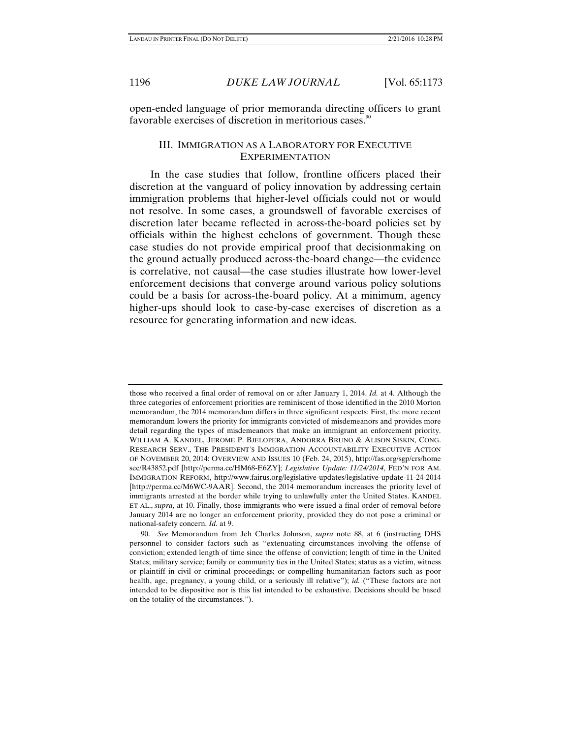open-ended language of prior memoranda directing officers to grant favorable exercises of discretion in meritorious cases.<sup>90</sup>

## III. IMMIGRATION AS A LABORATORY FOR EXECUTIVE EXPERIMENTATION

In the case studies that follow, frontline officers placed their discretion at the vanguard of policy innovation by addressing certain immigration problems that higher-level officials could not or would not resolve. In some cases, a groundswell of favorable exercises of discretion later became reflected in across-the-board policies set by officials within the highest echelons of government. Though these case studies do not provide empirical proof that decisionmaking on the ground actually produced across-the-board change—the evidence is correlative, not causal—the case studies illustrate how lower-level enforcement decisions that converge around various policy solutions could be a basis for across-the-board policy. At a minimum, agency higher-ups should look to case-by-case exercises of discretion as a resource for generating information and new ideas.

those who received a final order of removal on or after January 1, 2014. *Id.* at 4. Although the three categories of enforcement priorities are reminiscent of those identified in the 2010 Morton memorandum, the 2014 memorandum differs in three significant respects: First, the more recent memorandum lowers the priority for immigrants convicted of misdemeanors and provides more detail regarding the types of misdemeanors that make an immigrant an enforcement priority. WILLIAM A. KANDEL, JEROME P. BJELOPERA, ANDORRA BRUNO & ALISON SISKIN, CONG. RESEARCH SERV., THE PRESIDENT'S IMMIGRATION ACCOUNTABILITY EXECUTIVE ACTION OF NOVEMBER 20, 2014: OVERVIEW AND ISSUES 10 (Feb. 24, 2015), http://fas.org/sgp/crs/home sec/R43852.pdf [http://perma.cc/HM68-E6ZY]; *Legislative Update: 11/24/2014*, FED'N FOR AM. IMMIGRATION REFORM, http://www.fairus.org/legislative-updates/legislative-update-11-24-2014 [http://perma.cc/M6WC-9AAR]. Second, the 2014 memorandum increases the priority level of immigrants arrested at the border while trying to unlawfully enter the United States. KANDEL ET AL., *supra*, at 10. Finally, those immigrants who were issued a final order of removal before January 2014 are no longer an enforcement priority, provided they do not pose a criminal or national-safety concern. *Id.* at 9.

 <sup>90.</sup> *See* Memorandum from Jeh Charles Johnson, *supra* note 88, at 6 (instructing DHS personnel to consider factors such as "extenuating circumstances involving the offense of conviction; extended length of time since the offense of conviction; length of time in the United States; military service; family or community ties in the United States; status as a victim, witness or plaintiff in civil or criminal proceedings; or compelling humanitarian factors such as poor health, age, pregnancy, a young child, or a seriously ill relative"); *id.* ("These factors are not intended to be dispositive nor is this list intended to be exhaustive. Decisions should be based on the totality of the circumstances.").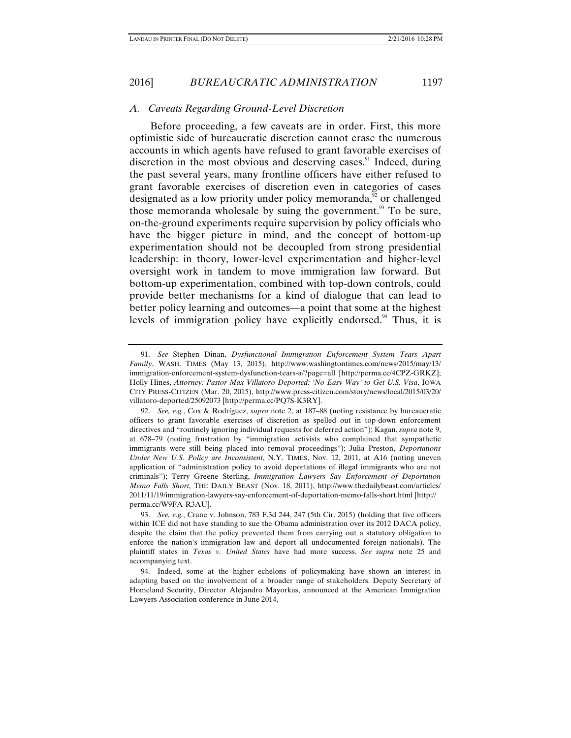# *A. Caveats Regarding Ground-Level Discretion*

Before proceeding, a few caveats are in order. First, this more optimistic side of bureaucratic discretion cannot erase the numerous accounts in which agents have refused to grant favorable exercises of discretion in the most obvious and deserving cases.<sup>91</sup> Indeed, during the past several years, many frontline officers have either refused to grant favorable exercises of discretion even in categories of cases designated as a low priority under policy memoranda, $\frac{9}{2}$  or challenged those memoranda wholesale by suing the government.<sup>93</sup> To be sure, on-the-ground experiments require supervision by policy officials who have the bigger picture in mind, and the concept of bottom-up experimentation should not be decoupled from strong presidential leadership: in theory, lower-level experimentation and higher-level oversight work in tandem to move immigration law forward. But bottom-up experimentation, combined with top-down controls, could provide better mechanisms for a kind of dialogue that can lead to better policy learning and outcomes—a point that some at the highest levels of immigration policy have explicitly endorsed.<sup>94</sup> Thus, it is

 <sup>91.</sup> *See* Stephen Dinan, *Dysfunctional Immigration Enforcement System Tears Apart Family*, WASH. TIMES (May 13, 2015), http://www.washingtontimes.com/news/2015/may/13/ immigration-enforcement-system-dysfunction-tears-a/?page=all [http://perma.cc/4CPZ-GRKZ]; Holly Hines, *Attorney: Pastor Max Villatoro Deported: 'No Easy Way' to Get U.S. Visa*, IOWA CITY PRESS-CITIZEN (Mar. 20, 2015), http://www.press-citizen.com/story/news/local/2015/03/20/ villatoro-deported/25092073 [http://perma.cc/PQ7S-K3RY].

 <sup>92.</sup> *See, e.g.*, Cox & Rodríguez, *supra* note 2, at 187–88 (noting resistance by bureaucratic officers to grant favorable exercises of discretion as spelled out in top-down enforcement directives and "routinely ignoring individual requests for deferred action"); Kagan, *supra* note 9, at 678–79 (noting frustration by "immigration activists who complained that sympathetic immigrants were still being placed into removal proceedings"); Julia Preston, *Deportations Under New U.S. Policy are Inconsistent*, N.Y. TIMES, Nov. 12, 2011, at A16 (noting uneven application of "administration policy to avoid deportations of illegal immigrants who are not criminals"); Terry Greene Sterling, *Immigration Lawyers Say Enforcement of Deportation Memo Falls Short*, THE DAILY BEAST (Nov. 18, 2011), http://www.thedailybeast.com/articles/ 2011/11/19/immigration-lawyers-say-enforcement-of-deportation-memo-falls-short.html [http:// perma.cc/W9FA-R3AU].

 <sup>93.</sup> *See, e.g.*, Crane v. Johnson, 783 F.3d 244, 247 (5th Cir. 2015) (holding that five officers within ICE did not have standing to sue the Obama administration over its 2012 DACA policy, despite the claim that the policy prevented them from carrying out a statutory obligation to enforce the nation's immigration law and deport all undocumented foreign nationals). The plaintiff states in *Texas v. United States* have had more success. *See supra* note 25 and accompanying text.

 <sup>94.</sup> Indeed, some at the higher echelons of policymaking have shown an interest in adapting based on the involvement of a broader range of stakeholders. Deputy Secretary of Homeland Security, Director Alejandro Mayorkas, announced at the American Immigration Lawyers Association conference in June 2014,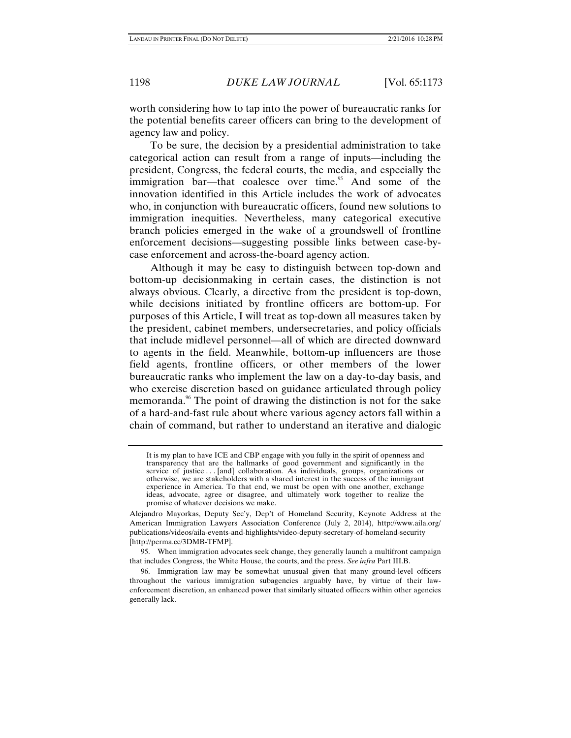worth considering how to tap into the power of bureaucratic ranks for the potential benefits career officers can bring to the development of agency law and policy.

To be sure, the decision by a presidential administration to take categorical action can result from a range of inputs—including the president, Congress, the federal courts, the media, and especially the immigration bar—that coalesce over time. $95$  And some of the innovation identified in this Article includes the work of advocates who, in conjunction with bureaucratic officers, found new solutions to immigration inequities. Nevertheless, many categorical executive branch policies emerged in the wake of a groundswell of frontline enforcement decisions—suggesting possible links between case-bycase enforcement and across-the-board agency action.

Although it may be easy to distinguish between top-down and bottom-up decisionmaking in certain cases, the distinction is not always obvious. Clearly, a directive from the president is top-down, while decisions initiated by frontline officers are bottom-up. For purposes of this Article, I will treat as top-down all measures taken by the president, cabinet members, undersecretaries, and policy officials that include midlevel personnel—all of which are directed downward to agents in the field. Meanwhile, bottom-up influencers are those field agents, frontline officers, or other members of the lower bureaucratic ranks who implement the law on a day-to-day basis, and who exercise discretion based on guidance articulated through policy memoranda.<sup>96</sup> The point of drawing the distinction is not for the sake of a hard-and-fast rule about where various agency actors fall within a chain of command, but rather to understand an iterative and dialogic

 95. When immigration advocates seek change, they generally launch a multifront campaign that includes Congress, the White House, the courts, and the press. *See infra* Part III.B.

It is my plan to have ICE and CBP engage with you fully in the spirit of openness and transparency that are the hallmarks of good government and significantly in the service of justice . . . [and] collaboration. As individuals, groups, organizations or otherwise, we are stakeholders with a shared interest in the success of the immigrant experience in America. To that end, we must be open with one another, exchange ideas, advocate, agree or disagree, and ultimately work together to realize the promise of whatever decisions we make.

Alejandro Mayorkas, Deputy Sec'y, Dep't of Homeland Security, Keynote Address at the American Immigration Lawyers Association Conference (July 2, 2014), http://www.aila.org/ publications/videos/aila-events-and-highlights/video-deputy-secretary-of-homeland-security [http://perma.cc/3DMB-TFMP].

 <sup>96.</sup> Immigration law may be somewhat unusual given that many ground-level officers throughout the various immigration subagencies arguably have, by virtue of their lawenforcement discretion, an enhanced power that similarly situated officers within other agencies generally lack.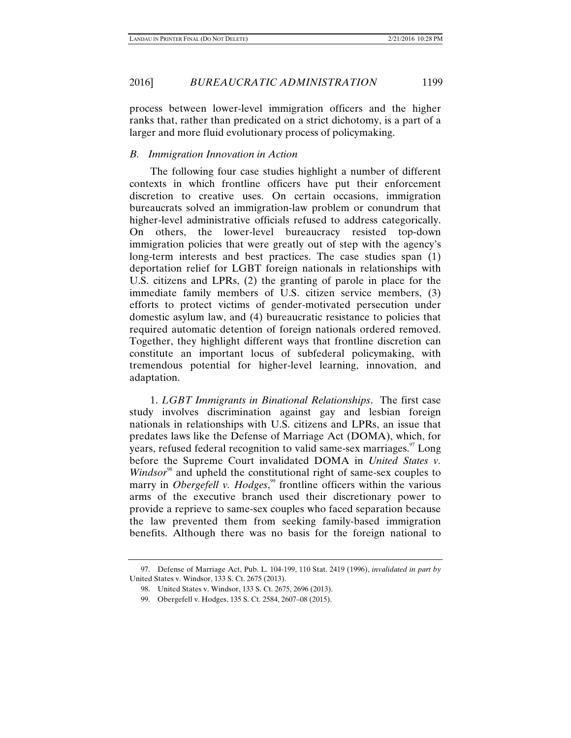process between lower-level immigration officers and the higher ranks that, rather than predicated on a strict dichotomy, is a part of a larger and more fluid evolutionary process of policymaking.

### *B. Immigration Innovation in Action*

The following four case studies highlight a number of different contexts in which frontline officers have put their enforcement discretion to creative uses. On certain occasions, immigration bureaucrats solved an immigration-law problem or conundrum that higher-level administrative officials refused to address categorically. On others, the lower-level bureaucracy resisted top-down immigration policies that were greatly out of step with the agency's long-term interests and best practices. The case studies span (1) deportation relief for LGBT foreign nationals in relationships with U.S. citizens and LPRs, (2) the granting of parole in place for the immediate family members of U.S. citizen service members, (3) efforts to protect victims of gender-motivated persecution under domestic asylum law, and (4) bureaucratic resistance to policies that required automatic detention of foreign nationals ordered removed. Together, they highlight different ways that frontline discretion can constitute an important locus of subfederal policymaking, with tremendous potential for higher-level learning, innovation, and adaptation.

1. *LGBT Immigrants in Binational Relationships*. The first case study involves discrimination against gay and lesbian foreign nationals in relationships with U.S. citizens and LPRs, an issue that predates laws like the Defense of Marriage Act (DOMA), which, for years, refused federal recognition to valid same-sex marriages.<sup>97</sup> Long before the Supreme Court invalidated DOMA in *United States v. Windsor*<sup>98</sup> and upheld the constitutional right of same-sex couples to marry in *Obergefell v. Hodges*,<sup>99</sup> frontline officers within the various arms of the executive branch used their discretionary power to provide a reprieve to same-sex couples who faced separation because the law prevented them from seeking family-based immigration benefits. Although there was no basis for the foreign national to

 <sup>97.</sup> Defense of Marriage Act, Pub. L. 104-199, 110 Stat. 2419 (1996), *invalidated in part by* United States v. Windsor, 133 S. Ct. 2675 (2013).

 <sup>98.</sup> United States v. Windsor, 133 S. Ct. 2675, 2696 (2013).

 <sup>99.</sup> Obergefell v. Hodges, 135 S. Ct. 2584, 2607–08 (2015).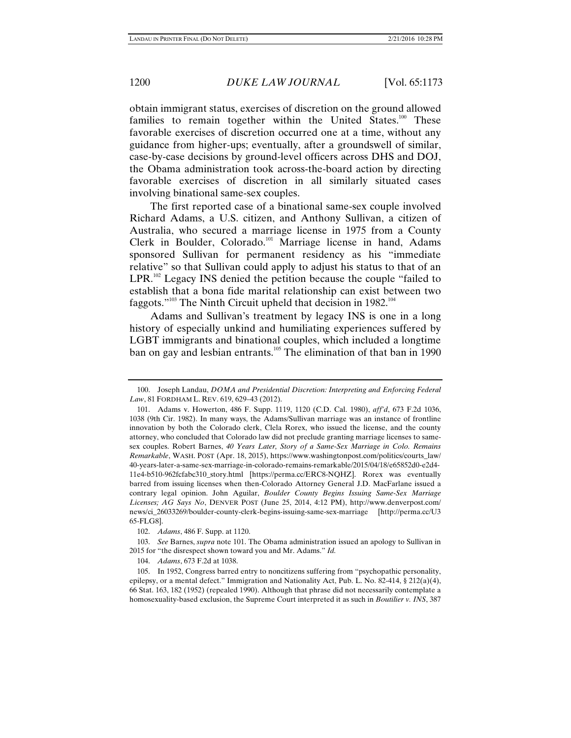obtain immigrant status, exercises of discretion on the ground allowed families to remain together within the United States.<sup>100</sup> These favorable exercises of discretion occurred one at a time, without any guidance from higher-ups; eventually, after a groundswell of similar, case-by-case decisions by ground-level officers across DHS and DOJ, the Obama administration took across-the-board action by directing favorable exercises of discretion in all similarly situated cases involving binational same-sex couples.

The first reported case of a binational same-sex couple involved Richard Adams, a U.S. citizen, and Anthony Sullivan, a citizen of Australia, who secured a marriage license in 1975 from a County Clerk in Boulder, Colorado.<sup>101</sup> Marriage license in hand, Adams sponsored Sullivan for permanent residency as his "immediate relative" so that Sullivan could apply to adjust his status to that of an  $LPR$ <sup>102</sup> Legacy INS denied the petition because the couple "failed to establish that a bona fide marital relationship can exist between two faggots."<sup>103</sup> The Ninth Circuit upheld that decision in 1982.<sup>104</sup>

Adams and Sullivan's treatment by legacy INS is one in a long history of especially unkind and humiliating experiences suffered by LGBT immigrants and binational couples, which included a longtime ban on gay and lesbian entrants.<sup>105</sup> The elimination of that ban in 1990

 <sup>100.</sup> Joseph Landau, *DOMA and Presidential Discretion: Interpreting and Enforcing Federal Law*, 81 FORDHAM L. REV. 619, 629–43 (2012).

 <sup>101.</sup> Adams v. Howerton, 486 F. Supp. 1119, 1120 (C.D. Cal. 1980), *aff'd*, 673 F.2d 1036, 1038 (9th Cir. 1982). In many ways, the Adams/Sullivan marriage was an instance of frontline innovation by both the Colorado clerk, Clela Rorex, who issued the license, and the county attorney, who concluded that Colorado law did not preclude granting marriage licenses to samesex couples. Robert Barnes, *40 Years Later, Story of a Same-Sex Marriage in Colo. Remains Remarkable*, WASH. POST (Apr. 18, 2015), https://www.washingtonpost.com/politics/courts\_law/ 40-years-later-a-same-sex-marriage-in-colorado-remains-remarkable/2015/04/18/e65852d0-e2d4- 11e4-b510-962fcfabc310\_story.html [https://perma.cc/ERC8-NQHZ]. Rorex was eventually barred from issuing licenses when then-Colorado Attorney General J.D. MacFarlane issued a contrary legal opinion. John Aguilar, *Boulder County Begins Issuing Same-Sex Marriage Licenses; AG Says No*, DENVER POST (June 25, 2014, 4:12 PM), http://www.denverpost.com/ news/ci\_26033269/boulder-county-clerk-begins-issuing-same-sex-marriage [http://perma.cc/U3 65-FLG8].

 <sup>102.</sup> *Adams*, 486 F. Supp. at 1120.

 <sup>103.</sup> *See* Barnes, *supra* note 101. The Obama administration issued an apology to Sullivan in 2015 for "the disrespect shown toward you and Mr. Adams." *Id.*

 <sup>104.</sup> *Adams*, 673 F.2d at 1038.

 <sup>105.</sup> In 1952, Congress barred entry to noncitizens suffering from "psychopathic personality, epilepsy, or a mental defect." Immigration and Nationality Act, Pub. L. No. 82-414,  $\S 212(a)(4)$ , 66 Stat. 163, 182 (1952) (repealed 1990). Although that phrase did not necessarily contemplate a homosexuality-based exclusion, the Supreme Court interpreted it as such in *Boutilier v. INS*, 387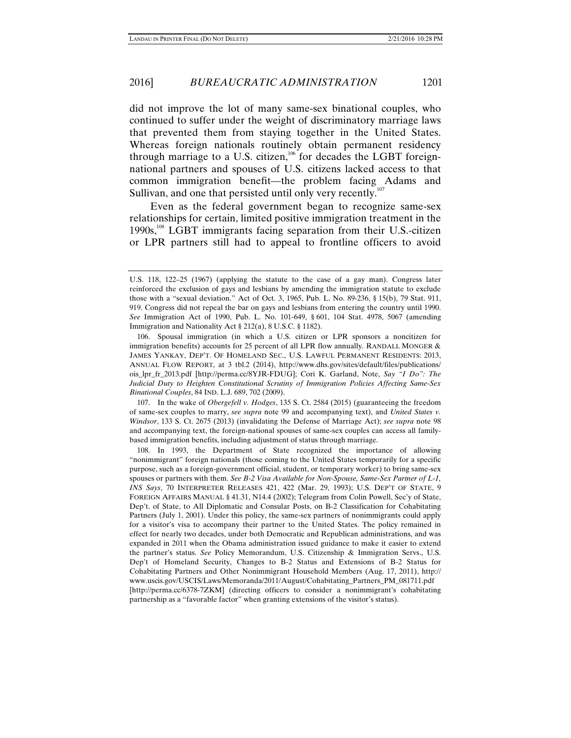did not improve the lot of many same-sex binational couples, who continued to suffer under the weight of discriminatory marriage laws that prevented them from staying together in the United States. Whereas foreign nationals routinely obtain permanent residency through marriage to a U.S. citizen, $106$  for decades the LGBT foreignnational partners and spouses of U.S. citizens lacked access to that common immigration benefit—the problem facing Adams and Sullivan, and one that persisted until only very recently.<sup>107</sup>

Even as the federal government began to recognize same-sex relationships for certain, limited positive immigration treatment in the 1990s,108 LGBT immigrants facing separation from their U.S.-citizen or LPR partners still had to appeal to frontline officers to avoid

 106. Spousal immigration (in which a U.S. citizen or LPR sponsors a noncitizen for immigration benefits) accounts for 25 percent of all LPR flow annually. RANDALL MONGER & JAMES YANKAY, DEP'T. OF HOMELAND SEC., U.S. LAWFUL PERMANENT RESIDENTS: 2013, ANNUAL FLOW REPORT, at 3 tbl.2 (2014), http://www.dhs.gov/sites/default/files/publications/ ois\_lpr\_fr\_2013.pdf [http://perma.cc/8YJR-FDUG]; Cori K. Garland, Note, *Say "I Do": The Judicial Duty to Heighten Constitutional Scrutiny of Immigration Policies Affecting Same-Sex Binational Couples*, 84 IND. L.J. 689, 702 (2009).

 107. In the wake of *Obergefell v. Hodges*, 135 S. Ct. 2584 (2015) (guaranteeing the freedom of same-sex couples to marry, *see supra* note 99 and accompanying text), and *United States v. Windsor*, 133 S. Ct. 2675 (2013) (invalidating the Defense of Marriage Act); *see supra* note 98 and accompanying text, the foreign-national spouses of same-sex couples can access all familybased immigration benefits, including adjustment of status through marriage.

 108. In 1993, the Department of State recognized the importance of allowing "nonimmigrant" foreign nationals (those coming to the United States temporarily for a specific purpose, such as a foreign-government official, student, or temporary worker) to bring same-sex spouses or partners with them. *See B-2 Visa Available for Non-Spouse, Same-Sex Partner of L-1, INS Says*, 70 INTERPRETER RELEASES 421, 422 (Mar. 29, 1993); U.S. DEP'T OF STATE, 9 FOREIGN AFFAIRS MANUAL § 41.31, N14.4 (2002); Telegram from Colin Powell, Sec'y of State, Dep't. of State, to All Diplomatic and Consular Posts, on B-2 Classification for Cohabitating Partners (July 1, 2001). Under this policy, the same-sex partners of nonimmigrants could apply for a visitor's visa to accompany their partner to the United States. The policy remained in effect for nearly two decades, under both Democratic and Republican administrations, and was expanded in 2011 when the Obama administration issued guidance to make it easier to extend the partner's status. *See* Policy Memorandum, U.S. Citizenship & Immigration Servs., U.S. Dep't of Homeland Security, Changes to B-2 Status and Extensions of B-2 Status for Cohabitating Partners and Other Nonimmigrant Household Members (Aug. 17, 2011), http:// www.uscis.gov/USCIS/Laws/Memoranda/2011/August/Cohabitating\_Partners\_PM\_081711.pdf [http://perma.cc/6378-7ZKM] (directing officers to consider a nonimmigrant's cohabitating partnership as a "favorable factor" when granting extensions of the visitor's status).

U.S. 118, 122–25 (1967) (applying the statute to the case of a gay man). Congress later reinforced the exclusion of gays and lesbians by amending the immigration statute to exclude those with a "sexual deviation." Act of Oct. 3, 1965, Pub. L. No. 89-236, § 15(b), 79 Stat. 911, 919. Congress did not repeal the bar on gays and lesbians from entering the country until 1990. *See* Immigration Act of 1990, Pub. L. No. 101-649, § 601, 104 Stat. 4978, 5067 (amending Immigration and Nationality Act § 212(a), 8 U.S.C. § 1182).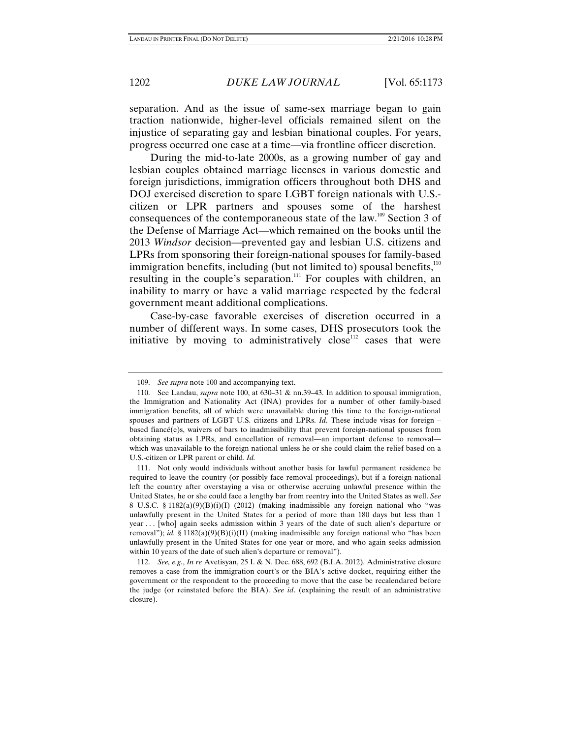separation. And as the issue of same-sex marriage began to gain traction nationwide, higher-level officials remained silent on the injustice of separating gay and lesbian binational couples. For years, progress occurred one case at a time—via frontline officer discretion.

During the mid-to-late 2000s, as a growing number of gay and lesbian couples obtained marriage licenses in various domestic and foreign jurisdictions, immigration officers throughout both DHS and DOJ exercised discretion to spare LGBT foreign nationals with U.S. citizen or LPR partners and spouses some of the harshest consequences of the contemporaneous state of the law.109 Section 3 of the Defense of Marriage Act—which remained on the books until the 2013 *Windsor* decision—prevented gay and lesbian U.S. citizens and LPRs from sponsoring their foreign-national spouses for family-based immigration benefits, including (but not limited to) spousal benefits, $110$ resulting in the couple's separation.<sup>111</sup> For couples with children, an inability to marry or have a valid marriage respected by the federal government meant additional complications.

Case-by-case favorable exercises of discretion occurred in a number of different ways. In some cases, DHS prosecutors took the initiative by moving to administratively close<sup>112</sup> cases that were

 <sup>109.</sup> *See supra* note 100 and accompanying text.

 <sup>110.</sup> See Landau, *supra* note 100, at 630–31 & nn.39–43. In addition to spousal immigration, the Immigration and Nationality Act (INA) provides for a number of other family-based immigration benefits, all of which were unavailable during this time to the foreign-national spouses and partners of LGBT U.S. citizens and LPRs. *Id.* These include visas for foreign – based fiancé(e)s, waivers of bars to inadmissibility that prevent foreign-national spouses from obtaining status as LPRs, and cancellation of removal—an important defense to removal which was unavailable to the foreign national unless he or she could claim the relief based on a U.S.-citizen or LPR parent or child. *Id.*

 <sup>111.</sup> Not only would individuals without another basis for lawful permanent residence be required to leave the country (or possibly face removal proceedings), but if a foreign national left the country after overstaying a visa or otherwise accruing unlawful presence within the United States, he or she could face a lengthy bar from reentry into the United States as well. *See*  8 U.S.C. § 1182(a)(9)(B)(i)(I) (2012) (making inadmissible any foreign national who "was unlawfully present in the United States for a period of more than 180 days but less than 1 year . . . [who] again seeks admission within 3 years of the date of such alien's departure or removal"); *id.* § 1182(a)(9)(B)(i)(II) (making inadmissible any foreign national who "has been unlawfully present in the United States for one year or more, and who again seeks admission within 10 years of the date of such alien's departure or removal").

 <sup>112.</sup> *See, e.g.*, *In re* Avetisyan, 25 I. & N. Dec. 688, 692 (B.I.A. 2012). Administrative closure removes a case from the immigration court's or the BIA's active docket, requiring either the government or the respondent to the proceeding to move that the case be recalendared before the judge (or reinstated before the BIA). *See id*. (explaining the result of an administrative closure).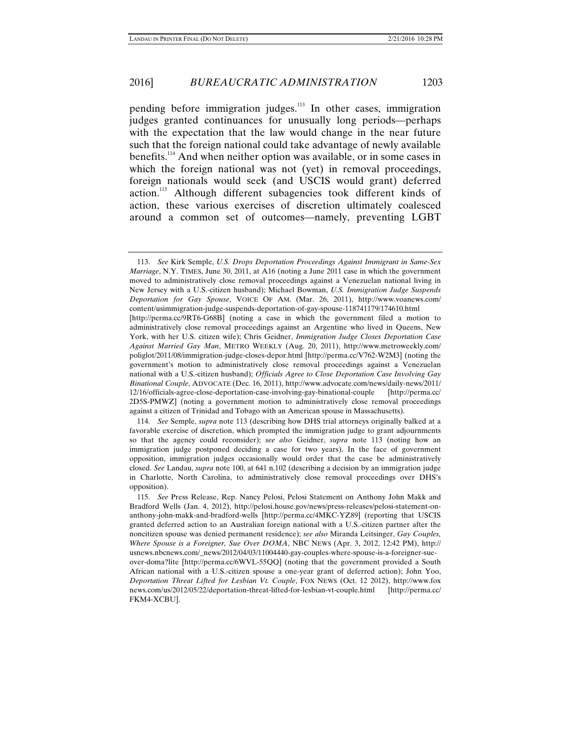pending before immigration judges.<sup>113</sup> In other cases, immigration judges granted continuances for unusually long periods—perhaps with the expectation that the law would change in the near future such that the foreign national could take advantage of newly available benefits.114 And when neither option was available, or in some cases in which the foreign national was not (yet) in removal proceedings, foreign nationals would seek (and USCIS would grant) deferred action.<sup>115</sup> Although different subagencies took different kinds of action, these various exercises of discretion ultimately coalesced around a common set of outcomes—namely, preventing LGBT

 114. *See* Semple, *supra* note 113 (describing how DHS trial attorneys originally balked at a favorable exercise of discretion, which prompted the immigration judge to grant adjournments so that the agency could reconsider); *see also* Geidner, *supra* note 113 (noting how an immigration judge postponed deciding a case for two years). In the face of government opposition, immigration judges occasionally would order that the case be administratively closed. *See* Landau, *supra* note 100, at 641 n.102 (describing a decision by an immigration judge in Charlotte, North Carolina, to administratively close removal proceedings over DHS's opposition).

 115. *See* Press Release, Rep. Nancy Pelosi, Pelosi Statement on Anthony John Makk and Bradford Wells (Jan. 4, 2012), http://pelosi.house.gov/news/press-releases/pelosi-statement-onanthony-john-makk-and-bradford-wells [http://perma.cc/4MKC-YZ89] (reporting that USCIS granted deferred action to an Australian foreign national with a U.S.-citizen partner after the noncitizen spouse was denied permanent residence); *see also* Miranda Leitsinger, *Gay Couples, Where Spouse is a Foreigner, Sue Over DOMA*, NBC NEWS (Apr. 3, 2012, 12:42 PM), http:// usnews.nbcnews.com/\_news/2012/04/03/11004440-gay-couples-where-spouse-is-a-foreigner-sueover-doma?lite [http://perma.cc/6WVL-55QQ] (noting that the government provided a South African national with a U.S.-citizen spouse a one-year grant of deferred action); John Yoo, *Deportation Threat Lifted for Lesbian Vt. Couple*, FOX NEWS (Oct. 12 2012), http://www.fox news.com/us/2012/05/22/deportation-threat-lifted-for-lesbian-vt-couple.html [http://perma.cc/ FKM4-XCBU].

 <sup>113.</sup> *See* Kirk Semple, *U.S. Drops Deportation Proceedings Against Immigrant in Same-Sex Marriage*, N.Y. TIMES, June 30, 2011, at A16 (noting a June 2011 case in which the government moved to administratively close removal proceedings against a Venezuelan national living in New Jersey with a U.S.-citizen husband); Michael Bowman, *U.S. Immigration Judge Suspends Deportation for Gay Spouse*, VOICE OF AM. (Mar. 26, 2011), http://www.voanews.com/ content/usimmigration-judge-suspends-deportation-of-gay-spouse-118741179/174610.html [http://perma.cc/9RT6-G68B] (noting a case in which the government filed a motion to administratively close removal proceedings against an Argentine who lived in Queens, New York, with her U.S. citizen wife); Chris Geidner, *Immigration Judge Closes Deportation Case Against Married Gay Man*, METRO WEEKLY (Aug. 20, 2011), http://www.metroweekly.com/ poliglot/2011/08/immigration-judge-closes-depor.html [http://perma.cc/V762-W2M3] (noting the government's motion to administratively close removal proceedings against a Venezuelan national with a U.S.-citizen husband); *Officials Agree to Close Deportation Case Involving Gay Binational Couple*, ADVOCATE (Dec. 16, 2011), http://www.advocate.com/news/daily-news/2011/ 12/16/officials-agree-close-deportation-case-involving-gay-binational-couple [http://perma.cc/ 2D5S-PMWZ] (noting a government motion to administratively close removal proceedings against a citizen of Trinidad and Tobago with an American spouse in Massachusetts).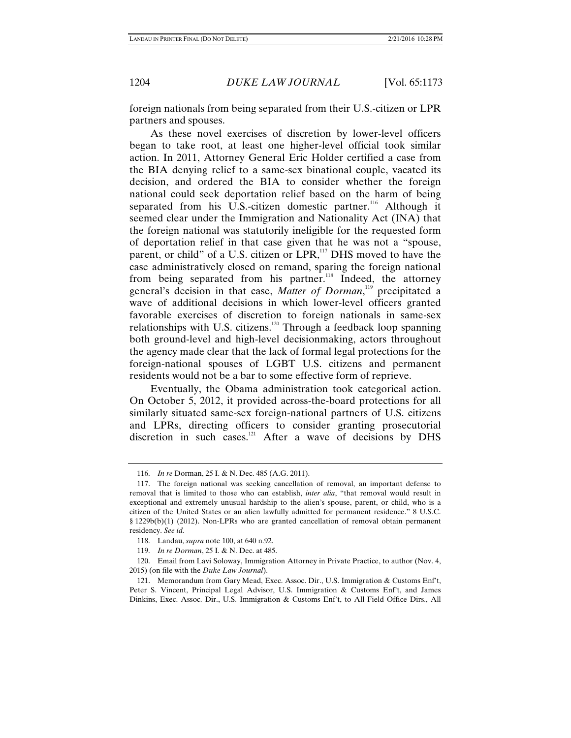foreign nationals from being separated from their U.S.-citizen or LPR partners and spouses.

As these novel exercises of discretion by lower-level officers began to take root, at least one higher-level official took similar action. In 2011, Attorney General Eric Holder certified a case from the BIA denying relief to a same-sex binational couple, vacated its decision, and ordered the BIA to consider whether the foreign national could seek deportation relief based on the harm of being separated from his U.S.-citizen domestic partner.<sup>116</sup> Although it seemed clear under the Immigration and Nationality Act (INA) that the foreign national was statutorily ineligible for the requested form of deportation relief in that case given that he was not a "spouse, parent, or child" of a U.S. citizen or LPR,<sup>117</sup> DHS moved to have the case administratively closed on remand, sparing the foreign national from being separated from his partner.<sup>118</sup> Indeed, the attorney general's decision in that case, *Matter of Dorman*, <sup>119</sup> precipitated a wave of additional decisions in which lower-level officers granted favorable exercises of discretion to foreign nationals in same-sex relationships with U.S. citizens.<sup>120</sup> Through a feedback loop spanning both ground-level and high-level decisionmaking, actors throughout the agency made clear that the lack of formal legal protections for the foreign-national spouses of LGBT U.S. citizens and permanent residents would not be a bar to some effective form of reprieve.

Eventually, the Obama administration took categorical action. On October 5, 2012, it provided across-the-board protections for all similarly situated same-sex foreign-national partners of U.S. citizens and LPRs, directing officers to consider granting prosecutorial discretion in such cases.<sup>121</sup> After a wave of decisions by DHS

 <sup>116.</sup> *In re* Dorman, 25 I. & N. Dec. 485 (A.G. 2011).

 <sup>117.</sup> The foreign national was seeking cancellation of removal, an important defense to removal that is limited to those who can establish, *inter alia*, "that removal would result in exceptional and extremely unusual hardship to the alien's spouse, parent, or child, who is a citizen of the United States or an alien lawfully admitted for permanent residence." 8 U.S.C. § 1229b(b)(1) (2012). Non-LPRs who are granted cancellation of removal obtain permanent residency. *See id.*

 <sup>118.</sup> Landau, *supra* note 100, at 640 n.92.

 <sup>119.</sup> *In re Dorman*, 25 I. & N. Dec. at 485.

 <sup>120.</sup> Email from Lavi Soloway, Immigration Attorney in Private Practice, to author (Nov. 4, 2015) (on file with the *Duke Law Journal*).

 <sup>121.</sup> Memorandum from Gary Mead, Exec. Assoc. Dir., U.S. Immigration & Customs Enf't, Peter S. Vincent, Principal Legal Advisor, U.S. Immigration & Customs Enf't, and James Dinkins, Exec. Assoc. Dir., U.S. Immigration & Customs Enf't, to All Field Office Dirs., All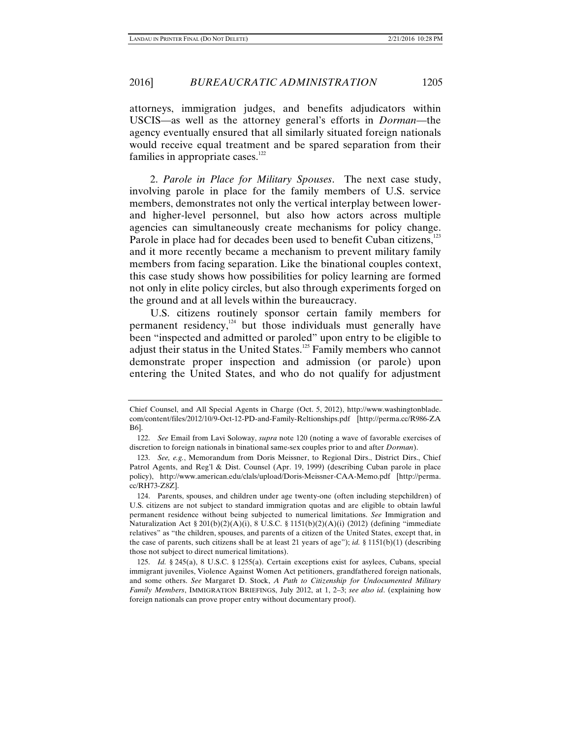attorneys, immigration judges, and benefits adjudicators within USCIS—as well as the attorney general's efforts in *Dorman*—the agency eventually ensured that all similarly situated foreign nationals would receive equal treatment and be spared separation from their families in appropriate cases. $122$ 

2. *Parole in Place for Military Spouses*. The next case study, involving parole in place for the family members of U.S. service members, demonstrates not only the vertical interplay between lowerand higher-level personnel, but also how actors across multiple agencies can simultaneously create mechanisms for policy change. Parole in place had for decades been used to benefit Cuban citizens, $123$ and it more recently became a mechanism to prevent military family members from facing separation. Like the binational couples context, this case study shows how possibilities for policy learning are formed not only in elite policy circles, but also through experiments forged on the ground and at all levels within the bureaucracy.

U.S. citizens routinely sponsor certain family members for permanent residency, $124$  but those individuals must generally have been "inspected and admitted or paroled" upon entry to be eligible to adjust their status in the United States.<sup>125</sup> Family members who cannot demonstrate proper inspection and admission (or parole) upon entering the United States, and who do not qualify for adjustment

Chief Counsel, and All Special Agents in Charge (Oct. 5, 2012), http://www.washingtonblade. com/content/files/2012/10/9-Oct-12-PD-and-Family-Reltionships.pdf [http://perma.cc/R986-ZA B6].

 <sup>122.</sup> *See* Email from Lavi Soloway, *supra* note 120 (noting a wave of favorable exercises of discretion to foreign nationals in binational same-sex couples prior to and after *Dorman*).

 <sup>123.</sup> *See, e.g.*, Memorandum from Doris Meissner, to Regional Dirs., District Dirs., Chief Patrol Agents, and Reg'l & Dist. Counsel (Apr. 19, 1999) (describing Cuban parole in place policy), http://www.american.edu/clals/upload/Doris-Meissner-CAA-Memo.pdf [http://perma. cc/RH73-Z8Z].

 <sup>124.</sup> Parents, spouses, and children under age twenty-one (often including stepchildren) of U.S. citizens are not subject to standard immigration quotas and are eligible to obtain lawful permanent residence without being subjected to numerical limitations. *See* Immigration and Naturalization Act § 201(b)(2)(A)(i), 8 U.S.C. § 1151(b)(2)(A)(i) (2012) (defining "immediate relatives" as "the children, spouses, and parents of a citizen of the United States, except that, in the case of parents, such citizens shall be at least 21 years of age"); *id.* § 1151(b)(1) (describing those not subject to direct numerical limitations).

 <sup>125.</sup> *Id.* § 245(a), 8 U.S.C. § 1255(a). Certain exceptions exist for asylees, Cubans, special immigrant juveniles, Violence Against Women Act petitioners, grandfathered foreign nationals, and some others. *See* Margaret D. Stock, *A Path to Citizenship for Undocumented Military Family Members*, IMMIGRATION BRIEFINGS, July 2012, at 1, 2–3; *see also id*. (explaining how foreign nationals can prove proper entry without documentary proof).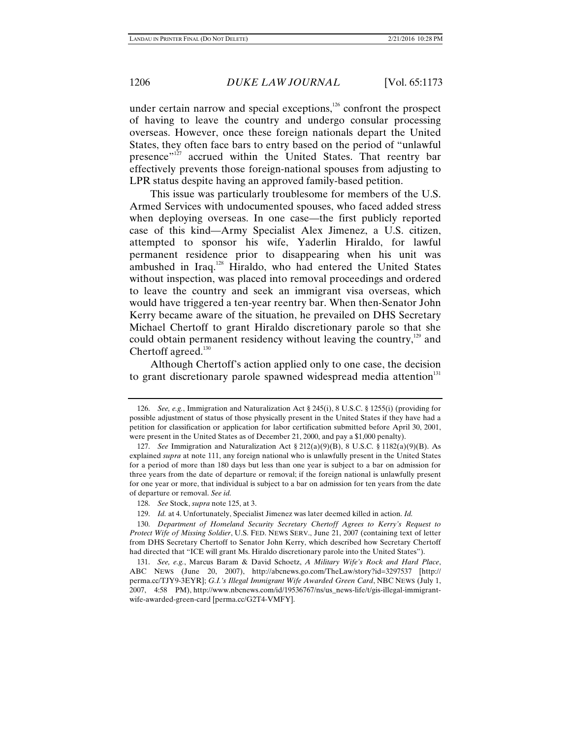under certain narrow and special exceptions, $126$  confront the prospect of having to leave the country and undergo consular processing overseas. However, once these foreign nationals depart the United States, they often face bars to entry based on the period of "unlawful presence"<sup>127</sup> accrued within the United States. That reentry bar effectively prevents those foreign-national spouses from adjusting to LPR status despite having an approved family-based petition.

This issue was particularly troublesome for members of the U.S. Armed Services with undocumented spouses, who faced added stress when deploying overseas. In one case—the first publicly reported case of this kind—Army Specialist Alex Jimenez, a U.S. citizen, attempted to sponsor his wife, Yaderlin Hiraldo, for lawful permanent residence prior to disappearing when his unit was ambushed in Iraq.<sup>128</sup> Hiraldo, who had entered the United States without inspection, was placed into removal proceedings and ordered to leave the country and seek an immigrant visa overseas, which would have triggered a ten-year reentry bar. When then-Senator John Kerry became aware of the situation, he prevailed on DHS Secretary Michael Chertoff to grant Hiraldo discretionary parole so that she could obtain permanent residency without leaving the country,<sup>129</sup> and Chertoff agreed.<sup>130</sup>

Although Chertoff's action applied only to one case, the decision to grant discretionary parole spawned widespread media attention<sup>131</sup>

 <sup>126.</sup> *See, e.g.*, Immigration and Naturalization Act § 245(i), 8 U.S.C. § 1255(i) (providing for possible adjustment of status of those physically present in the United States if they have had a petition for classification or application for labor certification submitted before April 30, 2001, were present in the United States as of December 21, 2000, and pay a \$1,000 penalty).

 <sup>127.</sup> *See* Immigration and Naturalization Act § 212(a)(9)(B), 8 U.S.C. § 1182(a)(9)(B). As explained *supra* at note 111, any foreign national who is unlawfully present in the United States for a period of more than 180 days but less than one year is subject to a bar on admission for three years from the date of departure or removal; if the foreign national is unlawfully present for one year or more, that individual is subject to a bar on admission for ten years from the date of departure or removal. *See id.* 

 <sup>128.</sup> *See* Stock, *supra* note 125, at 3.

 <sup>129.</sup> *Id.* at 4. Unfortunately, Specialist Jimenez was later deemed killed in action. *Id.* 

 <sup>130.</sup> *Department of Homeland Security Secretary Chertoff Agrees to Kerry's Request to Protect Wife of Missing Soldier*, U.S. FED. NEWS SERV., June 21, 2007 (containing text of letter from DHS Secretary Chertoff to Senator John Kerry, which described how Secretary Chertoff had directed that "ICE will grant Ms. Hiraldo discretionary parole into the United States").

 <sup>131.</sup> *See, e.g.*, Marcus Baram & David Schoetz, *A Military Wife's Rock and Hard Place*, ABC NEWS (June 20, 2007), http://abcnews.go.com/TheLaw/story?id=3297537 [http:// perma.cc/TJY9-3EYR]; *G.I.'s Illegal Immigrant Wife Awarded Green Card*, NBC NEWS (July 1, 2007, 4:58 PM), http://www.nbcnews.com/id/19536767/ns/us\_news-life/t/gis-illegal-immigrantwife-awarded-green-card [perma.cc/G2T4-VMFY].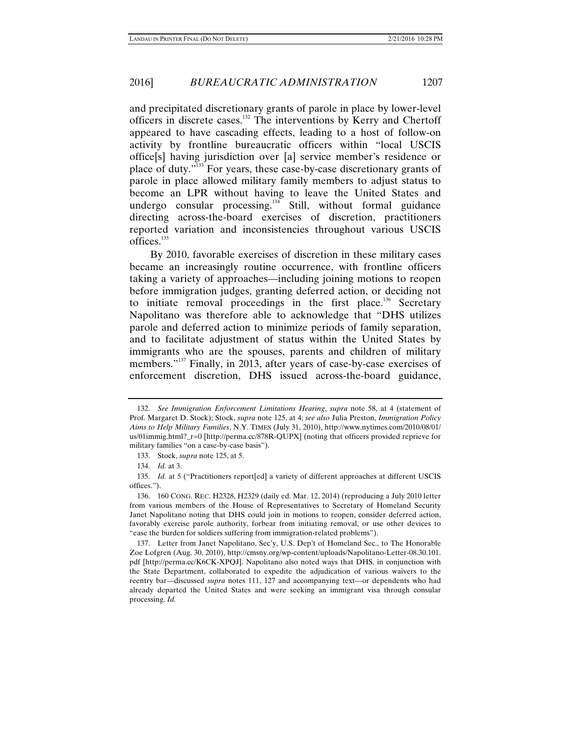and precipitated discretionary grants of parole in place by lower-level officers in discrete cases.132 The interventions by Kerry and Chertoff appeared to have cascading effects, leading to a host of follow-on activity by frontline bureaucratic officers within "local USCIS office[s] having jurisdiction over [a] service member's residence or place of duty."133 For years, these case-by-case discretionary grants of parole in place allowed military family members to adjust status to become an LPR without having to leave the United States and undergo consular processing. $134$  Still, without formal guidance directing across-the-board exercises of discretion, practitioners reported variation and inconsistencies throughout various USCIS offices. $135$ 

By 2010, favorable exercises of discretion in these military cases became an increasingly routine occurrence, with frontline officers taking a variety of approaches—including joining motions to reopen before immigration judges, granting deferred action, or deciding not to initiate removal proceedings in the first place.<sup>136</sup> Secretary Napolitano was therefore able to acknowledge that "DHS utilizes parole and deferred action to minimize periods of family separation, and to facilitate adjustment of status within the United States by immigrants who are the spouses, parents and children of military members."<sup>137</sup> Finally, in 2013, after years of case-by-case exercises of enforcement discretion, DHS issued across-the-board guidance,

 <sup>132.</sup> *See Immigration Enforcement Limitations Hearing*, *supra* note 58, at 4 (statement of Prof. Margaret D. Stock); Stock, *supra* note 125, at 4; *see also* Julia Preston, *Immigration Policy Aims to Help Military Families*, N.Y. TIMES (July 31, 2010), http://www.nytimes.com/2010/08/01/ us/01immig.html?\_r=0 [http://perma.cc/878R-QUPX] (noting that officers provided reprieve for military families "on a case-by-case basis").

 <sup>133.</sup> Stock, *supra* note 125, at 5.

 <sup>134.</sup> *Id.* at 3.

 <sup>135.</sup> *Id.* at 5 ("Practitioners report[ed] a variety of different approaches at different USCIS offices.").

 <sup>136. 160</sup> CONG. REC. H2328, H2329 (daily ed. Mar. 12, 2014) (reproducing a July 2010 letter from various members of the House of Representatives to Secretary of Homeland Security Janet Napolitano noting that DHS could join in motions to reopen, consider deferred action, favorably exercise parole authority, forbear from initiating removal, or use other devices to "ease the burden for soldiers suffering from immigration-related problems").

 <sup>137.</sup> Letter from Janet Napolitano, Sec'y, U.S. Dep't of Homeland Sec., to The Honorable Zoe Lofgren (Aug. 30, 2010), http://cmsny.org/wp-content/uploads/Napolitano-Letter-08.30.101. pdf [http://perma.cc/K6CK-XPQJ]. Napolitano also noted ways that DHS, in conjunction with the State Department, collaborated to expedite the adjudication of various waivers to the reentry bar—discussed *supra* notes 111, 127 and accompanying text—or dependents who had already departed the United States and were seeking an immigrant visa through consular processing. *Id.*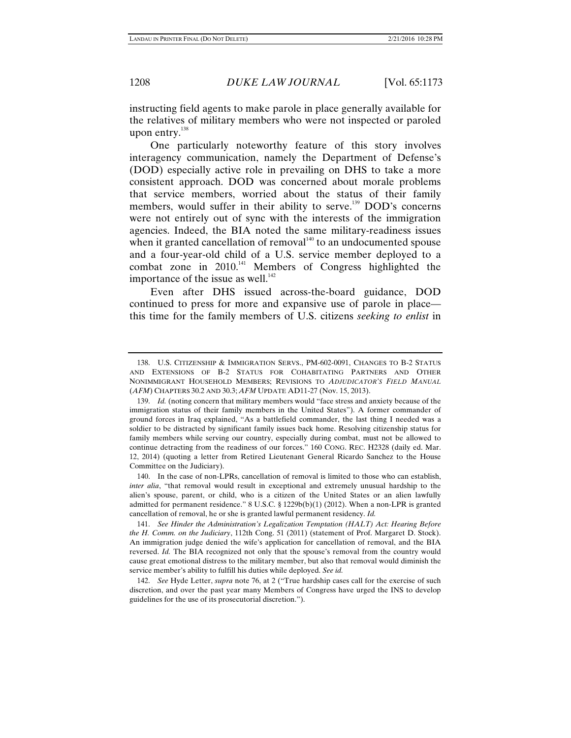instructing field agents to make parole in place generally available for the relatives of military members who were not inspected or paroled upon entry.<sup>138</sup>

One particularly noteworthy feature of this story involves interagency communication, namely the Department of Defense's (DOD) especially active role in prevailing on DHS to take a more consistent approach. DOD was concerned about morale problems that service members, worried about the status of their family members, would suffer in their ability to serve.<sup>139</sup> DOD's concerns were not entirely out of sync with the interests of the immigration agencies. Indeed, the BIA noted the same military-readiness issues when it granted cancellation of removal $140$  to an undocumented spouse and a four-year-old child of a U.S. service member deployed to a combat zone in 2010.<sup>141</sup> Members of Congress highlighted the importance of the issue as well.<sup>142</sup>

Even after DHS issued across-the-board guidance, DOD continued to press for more and expansive use of parole in place this time for the family members of U.S. citizens *seeking to enlist* in

 <sup>138.</sup> U.S. CITIZENSHIP & IMMIGRATION SERVS., PM-602-0091, CHANGES TO B-2 STATUS AND EXTENSIONS OF B-2 STATUS FOR COHABITATING PARTNERS AND OTHER NONIMMIGRANT HOUSEHOLD MEMBERS; REVISIONS TO *ADJUDICATOR'S FIELD MANUAL*  (*AFM*) CHAPTERS 30.2 AND 30.3; *AFM* UPDATE AD11-27 (Nov. 15, 2013).

 <sup>139.</sup> *Id.* (noting concern that military members would "face stress and anxiety because of the immigration status of their family members in the United States"). A former commander of ground forces in Iraq explained, "As a battlefield commander, the last thing I needed was a soldier to be distracted by significant family issues back home. Resolving citizenship status for family members while serving our country, especially during combat, must not be allowed to continue detracting from the readiness of our forces." 160 CONG. REC. H2328 (daily ed. Mar. 12, 2014) (quoting a letter from Retired Lieutenant General Ricardo Sanchez to the House Committee on the Judiciary).

 <sup>140.</sup> In the case of non-LPRs, cancellation of removal is limited to those who can establish, *inter alia*, "that removal would result in exceptional and extremely unusual hardship to the alien's spouse, parent, or child, who is a citizen of the United States or an alien lawfully admitted for permanent residence." 8 U.S.C. § 1229b(b)(1) (2012). When a non-LPR is granted cancellation of removal, he or she is granted lawful permanent residency. *Id.*

 <sup>141.</sup> *See Hinder the Administration's Legalization Temptation (HALT) Act: Hearing Before the H. Comm. on the Judiciary*, 112th Cong. 51 (2011) (statement of Prof. Margaret D. Stock). An immigration judge denied the wife's application for cancellation of removal, and the BIA reversed. *Id.* The BIA recognized not only that the spouse's removal from the country would cause great emotional distress to the military member, but also that removal would diminish the service member's ability to fulfill his duties while deployed. *See id.* 

 <sup>142.</sup> *See* Hyde Letter, *supra* note 76, at 2 ("True hardship cases call for the exercise of such discretion, and over the past year many Members of Congress have urged the INS to develop guidelines for the use of its prosecutorial discretion.").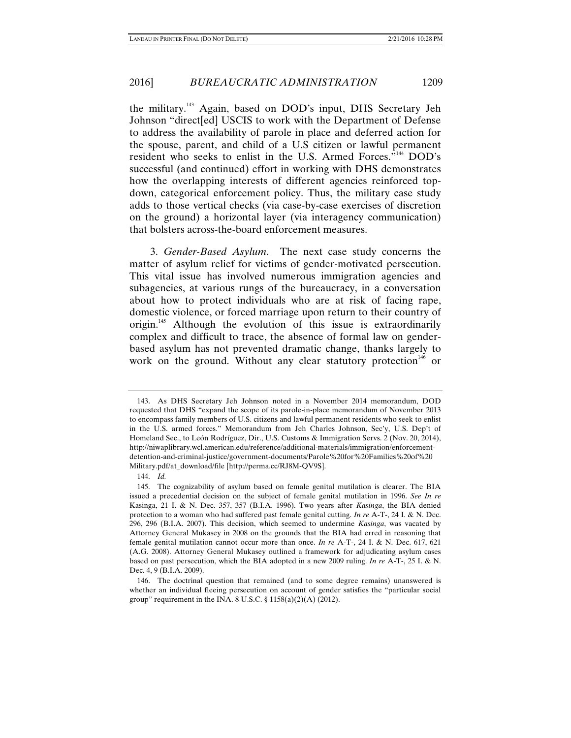the military.143 Again, based on DOD's input, DHS Secretary Jeh Johnson "direct[ed] USCIS to work with the Department of Defense to address the availability of parole in place and deferred action for the spouse, parent, and child of a U.S citizen or lawful permanent resident who seeks to enlist in the U.S. Armed Forces."144 DOD's successful (and continued) effort in working with DHS demonstrates how the overlapping interests of different agencies reinforced topdown, categorical enforcement policy. Thus, the military case study adds to those vertical checks (via case-by-case exercises of discretion on the ground) a horizontal layer (via interagency communication) that bolsters across-the-board enforcement measures.

3. *Gender-Based Asylum*. The next case study concerns the matter of asylum relief for victims of gender-motivated persecution. This vital issue has involved numerous immigration agencies and subagencies, at various rungs of the bureaucracy, in a conversation about how to protect individuals who are at risk of facing rape, domestic violence, or forced marriage upon return to their country of origin.<sup>145</sup> Although the evolution of this issue is extraordinarily complex and difficult to trace, the absence of formal law on genderbased asylum has not prevented dramatic change, thanks largely to work on the ground. Without any clear statutory protection<sup>146</sup> or

 <sup>143.</sup> As DHS Secretary Jeh Johnson noted in a November 2014 memorandum, DOD requested that DHS "expand the scope of its parole-in-place memorandum of November 2013 to encompass family members of U.S. citizens and lawful permanent residents who seek to enlist in the U.S. armed forces." Memorandum from Jeh Charles Johnson, Sec'y, U.S. Dep't of Homeland Sec., to León Rodríguez, Dir., U.S. Customs & Immigration Servs. 2 (Nov. 20, 2014), http://niwaplibrary.wcl.american.edu/reference/additional-materials/immigration/enforcementdetention-and-criminal-justice/government-documents/Parole%20for%20Families%20of%20 Military.pdf/at\_download/file [http://perma.cc/RJ8M-QV9S].

 <sup>144.</sup> *Id.*

 <sup>145.</sup> The cognizability of asylum based on female genital mutilation is clearer. The BIA issued a precedential decision on the subject of female genital mutilation in 1996. *See In re*  Kasinga, 21 I. & N. Dec. 357, 357 (B.I.A. 1996). Two years after *Kasinga*, the BIA denied protection to a woman who had suffered past female genital cutting. *In re* A-T-, 24 I. & N. Dec. 296, 296 (B.I.A. 2007). This decision, which seemed to undermine *Kasinga*, was vacated by Attorney General Mukasey in 2008 on the grounds that the BIA had erred in reasoning that female genital mutilation cannot occur more than once. *In re* A-T-, 24 I. & N. Dec. 617, 621 (A.G. 2008). Attorney General Mukasey outlined a framework for adjudicating asylum cases based on past persecution, which the BIA adopted in a new 2009 ruling. *In re* A-T-, 25 I. & N. Dec. 4, 9 (B.I.A. 2009).

 <sup>146.</sup> The doctrinal question that remained (and to some degree remains) unanswered is whether an individual fleeing persecution on account of gender satisfies the "particular social group" requirement in the INA. 8 U.S.C.  $\S 1158(a)(2)(A)$  (2012).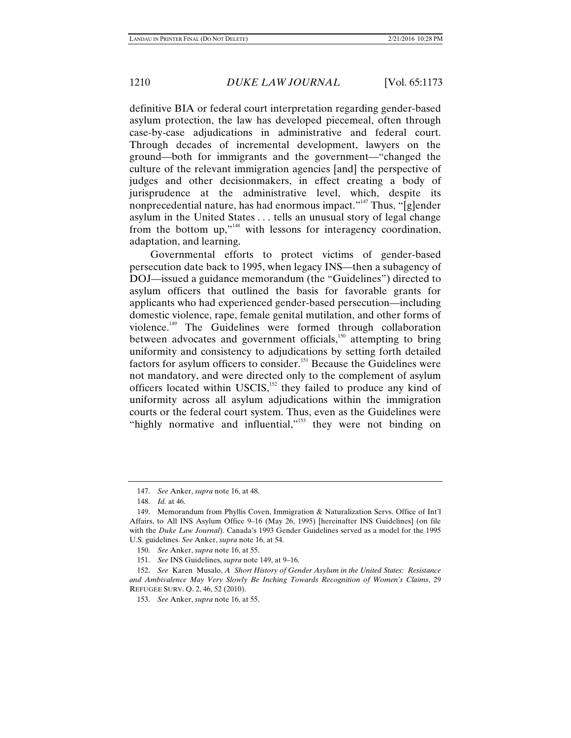definitive BIA or federal court interpretation regarding gender-based asylum protection, the law has developed piecemeal, often through case-by-case adjudications in administrative and federal court. Through decades of incremental development, lawyers on the ground—both for immigrants and the government—"changed the culture of the relevant immigration agencies [and] the perspective of judges and other decisionmakers, in effect creating a body of jurisprudence at the administrative level, which, despite its nonprecedential nature, has had enormous impact."<sup>147</sup> Thus, " $\lceil$ g $\rceil$ ender asylum in the United States . . . tells an unusual story of legal change from the bottom up,"148 with lessons for interagency coordination, adaptation, and learning.

Governmental efforts to protect victims of gender-based persecution date back to 1995, when legacy INS—then a subagency of DOJ—issued a guidance memorandum (the "Guidelines") directed to asylum officers that outlined the basis for favorable grants for applicants who had experienced gender-based persecution—including domestic violence, rape, female genital mutilation, and other forms of violence.<sup>149</sup> The Guidelines were formed through collaboration between advocates and government officials,<sup>150</sup> attempting to bring uniformity and consistency to adjudications by setting forth detailed factors for asylum officers to consider.<sup>151</sup> Because the Guidelines were not mandatory, and were directed only to the complement of asylum officers located within USCIS, $^{152}$  they failed to produce any kind of uniformity across all asylum adjudications within the immigration courts or the federal court system. Thus, even as the Guidelines were "highly normative and influential,"<sup>153</sup> they were not binding on

 <sup>147.</sup> *See* Anker, *supra* note 16, at 48.

 <sup>148.</sup> *Id.* at 46.

 <sup>149.</sup> Memorandum from Phyllis Coven, Immigration & Naturalization Servs. Office of Int'l Affairs, to All INS Asylum Office 9–16 (May 26, 1995) [hereinafter INS Guidelines] (on file with the *Duke Law Journal*). Canada's 1993 Gender Guidelines served as a model for the 1995 U.S. guidelines. *See* Anker, *supra* note 16, at 54.

 <sup>150.</sup> *See* Anker, *supra* note 16, at 55.

 <sup>151.</sup> *See* INS Guidelines, *supra* note 149, at 9–16.

 <sup>152.</sup> *See* Karen Musalo, *A Short History of Gender Asylum in the United States: Resistance and Ambivalence May Very Slowly Be Inching Towards Recognition of Women's Claims*, 29 REFUGEE SURV. Q. 2, 46, 52 (2010).

 <sup>153.</sup> *See* Anker, *supra* note 16, at 55.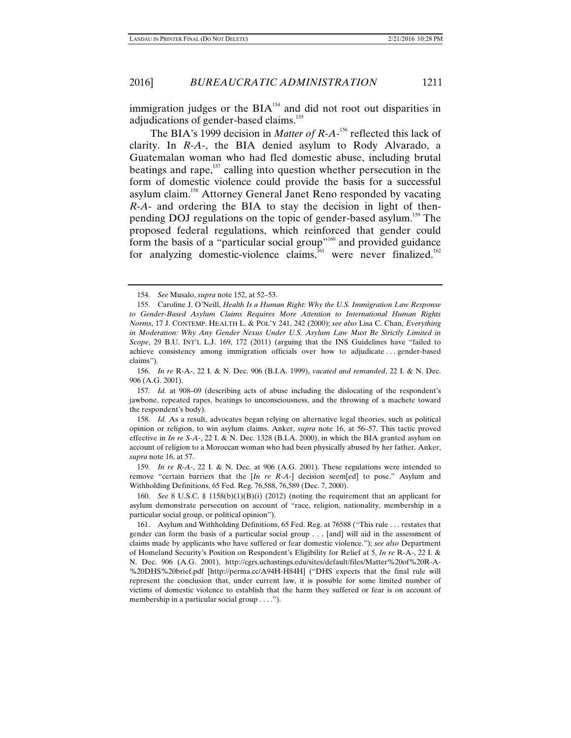immigration judges or the  $BIA<sup>154</sup>$  and did not root out disparities in adjudications of gender-based claims.<sup>155</sup>

The BIA's 1999 decision in *Matter of R-A*<sup>-156</sup> reflected this lack of clarity. In *R-A-*, the BIA denied asylum to Rody Alvarado, a Guatemalan woman who had fled domestic abuse, including brutal beatings and rape, $157$  calling into question whether persecution in the form of domestic violence could provide the basis for a successful asylum claim.158 Attorney General Janet Reno responded by vacating *R-A-* and ordering the BIA to stay the decision in light of thenpending DOJ regulations on the topic of gender-based asylum.<sup>159</sup> The proposed federal regulations, which reinforced that gender could form the basis of a "particular social group"<sup>160</sup> and provided guidance for analyzing domestic-violence claims, ${}^{161}$  were never finalized.<sup>162</sup>

 158. *Id.* As a result, advocates began relying on alternative legal theories, such as political opinion or religion, to win asylum claims. Anker, *supra* note 16, at 56–57. This tactic proved effective in *In re S-A-*, 22 I. & N. Dec. 1328 (B.I.A. 2000), in which the BIA granted asylum on account of religion to a Moroccan woman who had been physically abused by her father. Anker, *supra* note 16, at 57.

 159. *In re R-A-*, 22 I. & N. Dec. at 906 (A.G. 2001). These regulations were intended to remove "certain barriers that the [*In re R-A-*] decision seem[ed] to pose." Asylum and Withholding Definitions, 65 Fed. Reg. 76,588, 76,589 (Dec. 7, 2000).

 160. *See* 8 U.S.C. § 1158(b)(1)(B)(i) (2012) (noting the requirement that an applicant for asylum demonstrate persecution on account of "race, religion, nationality, membership in a particular social group, or political opinion").

 161. Asylum and Withholding Definitions, 65 Fed. Reg. at 76588 ("This rule . . . restates that gender can form the basis of a particular social group . . . [and] will aid in the assessment of claims made by applicants who have suffered or fear domestic violence."); *see also* Department of Homeland Security's Position on Respondent's Eligibility for Relief at 5, *In re* R-A-, 22 I. & N. Dec. 906 (A.G. 2001), http://cgrs.uchastings.edu/sites/default/files/Matter%20of%20R-A- %20DHS%20brief.pdf [http://perma.cc/A94H-H84H] ("DHS expects that the final rule will represent the conclusion that, under current law, it is possible for some limited number of victims of domestic violence to establish that the harm they suffered or fear is on account of membership in a particular social group . . . .").

 <sup>154.</sup> *See* Musalo, *supra* note 152, at 52–53.

 <sup>155.</sup> Caroline J. O'Neill, *Health Is a Human Right: Why the U.S. Immigration Law Response to Gender-Based Asylum Claims Requires More Attention to International Human Rights Norms*, 17 J. CONTEMP. HEALTH L. & POL'Y 241, 242 (2000); *see also* Lisa C. Chan, *Everything in Moderation: Why Any Gender Nexus Under U.S. Asylum Law Must Be Strictly Limited in Scope*, 29 B.U. INT'L L.J. 169, 172 (2011) (arguing that the INS Guidelines have "failed to achieve consistency among immigration officials over how to adjudicate . . . gender-based claims").

 <sup>156.</sup> *In re* R-A-, 22 I. & N. Dec. 906 (B.I.A. 1999), *vacated and remanded*, 22 I. & N. Dec. 906 (A.G. 2001).

 <sup>157.</sup> *Id.* at 908–09 (describing acts of abuse including the dislocating of the respondent's jawbone, repeated rapes, beatings to unconsciousness, and the throwing of a machete toward the respondent's body).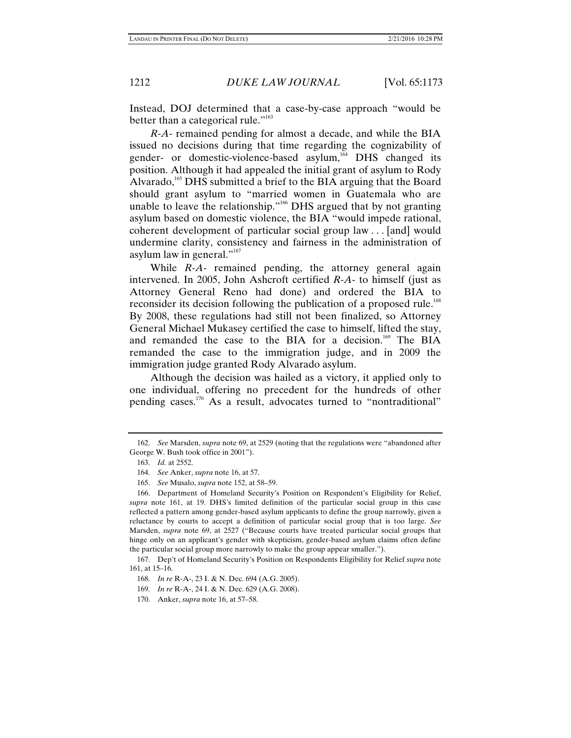Instead, DOJ determined that a case-by-case approach "would be better than a categorical rule."<sup>163</sup>

*R-A-* remained pending for almost a decade, and while the BIA issued no decisions during that time regarding the cognizability of gender- or domestic-violence-based asylum,<sup>164</sup> DHS changed its position. Although it had appealed the initial grant of asylum to Rody Alvarado,<sup>165</sup> DHS submitted a brief to the BIA arguing that the Board should grant asylum to "married women in Guatemala who are unable to leave the relationship."<sup>166</sup> DHS argued that by not granting asylum based on domestic violence, the BIA "would impede rational, coherent development of particular social group law . . . [and] would undermine clarity, consistency and fairness in the administration of asylum law in general."<sup>167</sup>

While *R-A-* remained pending, the attorney general again intervened. In 2005, John Ashcroft certified *R-A-* to himself (just as Attorney General Reno had done) and ordered the BIA to reconsider its decision following the publication of a proposed rule.<sup>168</sup> By 2008, these regulations had still not been finalized, so Attorney General Michael Mukasey certified the case to himself, lifted the stay, and remanded the case to the BIA for a decision.<sup>169</sup> The BIA remanded the case to the immigration judge, and in 2009 the immigration judge granted Rody Alvarado asylum.

Although the decision was hailed as a victory, it applied only to one individual, offering no precedent for the hundreds of other pending cases.170 As a result, advocates turned to "nontraditional"

 <sup>162.</sup> *See* Marsden, *supra* note 69, at 2529 (noting that the regulations were "abandoned after George W. Bush took office in 2001").

 <sup>163.</sup> *Id.* at 2552.

 <sup>164.</sup> *See* Anker, *supra* note 16, at 57.

 <sup>165.</sup> *See* Musalo, *supra* note 152, at 58–59.

 <sup>166.</sup> Department of Homeland Security's Position on Respondent's Eligibility for Relief, *supra* note 161, at 19. DHS's limited definition of the particular social group in this case reflected a pattern among gender-based asylum applicants to define the group narrowly, given a reluctance by courts to accept a definition of particular social group that is too large. *See*  Marsden, *supra* note 69, at 2527 ("Because courts have treated particular social groups that hinge only on an applicant's gender with skepticism, gender-based asylum claims often define the particular social group more narrowly to make the group appear smaller.").

 <sup>167.</sup> Dep't of Homeland Security's Position on Respondents Eligibility for Relief *supra* note 161, at 15–16.

 <sup>168.</sup> *In re* R-A-, 23 I. & N. Dec. 694 (A.G. 2005).

 <sup>169.</sup> *In re* R-A-, 24 I. & N. Dec. 629 (A.G. 2008).

 <sup>170.</sup> Anker, *supra* note 16, at 57–58.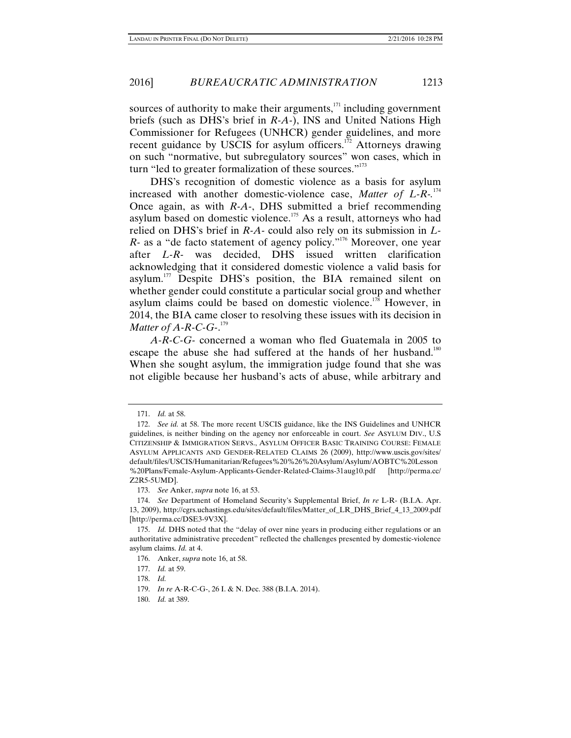sources of authority to make their arguments, $171$  including government briefs (such as DHS's brief in *R-A-*), INS and United Nations High Commissioner for Refugees (UNHCR) gender guidelines, and more recent guidance by USCIS for asylum officers.<sup> $172$ </sup> Attorneys drawing on such "normative, but subregulatory sources" won cases, which in turn "led to greater formalization of these sources."<sup>173</sup>

DHS's recognition of domestic violence as a basis for asylum increased with another domestic-violence case, *Matter of L-R-.*<sup>174</sup> Once again, as with *R-A-*, DHS submitted a brief recommending asylum based on domestic violence.<sup>175</sup> As a result, attorneys who had relied on DHS's brief in *R-A-* could also rely on its submission in *L-R*- as a "de facto statement of agency policy."<sup>176</sup> Moreover, one year after *L-R-* was decided, DHS issued written clarification acknowledging that it considered domestic violence a valid basis for asylum.<sup>177</sup> Despite DHS's position, the BIA remained silent on whether gender could constitute a particular social group and whether asylum claims could be based on domestic violence.<sup>178</sup> However, in 2014, the BIA came closer to resolving these issues with its decision in *Matter of A-R-C-G-*. 179

*A-R-C-G-* concerned a woman who fled Guatemala in 2005 to escape the abuse she had suffered at the hands of her husband.<sup>180</sup> When she sought asylum, the immigration judge found that she was not eligible because her husband's acts of abuse, while arbitrary and

 <sup>171.</sup> *Id.* at 58.

 <sup>172.</sup> *See id.* at 58. The more recent USCIS guidance, like the INS Guidelines and UNHCR guidelines, is neither binding on the agency nor enforceable in court. *See* ASYLUM DIV., U.S CITIZENSHIP & IMMIGRATION SERVS., ASYLUM OFFICER BASIC TRAINING COURSE: FEMALE ASYLUM APPLICANTS AND GENDER-RELATED CLAIMS 26 (2009), http://www.uscis.gov/sites/ default/files/USCIS/Humanitarian/Refugees%20%26%20Asylum/Asylum/AOBTC%20Lesson %20Plans/Female-Asylum-Applicants-Gender-Related-Claims-31aug10.pdf [http://perma.cc/ Z2R5-5UMD].

 <sup>173.</sup> *See* Anker, *supra* note 16, at 53.

 <sup>174.</sup> *See* Department of Homeland Security's Supplemental Brief, *In re* L-R- (B.I.A. Apr. 13, 2009), http://cgrs.uchastings.edu/sites/default/files/Matter\_of\_LR\_DHS\_Brief\_4\_13\_2009.pdf [http://perma.cc/DSE3-9V3X].

 <sup>175.</sup> *Id.* DHS noted that the "delay of over nine years in producing either regulations or an authoritative administrative precedent" reflected the challenges presented by domestic-violence asylum claims. *Id.* at 4.

 <sup>176.</sup> Anker, *supra* note 16, at 58.

 <sup>177.</sup> *Id.* at 59.

 <sup>178.</sup> *Id.* 

 <sup>179.</sup> *In re* A-R-C-G-, 26 I. & N. Dec. 388 (B.I.A. 2014).

 <sup>180.</sup> *Id.* at 389.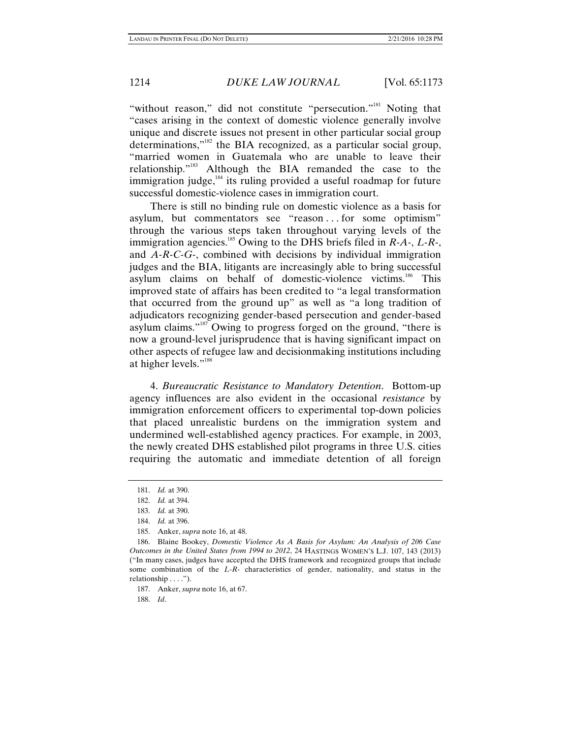"without reason," did not constitute "persecution."<sup>181</sup> Noting that "cases arising in the context of domestic violence generally involve unique and discrete issues not present in other particular social group determinations," $182$  the BIA recognized, as a particular social group, "married women in Guatemala who are unable to leave their relationship."183 Although the BIA remanded the case to the immigration judge, $184$  its ruling provided a useful roadmap for future successful domestic-violence cases in immigration court.

There is still no binding rule on domestic violence as a basis for asylum, but commentators see "reason . . . for some optimism" through the various steps taken throughout varying levels of the immigration agencies.185 Owing to the DHS briefs filed in *R-A-*, *L-R-*, and *A-R-C-G-*, combined with decisions by individual immigration judges and the BIA, litigants are increasingly able to bring successful asylum claims on behalf of domestic-violence victims.<sup>186</sup> This improved state of affairs has been credited to "a legal transformation that occurred from the ground up" as well as "a long tradition of adjudicators recognizing gender-based persecution and gender-based asylum claims."187 Owing to progress forged on the ground, "there is now a ground-level jurisprudence that is having significant impact on other aspects of refugee law and decisionmaking institutions including at higher levels."188

4. *Bureaucratic Resistance to Mandatory Detention*. Bottom-up agency influences are also evident in the occasional *resistance* by immigration enforcement officers to experimental top-down policies that placed unrealistic burdens on the immigration system and undermined well-established agency practices. For example, in 2003, the newly created DHS established pilot programs in three U.S. cities requiring the automatic and immediate detention of all foreign

187. Anker, *supra* note 16, at 67.

188. *Id*.

 <sup>181.</sup> *Id.* at 390.

 <sup>182.</sup> *Id.* at 394.

 <sup>183.</sup> *Id.* at 390.

 <sup>184.</sup> *Id.* at 396.

 <sup>185.</sup> Anker, *supra* note 16, at 48.

 <sup>186.</sup> Blaine Bookey, *Domestic Violence As A Basis for Asylum: An Analysis of 206 Case Outcomes in the United States from 1994 to 2012*, 24 HASTINGS WOMEN'S L.J. 107, 143 (2013) ("In many cases, judges have accepted the DHS framework and recognized groups that include some combination of the *L-R-* characteristics of gender, nationality, and status in the relationship . . . .").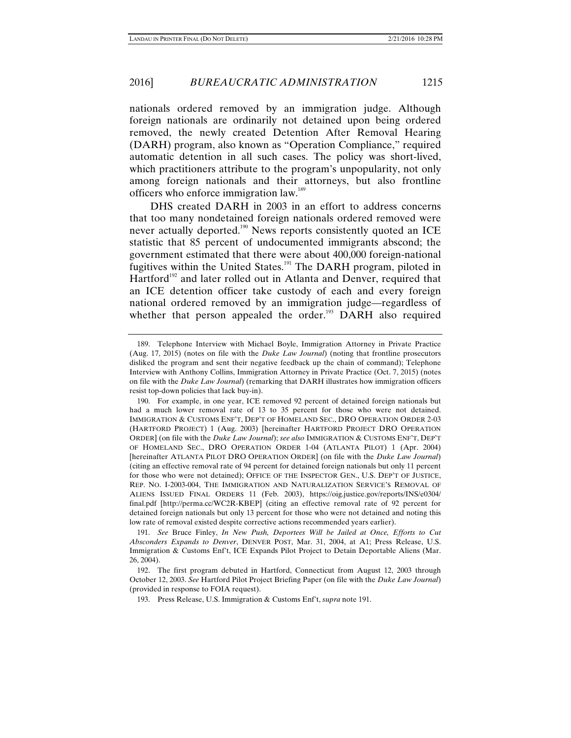nationals ordered removed by an immigration judge. Although foreign nationals are ordinarily not detained upon being ordered removed, the newly created Detention After Removal Hearing (DARH) program, also known as "Operation Compliance," required automatic detention in all such cases. The policy was short-lived, which practitioners attribute to the program's unpopularity, not only among foreign nationals and their attorneys, but also frontline officers who enforce immigration law.<sup>189</sup>

DHS created DARH in 2003 in an effort to address concerns that too many nondetained foreign nationals ordered removed were never actually deported.<sup>190</sup> News reports consistently quoted an ICE statistic that 85 percent of undocumented immigrants abscond; the government estimated that there were about 400,000 foreign-national fugitives within the United States.<sup>191</sup> The DARH program, piloted in Hartford<sup>192</sup> and later rolled out in Atlanta and Denver, required that an ICE detention officer take custody of each and every foreign national ordered removed by an immigration judge—regardless of whether that person appealed the order.<sup>193</sup> DARH also required

 191. *See* Bruce Finley, *In New Push, Deportees Will be Jailed at Once, Efforts to Cut Absconders Expands to Denver*, DENVER POST, Mar. 31, 2004, at A1; Press Release, U.S. Immigration & Customs Enf't, ICE Expands Pilot Project to Detain Deportable Aliens (Mar. 26, 2004).

 <sup>189.</sup> Telephone Interview with Michael Boyle, Immigration Attorney in Private Practice (Aug. 17, 2015) (notes on file with the *Duke Law Journal*) (noting that frontline prosecutors disliked the program and sent their negative feedback up the chain of command); Telephone Interview with Anthony Collins, Immigration Attorney in Private Practice (Oct. 7, 2015) (notes on file with the *Duke Law Journal*) (remarking that DARH illustrates how immigration officers resist top-down policies that lack buy-in).

 <sup>190.</sup> For example, in one year, ICE removed 92 percent of detained foreign nationals but had a much lower removal rate of 13 to 35 percent for those who were not detained. IMMIGRATION & CUSTOMS ENF'T, DEP'T OF HOMELAND SEC., DRO OPERATION ORDER 2-03 (HARTFORD PROJECT) 1 (Aug. 2003) [hereinafter HARTFORD PROJECT DRO OPERATION ORDER] (on file with the *Duke Law Journal*); *see also* IMMIGRATION & CUSTOMS ENF'T, DEP'T OF HOMELAND SEC., DRO OPERATION ORDER 1-04 (ATLANTA PILOT) 1 (Apr. 2004) [hereinafter ATLANTA PILOT DRO OPERATION ORDER] (on file with the *Duke Law Journal*) (citing an effective removal rate of 94 percent for detained foreign nationals but only 11 percent for those who were not detained); OFFICE OF THE INSPECTOR GEN., U.S. DEP'T OF JUSTICE, REP. NO. I-2003-004, THE IMMIGRATION AND NATURALIZATION SERVICE'S REMOVAL OF ALIENS ISSUED FINAL ORDERS 11 (Feb. 2003), https://oig.justice.gov/reports/INS/e0304/ final.pdf [http://perma.cc/WC2R-KBEP] (citing an effective removal rate of 92 percent for detained foreign nationals but only 13 percent for those who were not detained and noting this low rate of removal existed despite corrective actions recommended years earlier).

 <sup>192.</sup> The first program debuted in Hartford, Connecticut from August 12, 2003 through October 12, 2003. *See* Hartford Pilot Project Briefing Paper (on file with the *Duke Law Journal*) (provided in response to FOIA request).

 <sup>193.</sup> Press Release, U.S. Immigration & Customs Enf't, *supra* note 191.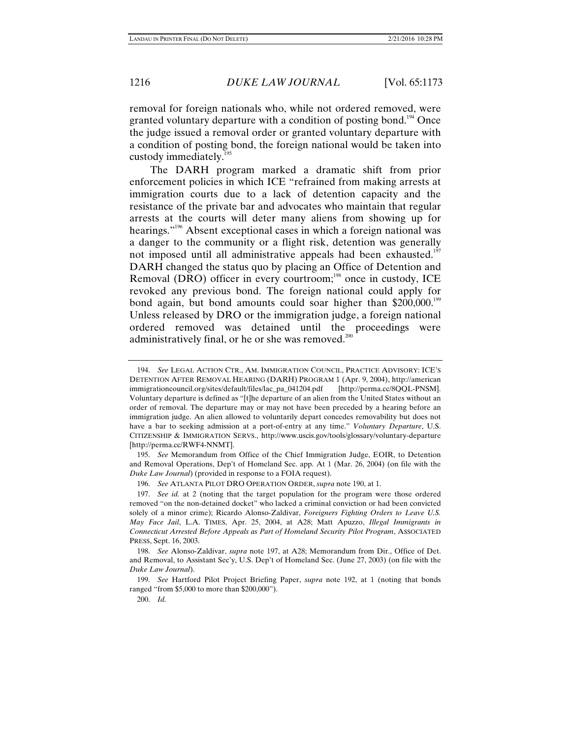removal for foreign nationals who, while not ordered removed, were granted voluntary departure with a condition of posting bond.<sup>194</sup> Once the judge issued a removal order or granted voluntary departure with a condition of posting bond, the foreign national would be taken into custody immediately.<sup>195</sup>

The DARH program marked a dramatic shift from prior enforcement policies in which ICE "refrained from making arrests at immigration courts due to a lack of detention capacity and the resistance of the private bar and advocates who maintain that regular arrests at the courts will deter many aliens from showing up for hearings."<sup>196</sup> Absent exceptional cases in which a foreign national was a danger to the community or a flight risk, detention was generally not imposed until all administrative appeals had been exhausted.<sup>197</sup> DARH changed the status quo by placing an Office of Detention and Removal (DRO) officer in every courtroom;<sup>198</sup> once in custody, ICE revoked any previous bond. The foreign national could apply for bond again, but bond amounts could soar higher than \$200,000.<sup>199</sup> Unless released by DRO or the immigration judge, a foreign national ordered removed was detained until the proceedings were administratively final, or he or she was removed.<sup>200</sup>

 195. *See* Memorandum from Office of the Chief Immigration Judge, EOIR, to Detention and Removal Operations, Dep't of Homeland Sec. app. At 1 (Mar. 26, 2004) (on file with the *Duke Law Journal*) (provided in response to a FOIA request).

196. *See* ATLANTA PILOT DRO OPERATION ORDER, *supra* note 190, at 1.

200. *Id.*

 <sup>194.</sup> *See* LEGAL ACTION CTR., AM. IMMIGRATION COUNCIL, PRACTICE ADVISORY: ICE'S DETENTION AFTER REMOVAL HEARING (DARH) PROGRAM 1 (Apr. 9, 2004), http://american immigrationcouncil.org/sites/default/files/lac\_pa\_041204.pdf [http://perma.cc/8QQL-PNSM]. Voluntary departure is defined as "[t]he departure of an alien from the United States without an order of removal. The departure may or may not have been preceded by a hearing before an immigration judge. An alien allowed to voluntarily depart concedes removability but does not have a bar to seeking admission at a port-of-entry at any time." *Voluntary Departure*, U.S. CITIZENSHIP & IMMIGRATION SERVS., http://www.uscis.gov/tools/glossary/voluntary-departure [http://perma.cc/RWF4-NNMT].

 <sup>197.</sup> *See id.* at 2 (noting that the target population for the program were those ordered removed "on the non-detained docket" who lacked a criminal conviction or had been convicted solely of a minor crime); Ricardo Alonso-Zaldivar, *Foreigners Fighting Orders to Leave U.S. May Face Jail*, L.A. TIMES, Apr. 25, 2004, at A28; Matt Apuzzo, *Illegal Immigrants in Connecticut Arrested Before Appeals as Part of Homeland Security Pilot Program*, ASSOCIATED PRESS, Sept. 16, 2003.

 <sup>198.</sup> *See* Alonso-Zaldivar, *supra* note 197, at A28; Memorandum from Dir., Office of Det. and Removal, to Assistant Sec'y, U.S. Dep't of Homeland Sec. (June 27, 2003) (on file with the *Duke Law Journal*).

 <sup>199.</sup> *See* Hartford Pilot Project Briefing Paper, *supra* note 192, at 1 (noting that bonds ranged "from \$5,000 to more than \$200,000").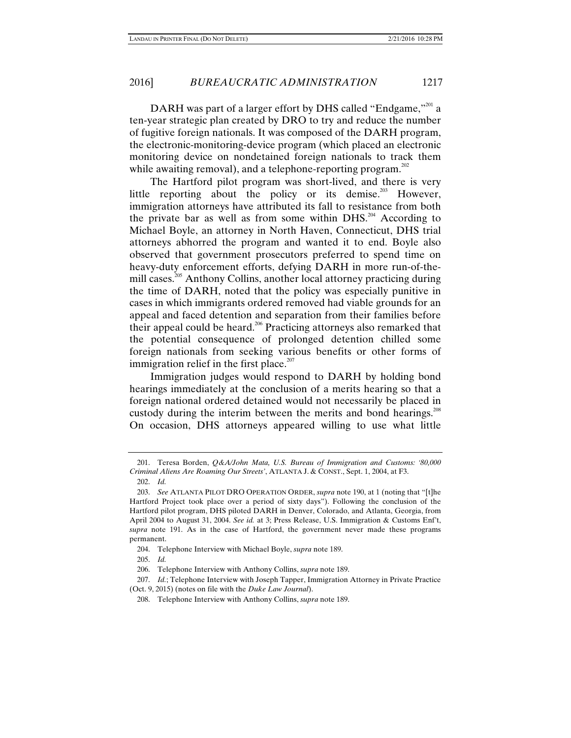DARH was part of a larger effort by DHS called "Endgame,"<sup>201</sup> a ten-year strategic plan created by DRO to try and reduce the number of fugitive foreign nationals. It was composed of the DARH program, the electronic-monitoring-device program (which placed an electronic monitoring device on nondetained foreign nationals to track them while awaiting removal), and a telephone-reporting program. $^{202}$ 

The Hartford pilot program was short-lived, and there is very little reporting about the policy or its demise.<sup>203</sup> However, immigration attorneys have attributed its fall to resistance from both the private bar as well as from some within DHS.<sup>204</sup> According to Michael Boyle, an attorney in North Haven, Connecticut, DHS trial attorneys abhorred the program and wanted it to end. Boyle also observed that government prosecutors preferred to spend time on heavy-duty enforcement efforts, defying DARH in more run-of-themill cases.<sup>205</sup> Anthony Collins, another local attorney practicing during the time of DARH, noted that the policy was especially punitive in cases in which immigrants ordered removed had viable grounds for an appeal and faced detention and separation from their families before their appeal could be heard.<sup>206</sup> Practicing attorneys also remarked that the potential consequence of prolonged detention chilled some foreign nationals from seeking various benefits or other forms of immigration relief in the first place. $207$ 

Immigration judges would respond to DARH by holding bond hearings immediately at the conclusion of a merits hearing so that a foreign national ordered detained would not necessarily be placed in custody during the interim between the merits and bond hearings.<sup>208</sup> On occasion, DHS attorneys appeared willing to use what little

205. *Id.* 

 <sup>201.</sup> Teresa Borden, *Q&A/John Mata, U.S. Bureau of Immigration and Customs: '80,000 Criminal Aliens Are Roaming Our Streets'*, ATLANTA J. & CONST., Sept. 1, 2004, at F3.

 <sup>202.</sup> *Id.*

 <sup>203.</sup> *See* ATLANTA PILOT DRO OPERATION ORDER, *supra* note 190, at 1 (noting that "[t]he Hartford Project took place over a period of sixty days"). Following the conclusion of the Hartford pilot program, DHS piloted DARH in Denver, Colorado, and Atlanta, Georgia, from April 2004 to August 31, 2004. *See id.* at 3; Press Release, U.S. Immigration & Customs Enf't, *supra* note 191. As in the case of Hartford, the government never made these programs permanent.

 <sup>204.</sup> Telephone Interview with Michael Boyle, *supra* note 189.

 <sup>206.</sup> Telephone Interview with Anthony Collins, *supra* note 189.

<sup>207.</sup> *Id.*; Telephone Interview with Joseph Tapper, Immigration Attorney in Private Practice (Oct. 9, 2015) (notes on file with the *Duke Law Journal*).

 <sup>208.</sup> Telephone Interview with Anthony Collins, *supra* note 189.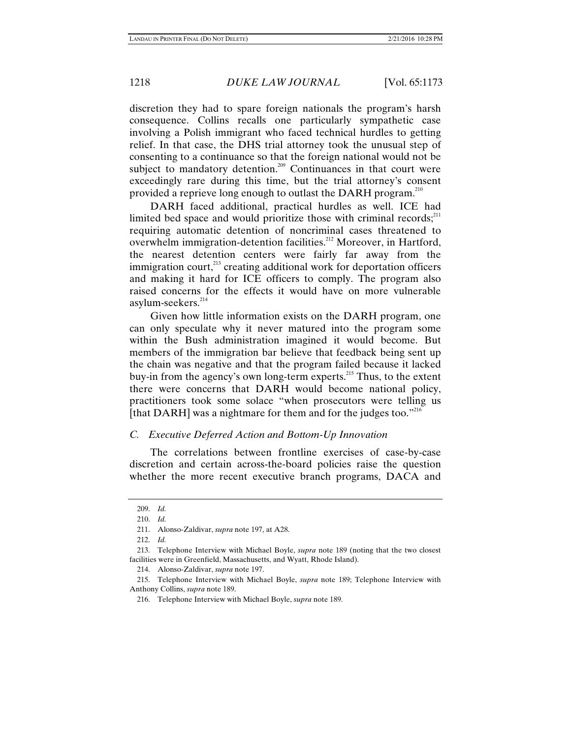discretion they had to spare foreign nationals the program's harsh consequence. Collins recalls one particularly sympathetic case involving a Polish immigrant who faced technical hurdles to getting relief. In that case, the DHS trial attorney took the unusual step of consenting to a continuance so that the foreign national would not be subject to mandatory detention.<sup>209</sup> Continuances in that court were exceedingly rare during this time, but the trial attorney's consent provided a reprieve long enough to outlast the DARH program.<sup>210</sup>

DARH faced additional, practical hurdles as well. ICE had limited bed space and would prioritize those with criminal records; $^{211}$ requiring automatic detention of noncriminal cases threatened to overwhelm immigration-detention facilities.<sup>212</sup> Moreover, in Hartford, the nearest detention centers were fairly far away from the immigration court, $^{213}$  creating additional work for deportation officers and making it hard for ICE officers to comply. The program also raised concerns for the effects it would have on more vulnerable asylum-seekers.<sup>214</sup>

Given how little information exists on the DARH program, one can only speculate why it never matured into the program some within the Bush administration imagined it would become. But members of the immigration bar believe that feedback being sent up the chain was negative and that the program failed because it lacked buy-in from the agency's own long-term experts.<sup>215</sup> Thus, to the extent there were concerns that DARH would become national policy, practitioners took some solace "when prosecutors were telling us [that DARH] was a nightmare for them and for the judges too."<sup>216</sup>

### *C. Executive Deferred Action and Bottom-Up Innovation*

The correlations between frontline exercises of case-by-case discretion and certain across-the-board policies raise the question whether the more recent executive branch programs, DACA and

 <sup>209.</sup> *Id.* 

 <sup>210.</sup> *Id.* 

 <sup>211.</sup> Alonso-Zaldivar, *supra* note 197, at A28.

 <sup>212.</sup> *Id.* 

 <sup>213.</sup> Telephone Interview with Michael Boyle, *supra* note 189 (noting that the two closest facilities were in Greenfield, Massachusetts, and Wyatt, Rhode Island).

 <sup>214.</sup> Alonso-Zaldivar, *supra* note 197.

 <sup>215.</sup> Telephone Interview with Michael Boyle, *supra* note 189; Telephone Interview with Anthony Collins, *supra* note 189.

 <sup>216.</sup> Telephone Interview with Michael Boyle, *supra* note 189.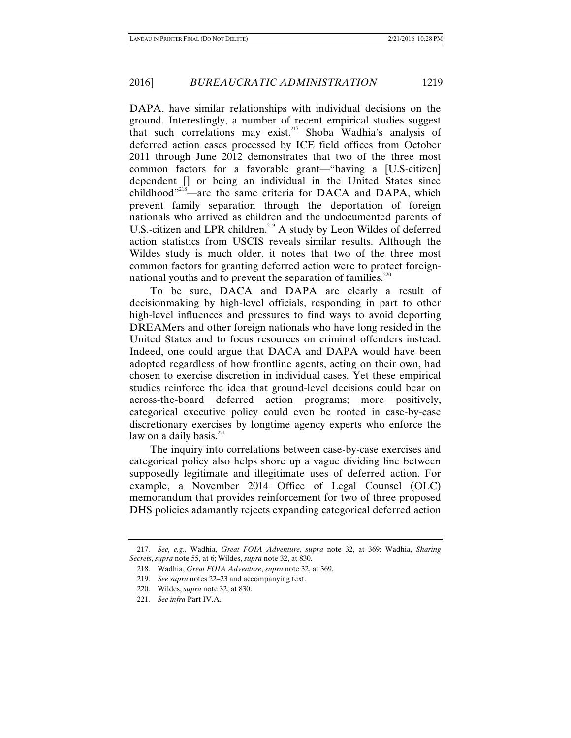DAPA, have similar relationships with individual decisions on the ground. Interestingly, a number of recent empirical studies suggest that such correlations may exist.217 Shoba Wadhia's analysis of deferred action cases processed by ICE field offices from October 2011 through June 2012 demonstrates that two of the three most common factors for a favorable grant—"having a [U.S-citizen] dependent [] or being an individual in the United States since childhood"<sup>218</sup>—are the same criteria for DACA and DAPA, which prevent family separation through the deportation of foreign nationals who arrived as children and the undocumented parents of U.S.-citizen and LPR children.<sup>219</sup> A study by Leon Wildes of deferred action statistics from USCIS reveals similar results. Although the Wildes study is much older, it notes that two of the three most common factors for granting deferred action were to protect foreignnational youths and to prevent the separation of families. $220$ 

To be sure, DACA and DAPA are clearly a result of decisionmaking by high-level officials, responding in part to other high-level influences and pressures to find ways to avoid deporting DREAMers and other foreign nationals who have long resided in the United States and to focus resources on criminal offenders instead. Indeed, one could argue that DACA and DAPA would have been adopted regardless of how frontline agents, acting on their own, had chosen to exercise discretion in individual cases. Yet these empirical studies reinforce the idea that ground-level decisions could bear on across-the-board deferred action programs; more positively, categorical executive policy could even be rooted in case-by-case discretionary exercises by longtime agency experts who enforce the law on a daily basis. $221$ 

The inquiry into correlations between case-by-case exercises and categorical policy also helps shore up a vague dividing line between supposedly legitimate and illegitimate uses of deferred action. For example, a November 2014 Office of Legal Counsel (OLC) memorandum that provides reinforcement for two of three proposed DHS policies adamantly rejects expanding categorical deferred action

 <sup>217.</sup> *See, e.g.*, Wadhia, *Great FOIA Adventure*, *supra* note 32, at 369; Wadhia, *Sharing Secrets*, *supra* note 55, at 6; Wildes, *supra* note 32, at 830.

 <sup>218.</sup> Wadhia, *Great FOIA Adventure*, *supra* note 32, at 369.

 <sup>219.</sup> *See supra* notes 22–23 and accompanying text.

 <sup>220.</sup> Wildes, *supra* note 32, at 830.

 <sup>221.</sup> *See infra* Part IV.A.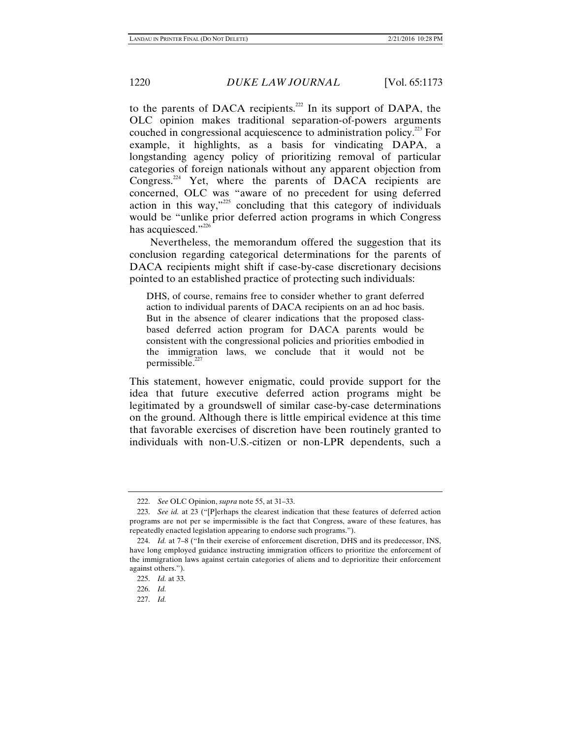to the parents of DACA recipients.<sup>222</sup> In its support of DAPA, the OLC opinion makes traditional separation-of-powers arguments couched in congressional acquiescence to administration policy.223 For example, it highlights, as a basis for vindicating DAPA, a longstanding agency policy of prioritizing removal of particular categories of foreign nationals without any apparent objection from Congress. $224$  Yet, where the parents of DACA recipients are concerned, OLC was "aware of no precedent for using deferred action in this way,"225 concluding that this category of individuals would be "unlike prior deferred action programs in which Congress has acquiesced."<sup>226</sup>

Nevertheless, the memorandum offered the suggestion that its conclusion regarding categorical determinations for the parents of DACA recipients might shift if case-by-case discretionary decisions pointed to an established practice of protecting such individuals:

DHS, of course, remains free to consider whether to grant deferred action to individual parents of DACA recipients on an ad hoc basis. But in the absence of clearer indications that the proposed classbased deferred action program for DACA parents would be consistent with the congressional policies and priorities embodied in the immigration laws, we conclude that it would not be permissible. $227$ 

This statement, however enigmatic, could provide support for the idea that future executive deferred action programs might be legitimated by a groundswell of similar case-by-case determinations on the ground. Although there is little empirical evidence at this time that favorable exercises of discretion have been routinely granted to individuals with non-U.S.-citizen or non-LPR dependents, such a

 <sup>222.</sup> *See* OLC Opinion, *supra* note 55, at 31–33.

 <sup>223.</sup> *See id.* at 23 ("[P]erhaps the clearest indication that these features of deferred action programs are not per se impermissible is the fact that Congress, aware of these features, has repeatedly enacted legislation appearing to endorse such programs.").

 <sup>224.</sup> *Id.* at 7–8 ("In their exercise of enforcement discretion, DHS and its predecessor, INS, have long employed guidance instructing immigration officers to prioritize the enforcement of the immigration laws against certain categories of aliens and to deprioritize their enforcement against others.").

 <sup>225.</sup> *Id.* at 33.

 <sup>226.</sup> *Id.* 

 <sup>227.</sup> *Id.*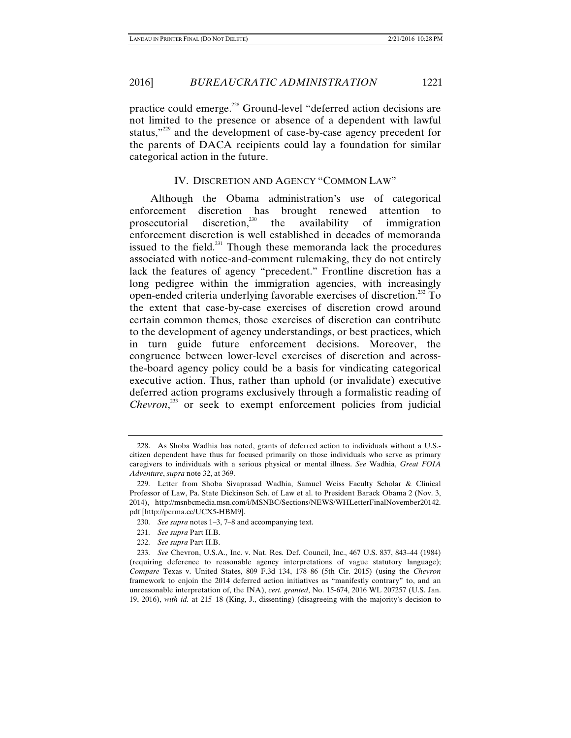practice could emerge.228 Ground-level "deferred action decisions are not limited to the presence or absence of a dependent with lawful status,"<sup>229</sup> and the development of case-by-case agency precedent for the parents of DACA recipients could lay a foundation for similar categorical action in the future.

# IV. DISCRETION AND AGENCY "COMMON LAW"

Although the Obama administration's use of categorical enforcement discretion has brought renewed attention to prosecutorial discretion,<sup>230</sup> the availability of immigration enforcement discretion is well established in decades of memoranda issued to the field.<sup>231</sup> Though these memoranda lack the procedures associated with notice-and-comment rulemaking, they do not entirely lack the features of agency "precedent." Frontline discretion has a long pedigree within the immigration agencies, with increasingly open-ended criteria underlying favorable exercises of discretion.<sup>232</sup> To the extent that case-by-case exercises of discretion crowd around certain common themes, those exercises of discretion can contribute to the development of agency understandings, or best practices, which in turn guide future enforcement decisions. Moreover, the congruence between lower-level exercises of discretion and acrossthe-board agency policy could be a basis for vindicating categorical executive action. Thus, rather than uphold (or invalidate) executive deferred action programs exclusively through a formalistic reading of Chevron,<sup>233</sup> or seek to exempt enforcement policies from judicial

- 230. *See supra* notes 1–3, 7–8 and accompanying text.
- 231. *See supra* Part II.B.
- 232. *See supra* Part II.B.

 <sup>228.</sup> As Shoba Wadhia has noted, grants of deferred action to individuals without a U.S. citizen dependent have thus far focused primarily on those individuals who serve as primary caregivers to individuals with a serious physical or mental illness. *See* Wadhia, *Great FOIA Adventure*, *supra* note 32, at 369.

 <sup>229.</sup> Letter from Shoba Sivaprasad Wadhia, Samuel Weiss Faculty Scholar & Clinical Professor of Law, Pa. State Dickinson Sch. of Law et al. to President Barack Obama 2 (Nov. 3, 2014), http://msnbcmedia.msn.com/i/MSNBC/Sections/NEWS/WHLetterFinalNovember20142. pdf [http://perma.cc/UCX5-HBM9].

 <sup>233.</sup> *See* Chevron, U.S.A., Inc. v. Nat. Res. Def. Council, Inc., 467 U.S. 837, 843–44 (1984) (requiring deference to reasonable agency interpretations of vague statutory language); *Compare* Texas v. United States, 809 F.3d 134, 178–86 (5th Cir. 2015) (using the *Chevron* framework to enjoin the 2014 deferred action initiatives as "manifestly contrary" to, and an unreasonable interpretation of, the INA), *cert. granted*, No. 15-674, 2016 WL 207257 (U.S. Jan. 19, 2016), *with id.* at 215–18 (King, J., dissenting) (disagreeing with the majority's decision to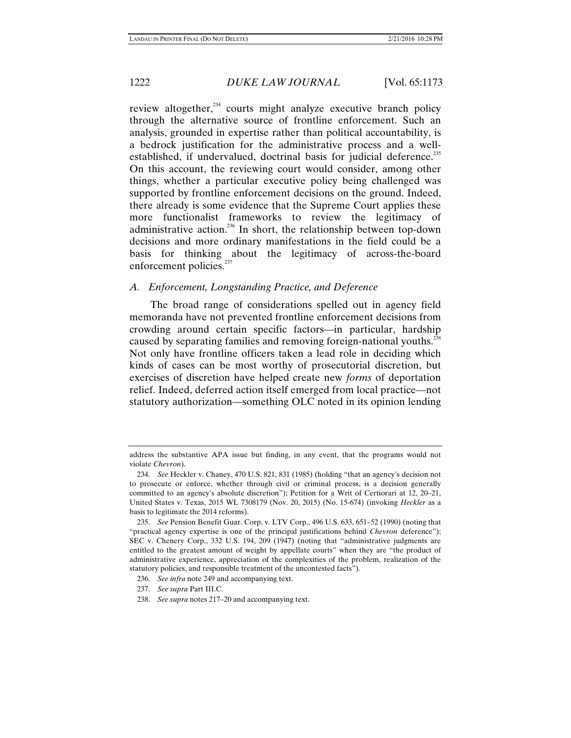review altogether, $^{234}$  courts might analyze executive branch policy through the alternative source of frontline enforcement. Such an analysis, grounded in expertise rather than political accountability, is a bedrock justification for the administrative process and a wellestablished, if undervalued, doctrinal basis for judicial deference.<sup>235</sup> On this account, the reviewing court would consider, among other things, whether a particular executive policy being challenged was supported by frontline enforcement decisions on the ground. Indeed, there already is some evidence that the Supreme Court applies these more functionalist frameworks to review the legitimacy of administrative action.236 In short, the relationship between top-down decisions and more ordinary manifestations in the field could be a basis for thinking about the legitimacy of across-the-board enforcement policies.<sup>237</sup>

### *A. Enforcement, Longstanding Practice, and Deference*

The broad range of considerations spelled out in agency field memoranda have not prevented frontline enforcement decisions from crowding around certain specific factors—in particular, hardship caused by separating families and removing foreign-national youths.<sup>238</sup> Not only have frontline officers taken a lead role in deciding which kinds of cases can be most worthy of prosecutorial discretion, but exercises of discretion have helped create new *forms* of deportation relief. Indeed, deferred action itself emerged from local practice—not statutory authorization—something OLC noted in its opinion lending

address the substantive APA issue but finding, in any event, that the programs would not violate *Chevron*).

 <sup>234.</sup> *See* Heckler v. Chaney, 470 U.S. 821, 831 (1985) (holding "that an agency's decision not to prosecute or enforce, whether through civil or criminal process, is a decision generally committed to an agency's absolute discretion"); Petition for a Writ of Certiorari at 12, 20–21, United States v. Texas, 2015 WL 7308179 (Nov. 20, 2015) (No. 15-674) (invoking *Heckler* as a basis to legitimate the 2014 reforms).

 <sup>235.</sup> *See* Pension Benefit Guar. Corp. v. LTV Corp., 496 U.S. 633, 651–52 (1990) (noting that "practical agency expertise is one of the principal justifications behind *Chevron* deference"); SEC v. Chenery Corp., 332 U.S. 194, 209 (1947) (noting that "administrative judgments are entitled to the greatest amount of weight by appellate courts" when they are "the product of administrative experience, appreciation of the complexities of the problem, realization of the statutory policies, and responsible treatment of the uncontested facts").

 <sup>236.</sup> *See infra* note 249 and accompanying text.

 <sup>237.</sup> *See supra* Part III.C.

 <sup>238.</sup> *See supra* notes 217–20 and accompanying text.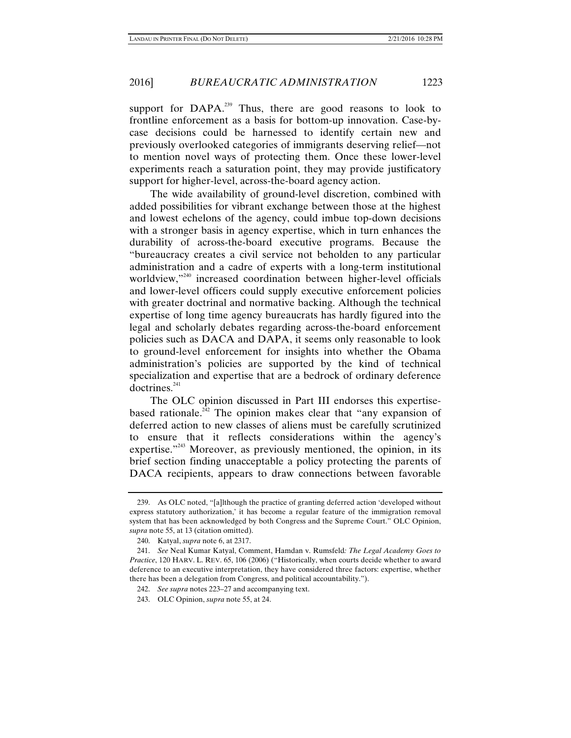## 2016] *BUREAUCRATIC ADMINISTRATION* 1223

support for DAPA.<sup>239</sup> Thus, there are good reasons to look to frontline enforcement as a basis for bottom-up innovation. Case-bycase decisions could be harnessed to identify certain new and previously overlooked categories of immigrants deserving relief—not to mention novel ways of protecting them. Once these lower-level experiments reach a saturation point, they may provide justificatory support for higher-level, across-the-board agency action.

The wide availability of ground-level discretion, combined with added possibilities for vibrant exchange between those at the highest and lowest echelons of the agency, could imbue top-down decisions with a stronger basis in agency expertise, which in turn enhances the durability of across-the-board executive programs. Because the "bureaucracy creates a civil service not beholden to any particular administration and a cadre of experts with a long-term institutional worldview,"<sup>240</sup> increased coordination between higher-level officials and lower-level officers could supply executive enforcement policies with greater doctrinal and normative backing. Although the technical expertise of long time agency bureaucrats has hardly figured into the legal and scholarly debates regarding across-the-board enforcement policies such as DACA and DAPA, it seems only reasonable to look to ground-level enforcement for insights into whether the Obama administration's policies are supported by the kind of technical specialization and expertise that are a bedrock of ordinary deference  $d$ octrines. $^{241}$ 

The OLC opinion discussed in Part III endorses this expertisebased rationale.<sup>242</sup> The opinion makes clear that "any expansion of deferred action to new classes of aliens must be carefully scrutinized to ensure that it reflects considerations within the agency's expertise."<sup>243</sup> Moreover, as previously mentioned, the opinion, in its brief section finding unacceptable a policy protecting the parents of DACA recipients, appears to draw connections between favorable

 <sup>239.</sup> As OLC noted, "[a]lthough the practice of granting deferred action 'developed without express statutory authorization,' it has become a regular feature of the immigration removal system that has been acknowledged by both Congress and the Supreme Court." OLC Opinion, *supra* note 55, at 13 (citation omitted).

 <sup>240.</sup> Katyal, *supra* note 6, at 2317.

 <sup>241.</sup> *See* Neal Kumar Katyal, Comment, Hamdan v. Rumsfeld*: The Legal Academy Goes to Practice*, 120 HARV. L. REV. 65, 106 (2006) ("Historically, when courts decide whether to award deference to an executive interpretation, they have considered three factors: expertise, whether there has been a delegation from Congress, and political accountability.").

 <sup>242.</sup> *See supra* notes 223–27 and accompanying text.

 <sup>243.</sup> OLC Opinion, *supra* note 55, at 24.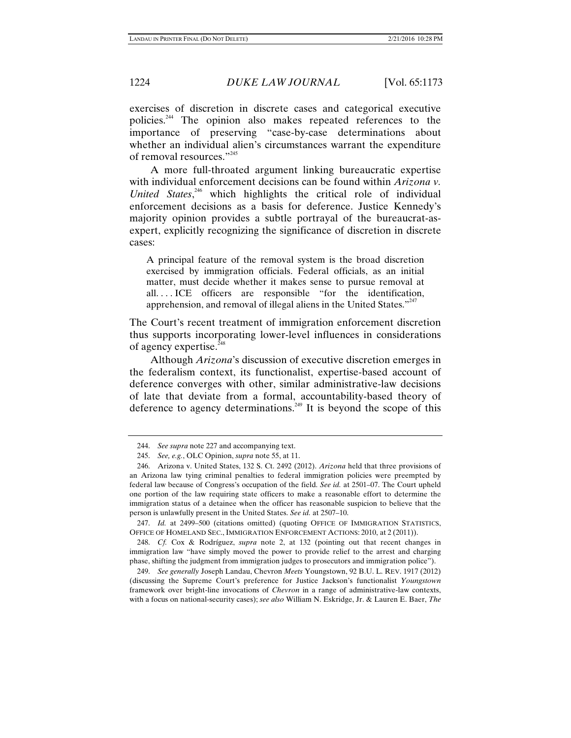exercises of discretion in discrete cases and categorical executive policies.244 The opinion also makes repeated references to the importance of preserving "case-by-case determinations about whether an individual alien's circumstances warrant the expenditure of removal resources."<sup>245</sup>

A more full-throated argument linking bureaucratic expertise with individual enforcement decisions can be found within *Arizona v. United States*, 246 which highlights the critical role of individual enforcement decisions as a basis for deference. Justice Kennedy's majority opinion provides a subtle portrayal of the bureaucrat-asexpert, explicitly recognizing the significance of discretion in discrete cases:

A principal feature of the removal system is the broad discretion exercised by immigration officials. Federal officials, as an initial matter, must decide whether it makes sense to pursue removal at all. . . . ICE officers are responsible "for the identification, apprehension, and removal of illegal aliens in the United States. $"^{247}$ 

The Court's recent treatment of immigration enforcement discretion thus supports incorporating lower-level influences in considerations of agency expertise. $^{248}$ 

Although *Arizona*'s discussion of executive discretion emerges in the federalism context, its functionalist, expertise-based account of deference converges with other, similar administrative-law decisions of late that deviate from a formal, accountability-based theory of deference to agency determinations.<sup>249</sup> It is beyond the scope of this

 247. *Id.* at 2499–500 (citations omitted) (quoting OFFICE OF IMMIGRATION STATISTICS, OFFICE OF HOMELAND SEC., IMMIGRATION ENFORCEMENT ACTIONS: 2010, at 2 (2011)).

 248. *Cf.* Cox & Rodríguez, *supra* note 2, at 132 (pointing out that recent changes in immigration law "have simply moved the power to provide relief to the arrest and charging phase, shifting the judgment from immigration judges to prosecutors and immigration police").

 <sup>244.</sup> *See supra* note 227 and accompanying text.

 <sup>245.</sup> *See, e.g.*, OLC Opinion, *supra* note 55, at 11.

 <sup>246.</sup> Arizona v. United States, 132 S. Ct. 2492 (2012). *Arizona* held that three provisions of an Arizona law tying criminal penalties to federal immigration policies were preempted by federal law because of Congress's occupation of the field. *See id.* at 2501–07. The Court upheld one portion of the law requiring state officers to make a reasonable effort to determine the immigration status of a detainee when the officer has reasonable suspicion to believe that the person is unlawfully present in the United States. *See id.* at 2507–10.

 <sup>249.</sup> *See generally* Joseph Landau, Chevron *Meets* Youngstown, 92 B.U. L. REV. 1917 (2012) (discussing the Supreme Court's preference for Justice Jackson's functionalist *Youngstown*  framework over bright-line invocations of *Chevron* in a range of administrative-law contexts, with a focus on national-security cases); *see also* William N. Eskridge, Jr. & Lauren E. Baer, *The*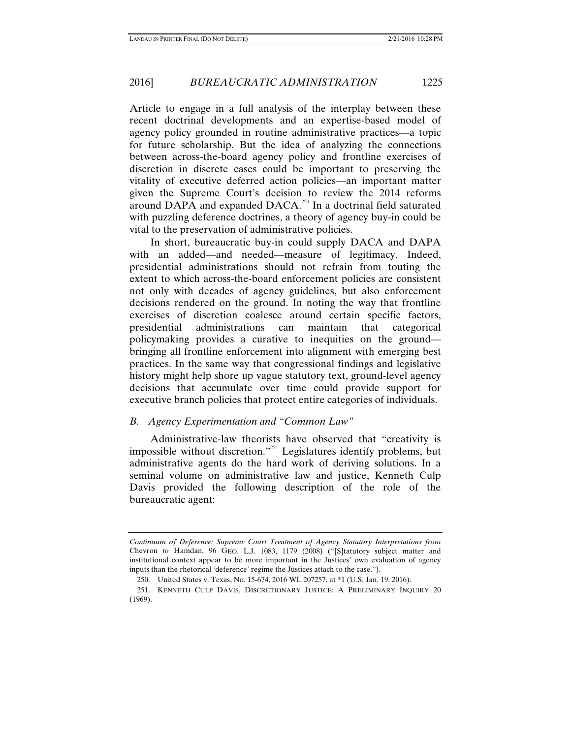Article to engage in a full analysis of the interplay between these recent doctrinal developments and an expertise-based model of agency policy grounded in routine administrative practices—a topic for future scholarship. But the idea of analyzing the connections between across-the-board agency policy and frontline exercises of discretion in discrete cases could be important to preserving the vitality of executive deferred action policies—an important matter given the Supreme Court's decision to review the 2014 reforms around DAPA and expanded DACA.<sup>250</sup> In a doctrinal field saturated with puzzling deference doctrines, a theory of agency buy-in could be vital to the preservation of administrative policies.

In short, bureaucratic buy-in could supply DACA and DAPA with an added—and needed—measure of legitimacy. Indeed, presidential administrations should not refrain from touting the extent to which across-the-board enforcement policies are consistent not only with decades of agency guidelines, but also enforcement decisions rendered on the ground. In noting the way that frontline exercises of discretion coalesce around certain specific factors, presidential administrations can maintain that categorical policymaking provides a curative to inequities on the ground bringing all frontline enforcement into alignment with emerging best practices. In the same way that congressional findings and legislative history might help shore up vague statutory text, ground-level agency decisions that accumulate over time could provide support for executive branch policies that protect entire categories of individuals.

# *B. Agency Experimentation and "Common Law"*

Administrative-law theorists have observed that "creativity is impossible without discretion."251 Legislatures identify problems, but administrative agents do the hard work of deriving solutions. In a seminal volume on administrative law and justice, Kenneth Culp Davis provided the following description of the role of the bureaucratic agent:

*Continuum of Deference: Supreme Court Treatment of Agency Statutory Interpretations from*  Chevron *to* Hamdan, 96 GEO. L.J. 1083, 1179 (2008) ("[S]tatutory subject matter and institutional context appear to be more important in the Justices' own evaluation of agency inputs than the rhetorical 'deference' regime the Justices attach to the case.").

 <sup>250.</sup> United States v. Texas, No. 15-674, 2016 WL 207257, at \*1 (U.S. Jan. 19, 2016).

 <sup>251.</sup> KENNETH CULP DAVIS, DISCRETIONARY JUSTICE: A PRELIMINARY INQUIRY 20 (1969).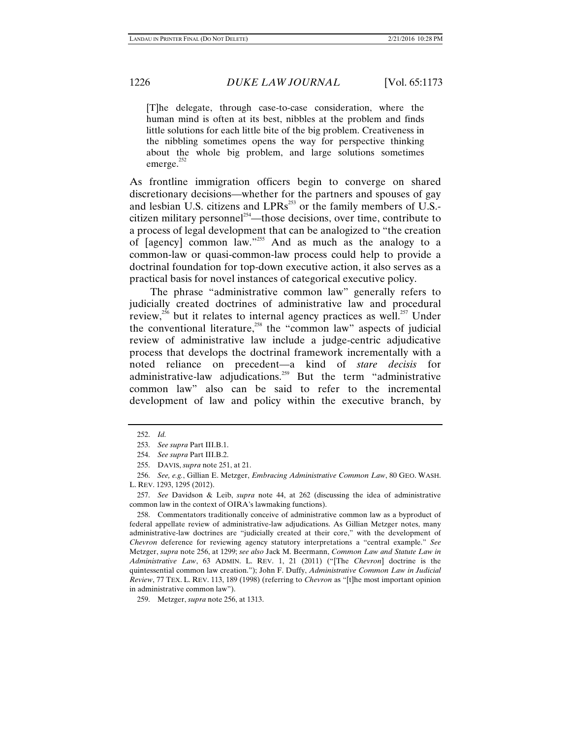[T]he delegate, through case-to-case consideration, where the human mind is often at its best, nibbles at the problem and finds little solutions for each little bite of the big problem. Creativeness in the nibbling sometimes opens the way for perspective thinking about the whole big problem, and large solutions sometimes emerge. $252$ 

As frontline immigration officers begin to converge on shared discretionary decisions—whether for the partners and spouses of gay and lesbian U.S. citizens and  $LPRs<sup>253</sup>$  or the family members of U.S.citizen military personnel<sup>254</sup>—those decisions, over time, contribute to a process of legal development that can be analogized to "the creation of  $[$ agency $]$  common law."<sup>255</sup> And as much as the analogy to a common-law or quasi-common-law process could help to provide a doctrinal foundation for top-down executive action, it also serves as a practical basis for novel instances of categorical executive policy.

The phrase "administrative common law" generally refers to judicially created doctrines of administrative law and procedural review,<sup>256</sup> but it relates to internal agency practices as well.<sup>257</sup> Under the conventional literature,<sup>258</sup> the "common law" aspects of judicial review of administrative law include a judge-centric adjudicative process that develops the doctrinal framework incrementally with a noted reliance on precedent—a kind of *stare decisis* for administrative-law adjudications.<sup>259</sup> But the term "administrative common law" also can be said to refer to the incremental development of law and policy within the executive branch, by

 258. Commentators traditionally conceive of administrative common law as a byproduct of federal appellate review of administrative-law adjudications. As Gillian Metzger notes, many administrative-law doctrines are "judicially created at their core," with the development of *Chevron* deference for reviewing agency statutory interpretations a "central example." *See*  Metzger, *supra* note 256, at 1299; *see also* Jack M. Beermann, *Common Law and Statute Law in Administrative Law*, 63 ADMIN. L. REV. 1, 21 (2011) ("[The *Chevron*] doctrine is the quintessential common law creation."); John F. Duffy, *Administrative Common Law in Judicial Review*, 77 TEX. L. REV. 113, 189 (1998) (referring to *Chevron* as "[t]he most important opinion in administrative common law").

 <sup>252.</sup> *Id.* 

 <sup>253.</sup> *See supra* Part III.B.1.

 <sup>254.</sup> *See supra* Part III.B.2.

 <sup>255.</sup> DAVIS, *supra* note 251, at 21.

 <sup>256.</sup> *See, e.g.*, Gillian E. Metzger, *Embracing Administrative Common Law*, 80 GEO. WASH. L. REV. 1293, 1295 (2012).

 <sup>257.</sup> *See* Davidson & Leib, *supra* note 44, at 262 (discussing the idea of administrative common law in the context of OIRA's lawmaking functions).

 <sup>259.</sup> Metzger, *supra* note 256, at 1313.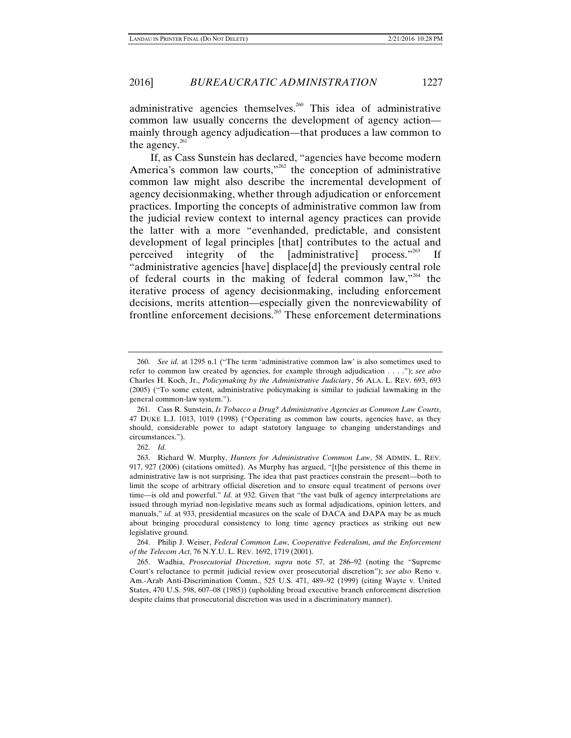administrative agencies themselves.<sup>260</sup> This idea of administrative common law usually concerns the development of agency action mainly through agency adjudication—that produces a law common to the agency. $261$ 

If, as Cass Sunstein has declared, "agencies have become modern America's common law courts, $v^{262}$  the conception of administrative common law might also describe the incremental development of agency decisionmaking, whether through adjudication or enforcement practices. Importing the concepts of administrative common law from the judicial review context to internal agency practices can provide the latter with a more "evenhanded, predictable, and consistent development of legal principles [that] contributes to the actual and perceived integrity of the [administrative] process."<sup>263</sup> If "administrative agencies [have] displace[d] the previously central role of federal courts in the making of federal common law, $^{264}$  the iterative process of agency decisionmaking, including enforcement decisions, merits attention—especially given the nonreviewability of frontline enforcement decisions.<sup>265</sup> These enforcement determinations

 <sup>260.</sup> *See id.* at 1295 n.1 ("The term 'administrative common law' is also sometimes used to refer to common law created by agencies, for example through adjudication . . . ."); *see also* Charles H. Koch, Jr., *Policymaking by the Administrative Judiciary*, 56 ALA. L. REV. 693, 693 (2005) ("To some extent, administrative policymaking is similar to judicial lawmaking in the general common-law system.").

 <sup>261.</sup> Cass R. Sunstein, *Is Tobacco a Drug? Administrative Agencies as Common Law Courts*, 47 DUKE L.J. 1013, 1019 (1998) ("Operating as common law courts, agencies have, as they should, considerable power to adapt statutory language to changing understandings and circumstances.").

 <sup>262.</sup> *Id.* 

 <sup>263.</sup> Richard W. Murphy, *Hunters for Administrative Common Law*, 58 ADMIN. L. REV. 917, 927 (2006) (citations omitted). As Murphy has argued, "[t]he persistence of this theme in administrative law is not surprising. The idea that past practices constrain the present—both to limit the scope of arbitrary official discretion and to ensure equal treatment of persons over time—is old and powerful." *Id.* at 932. Given that "the vast bulk of agency interpretations are issued through myriad non-legislative means such as formal adjudications, opinion letters, and manuals," *id.* at 933, presidential measures on the scale of DACA and DAPA may be as much about bringing procedural consistency to long time agency practices as striking out new legislative ground.

 <sup>264.</sup> Philip J. Weiser, *Federal Common Law, Cooperative Federalism, and the Enforcement of the Telecom Act*, 76 N.Y.U. L. REV. 1692, 1719 (2001).

 <sup>265.</sup> Wadhia, *Prosecutorial Discretion*, *supra* note 57, at 286–92 (noting the "Supreme Court's reluctance to permit judicial review over prosecutorial discretion"); *see also* Reno v. Am.-Arab Anti-Discrimination Comm., 525 U.S. 471, 489–92 (1999) (citing Wayte v. United States, 470 U.S. 598, 607–08 (1985)) (upholding broad executive branch enforcement discretion despite claims that prosecutorial discretion was used in a discriminatory manner).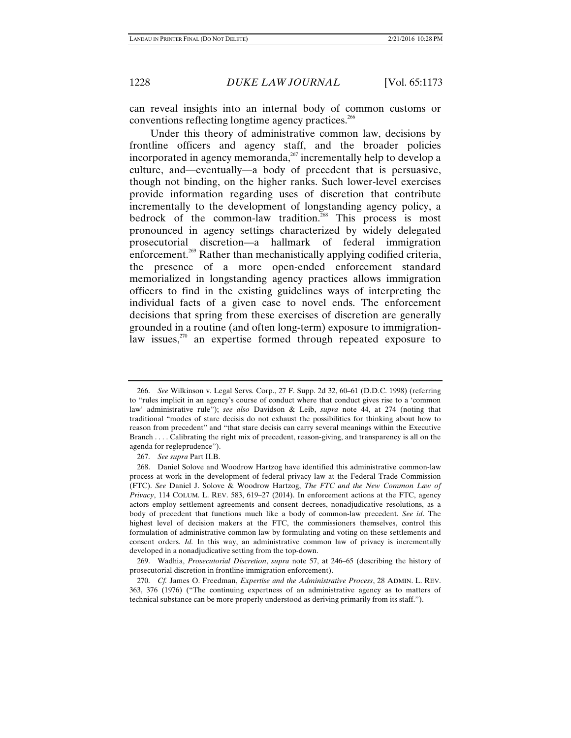can reveal insights into an internal body of common customs or conventions reflecting longtime agency practices.<sup>266</sup>

Under this theory of administrative common law, decisions by frontline officers and agency staff, and the broader policies incorporated in agency memoranda, $^{267}$  incrementally help to develop a culture, and—eventually—a body of precedent that is persuasive, though not binding, on the higher ranks. Such lower-level exercises provide information regarding uses of discretion that contribute incrementally to the development of longstanding agency policy, a bedrock of the common-law tradition.<sup>268</sup> This process is most pronounced in agency settings characterized by widely delegated prosecutorial discretion—a hallmark of federal immigration enforcement.<sup>269</sup> Rather than mechanistically applying codified criteria, the presence of a more open-ended enforcement standard memorialized in longstanding agency practices allows immigration officers to find in the existing guidelines ways of interpreting the individual facts of a given case to novel ends. The enforcement decisions that spring from these exercises of discretion are generally grounded in a routine (and often long-term) exposure to immigrationlaw issues, $270$  an expertise formed through repeated exposure to

 <sup>266.</sup> *See* Wilkinson v. Legal Servs. Corp., 27 F. Supp. 2d 32, 60–61 (D.D.C. 1998) (referring to "rules implicit in an agency's course of conduct where that conduct gives rise to a 'common law' administrative rule"); *see also* Davidson & Leib, *supra* note 44, at 274 (noting that traditional "modes of stare decisis do not exhaust the possibilities for thinking about how to reason from precedent" and "that stare decisis can carry several meanings within the Executive Branch . . . . Calibrating the right mix of precedent, reason-giving, and transparency is all on the agenda for regleprudence").

 <sup>267.</sup> *See supra* Part II.B.

 <sup>268.</sup> Daniel Solove and Woodrow Hartzog have identified this administrative common-law process at work in the development of federal privacy law at the Federal Trade Commission (FTC). *See* Daniel J. Solove & Woodrow Hartzog, *The FTC and the New Common Law of Privacy*, 114 COLUM. L. REV. 583, 619–27 (2014). In enforcement actions at the FTC, agency actors employ settlement agreements and consent decrees, nonadjudicative resolutions, as a body of precedent that functions much like a body of common-law precedent. *See id*. The highest level of decision makers at the FTC, the commissioners themselves, control this formulation of administrative common law by formulating and voting on these settlements and consent orders. *Id.* In this way, an administrative common law of privacy is incrementally developed in a nonadjudicative setting from the top-down.

 <sup>269.</sup> Wadhia, *Prosecutorial Discretion*, *supra* note 57, at 246–65 (describing the history of prosecutorial discretion in frontline immigration enforcement).

 <sup>270.</sup> *Cf.* James O. Freedman, *Expertise and the Administrative Process*, 28 ADMIN. L. REV. 363, 376 (1976) ("The continuing expertness of an administrative agency as to matters of technical substance can be more properly understood as deriving primarily from its staff.").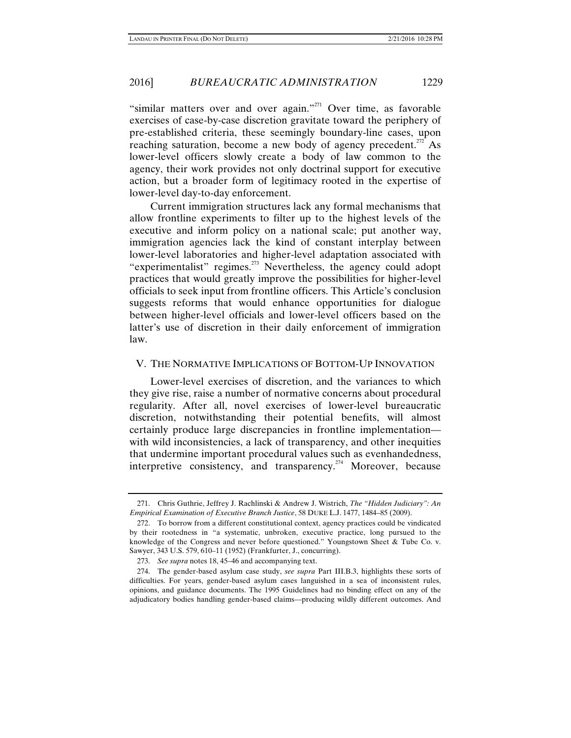"similar matters over and over again."<sup>271</sup> Over time, as favorable exercises of case-by-case discretion gravitate toward the periphery of pre-established criteria, these seemingly boundary-line cases, upon reaching saturation, become a new body of agency precedent.<sup>272</sup> As lower-level officers slowly create a body of law common to the agency, their work provides not only doctrinal support for executive action, but a broader form of legitimacy rooted in the expertise of lower-level day-to-day enforcement.

Current immigration structures lack any formal mechanisms that allow frontline experiments to filter up to the highest levels of the executive and inform policy on a national scale; put another way, immigration agencies lack the kind of constant interplay between lower-level laboratories and higher-level adaptation associated with "experimentalist" regimes.<sup>273</sup> Nevertheless, the agency could adopt practices that would greatly improve the possibilities for higher-level officials to seek input from frontline officers. This Article's conclusion suggests reforms that would enhance opportunities for dialogue between higher-level officials and lower-level officers based on the latter's use of discretion in their daily enforcement of immigration law.

#### V. THE NORMATIVE IMPLICATIONS OF BOTTOM-UP INNOVATION

Lower-level exercises of discretion, and the variances to which they give rise, raise a number of normative concerns about procedural regularity. After all, novel exercises of lower-level bureaucratic discretion, notwithstanding their potential benefits, will almost certainly produce large discrepancies in frontline implementation with wild inconsistencies, a lack of transparency, and other inequities that undermine important procedural values such as evenhandedness, interpretive consistency, and transparency.<sup>274</sup> Moreover, because

 <sup>271.</sup> Chris Guthrie, Jeffrey J. Rachlinski & Andrew J. Wistrich, *The "Hidden Judiciary": An Empirical Examination of Executive Branch Justice*, 58 DUKE L.J. 1477, 1484–85 (2009).

 <sup>272.</sup> To borrow from a different constitutional context, agency practices could be vindicated by their rootedness in "a systematic, unbroken, executive practice, long pursued to the knowledge of the Congress and never before questioned." Youngstown Sheet & Tube Co. v. Sawyer, 343 U.S. 579, 610–11 (1952) (Frankfurter, J., concurring).

 <sup>273.</sup> *See supra* notes 18, 45–46 and accompanying text.

 <sup>274.</sup> The gender-based asylum case study, *see supra* Part III.B.3, highlights these sorts of difficulties. For years, gender-based asylum cases languished in a sea of inconsistent rules, opinions, and guidance documents. The 1995 Guidelines had no binding effect on any of the adjudicatory bodies handling gender-based claims—producing wildly different outcomes. And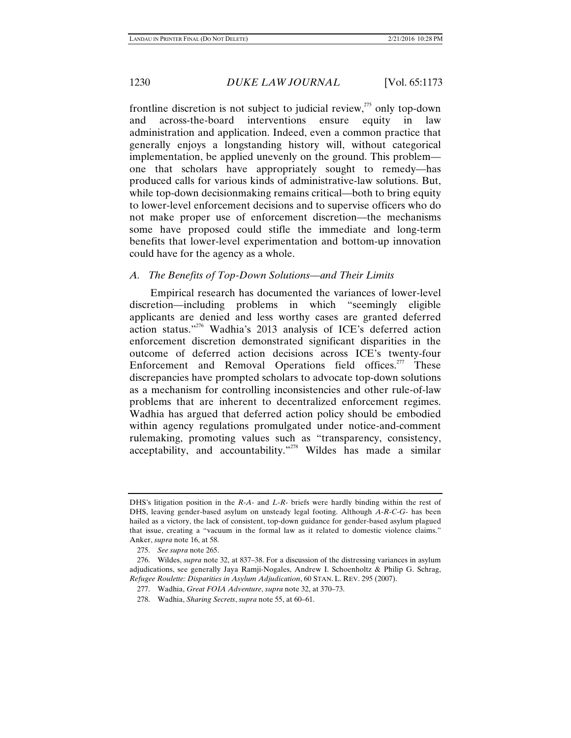frontline discretion is not subject to judicial review, $^{275}$  only top-down and across-the-board interventions ensure equity in law administration and application. Indeed, even a common practice that generally enjoys a longstanding history will, without categorical implementation, be applied unevenly on the ground. This problem one that scholars have appropriately sought to remedy—has produced calls for various kinds of administrative-law solutions. But, while top-down decisionmaking remains critical—both to bring equity to lower-level enforcement decisions and to supervise officers who do not make proper use of enforcement discretion—the mechanisms some have proposed could stifle the immediate and long-term benefits that lower-level experimentation and bottom-up innovation could have for the agency as a whole.

### *A. The Benefits of Top-Down Solutions—and Their Limits*

Empirical research has documented the variances of lower-level discretion—including problems in which "seemingly eligible applicants are denied and less worthy cases are granted deferred action status."276 Wadhia's 2013 analysis of ICE's deferred action enforcement discretion demonstrated significant disparities in the outcome of deferred action decisions across ICE's twenty-four Enforcement and Removal Operations field offices.<sup>277</sup> These discrepancies have prompted scholars to advocate top-down solutions as a mechanism for controlling inconsistencies and other rule-of-law problems that are inherent to decentralized enforcement regimes. Wadhia has argued that deferred action policy should be embodied within agency regulations promulgated under notice-and-comment rulemaking, promoting values such as "transparency, consistency, acceptability, and accountability."278 Wildes has made a similar

DHS's litigation position in the *R-A-* and *L-R-* briefs were hardly binding within the rest of DHS, leaving gender-based asylum on unsteady legal footing. Although *A-R-C-G-* has been hailed as a victory, the lack of consistent, top-down guidance for gender-based asylum plagued that issue, creating a "vacuum in the formal law as it related to domestic violence claims." Anker, *supra* note 16, at 58.

 <sup>275.</sup> *See supra* note 265.

 <sup>276.</sup> Wildes, *supra* note 32, at 837–38. For a discussion of the distressing variances in asylum adjudications, see generally Jaya Ramji-Nogales, Andrew I. Schoenholtz & Philip G. Schrag, *Refugee Roulette: Disparities in Asylum Adjudication*, 60 STAN. L. REV. 295 (2007).

 <sup>277.</sup> Wadhia, *Great FOIA Adventure*, *supra* note 32, at 370–73.

 <sup>278.</sup> Wadhia, *Sharing Secrets*, *supra* note 55, at 60–61.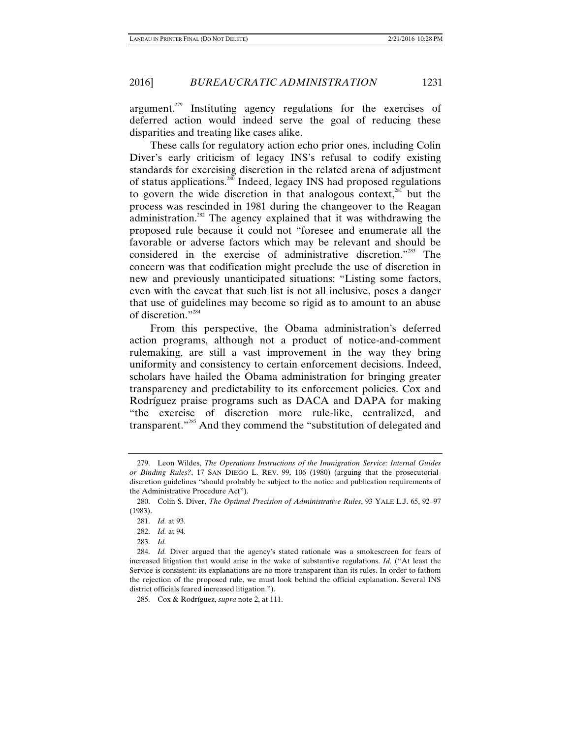argument.<sup> $279$ </sup> Instituting agency regulations for the exercises of deferred action would indeed serve the goal of reducing these disparities and treating like cases alike.

These calls for regulatory action echo prior ones, including Colin Diver's early criticism of legacy INS's refusal to codify existing standards for exercising discretion in the related arena of adjustment of status applications.<sup>280</sup> Indeed, legacy INS had proposed regulations to govern the wide discretion in that analogous context, $281$  but the process was rescinded in 1981 during the changeover to the Reagan administration.282 The agency explained that it was withdrawing the proposed rule because it could not "foresee and enumerate all the favorable or adverse factors which may be relevant and should be considered in the exercise of administrative discretion."283 The concern was that codification might preclude the use of discretion in new and previously unanticipated situations: "Listing some factors, even with the caveat that such list is not all inclusive, poses a danger that use of guidelines may become so rigid as to amount to an abuse of discretion."284

From this perspective, the Obama administration's deferred action programs, although not a product of notice-and-comment rulemaking, are still a vast improvement in the way they bring uniformity and consistency to certain enforcement decisions. Indeed, scholars have hailed the Obama administration for bringing greater transparency and predictability to its enforcement policies. Cox and Rodríguez praise programs such as DACA and DAPA for making "the exercise of discretion more rule-like, centralized, and transparent."<sup>285</sup> And they commend the "substitution of delegated and

 <sup>279.</sup> Leon Wildes, *The Operations Instructions of the Immigration Service: Internal Guides or Binding Rules?*, 17 SAN DIEGO L. REV. 99, 106 (1980) (arguing that the prosecutorialdiscretion guidelines "should probably be subject to the notice and publication requirements of the Administrative Procedure Act").

 <sup>280.</sup> Colin S. Diver, *The Optimal Precision of Administrative Rules*, 93 YALE L.J. 65, 92–97 (1983).

 <sup>281.</sup> *Id.* at 93.

 <sup>282.</sup> *Id.* at 94.

<sup>283.</sup> *Id.*

 <sup>284.</sup> *Id.* Diver argued that the agency's stated rationale was a smokescreen for fears of increased litigation that would arise in the wake of substantive regulations. *Id.* ("At least the Service is consistent: its explanations are no more transparent than its rules. In order to fathom the rejection of the proposed rule, we must look behind the official explanation. Several INS district officials feared increased litigation.").

 <sup>285.</sup> Cox & Rodríguez, *supra* note 2, at 111.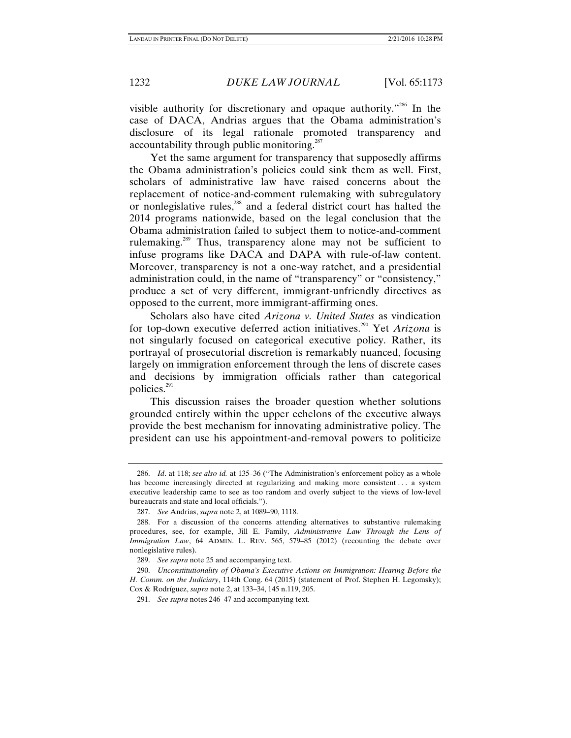visible authority for discretionary and opaque authority."<sup>286</sup> In the case of DACA, Andrias argues that the Obama administration's disclosure of its legal rationale promoted transparency and accountability through public monitoring. $287$ 

Yet the same argument for transparency that supposedly affirms the Obama administration's policies could sink them as well. First, scholars of administrative law have raised concerns about the replacement of notice-and-comment rulemaking with subregulatory or nonlegislative rules,288 and a federal district court has halted the 2014 programs nationwide, based on the legal conclusion that the Obama administration failed to subject them to notice-and-comment rulemaking.289 Thus, transparency alone may not be sufficient to infuse programs like DACA and DAPA with rule-of-law content. Moreover, transparency is not a one-way ratchet, and a presidential administration could, in the name of "transparency" or "consistency," produce a set of very different, immigrant-unfriendly directives as opposed to the current, more immigrant-affirming ones.

Scholars also have cited *Arizona v. United States* as vindication for top-down executive deferred action initiatives.<sup>290</sup> Yet Arizona is not singularly focused on categorical executive policy. Rather, its portrayal of prosecutorial discretion is remarkably nuanced, focusing largely on immigration enforcement through the lens of discrete cases and decisions by immigration officials rather than categorical policies.<sup>291</sup>

This discussion raises the broader question whether solutions grounded entirely within the upper echelons of the executive always provide the best mechanism for innovating administrative policy. The president can use his appointment-and-removal powers to politicize

 <sup>286.</sup> *Id*. at 118; *see also id.* at 135–36 ("The Administration's enforcement policy as a whole has become increasingly directed at regularizing and making more consistent . . . a system executive leadership came to see as too random and overly subject to the views of low-level bureaucrats and state and local officials.").

 <sup>287.</sup> *See* Andrias, *supra* note 2, at 1089–90, 1118.

 <sup>288.</sup> For a discussion of the concerns attending alternatives to substantive rulemaking procedures, see, for example, Jill E. Family, *Administrative Law Through the Lens of Immigration Law*, 64 ADMIN. L. REV. 565, 579–85 (2012) (recounting the debate over nonlegislative rules).

 <sup>289.</sup> *See supra* note 25 and accompanying text.

 <sup>290.</sup> *Unconstitutionality of Obama's Executive Actions on Immigration: Hearing Before the H. Comm. on the Judiciary*, 114th Cong. 64 (2015) (statement of Prof. Stephen H. Legomsky); Cox & Rodríguez, *supra* note 2, at 133–34, 145 n.119, 205.

 <sup>291.</sup> *See supra* notes 246–47 and accompanying text.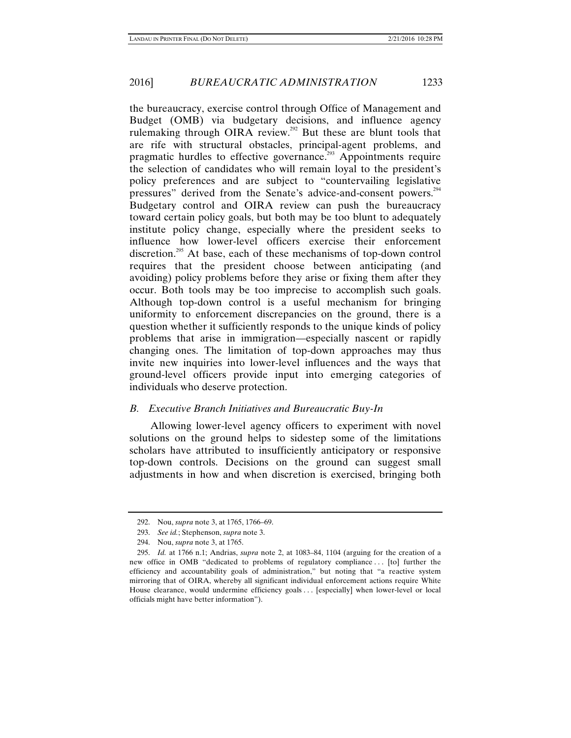the bureaucracy, exercise control through Office of Management and Budget (OMB) via budgetary decisions, and influence agency rulemaking through OIRA review.<sup>292</sup> But these are blunt tools that are rife with structural obstacles, principal-agent problems, and pragmatic hurdles to effective governance.<sup>293</sup> Appointments require the selection of candidates who will remain loyal to the president's policy preferences and are subject to "countervailing legislative pressures" derived from the Senate's advice-and-consent powers.<sup>294</sup> Budgetary control and OIRA review can push the bureaucracy toward certain policy goals, but both may be too blunt to adequately institute policy change, especially where the president seeks to influence how lower-level officers exercise their enforcement discretion.<sup>295</sup> At base, each of these mechanisms of top-down control requires that the president choose between anticipating (and avoiding) policy problems before they arise or fixing them after they occur. Both tools may be too imprecise to accomplish such goals. Although top-down control is a useful mechanism for bringing uniformity to enforcement discrepancies on the ground, there is a question whether it sufficiently responds to the unique kinds of policy problems that arise in immigration—especially nascent or rapidly changing ones. The limitation of top-down approaches may thus invite new inquiries into lower-level influences and the ways that ground-level officers provide input into emerging categories of individuals who deserve protection.

## *B. Executive Branch Initiatives and Bureaucratic Buy-In*

Allowing lower-level agency officers to experiment with novel solutions on the ground helps to sidestep some of the limitations scholars have attributed to insufficiently anticipatory or responsive top-down controls. Decisions on the ground can suggest small adjustments in how and when discretion is exercised, bringing both

 <sup>292.</sup> Nou, *supra* note 3, at 1765, 1766–69.

 <sup>293.</sup> *See id.*; Stephenson, *supra* note 3.

 <sup>294.</sup> Nou, *supra* note 3, at 1765.

 <sup>295.</sup> *Id.* at 1766 n.1; Andrias, *supra* note 2, at 1083–84, 1104 (arguing for the creation of a new office in OMB "dedicated to problems of regulatory compliance... [to] further the efficiency and accountability goals of administration," but noting that "a reactive system mirroring that of OIRA, whereby all significant individual enforcement actions require White House clearance, would undermine efficiency goals . . . [especially] when lower-level or local officials might have better information").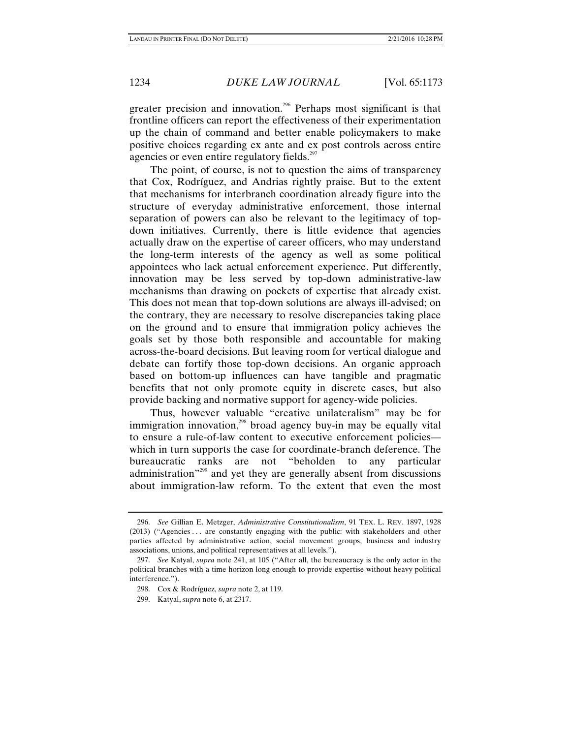greater precision and innovation.<sup>296</sup> Perhaps most significant is that frontline officers can report the effectiveness of their experimentation up the chain of command and better enable policymakers to make positive choices regarding ex ante and ex post controls across entire agencies or even entire regulatory fields.<sup>297</sup>

The point, of course, is not to question the aims of transparency that Cox, Rodríguez, and Andrias rightly praise. But to the extent that mechanisms for interbranch coordination already figure into the structure of everyday administrative enforcement, those internal separation of powers can also be relevant to the legitimacy of topdown initiatives. Currently, there is little evidence that agencies actually draw on the expertise of career officers, who may understand the long-term interests of the agency as well as some political appointees who lack actual enforcement experience. Put differently, innovation may be less served by top-down administrative-law mechanisms than drawing on pockets of expertise that already exist. This does not mean that top-down solutions are always ill-advised; on the contrary, they are necessary to resolve discrepancies taking place on the ground and to ensure that immigration policy achieves the goals set by those both responsible and accountable for making across-the-board decisions. But leaving room for vertical dialogue and debate can fortify those top-down decisions. An organic approach based on bottom-up influences can have tangible and pragmatic benefits that not only promote equity in discrete cases, but also provide backing and normative support for agency-wide policies.

Thus, however valuable "creative unilateralism" may be for immigration innovation,<sup>298</sup> broad agency buy-in may be equally vital to ensure a rule-of-law content to executive enforcement policies which in turn supports the case for coordinate-branch deference. The bureaucratic ranks are not "beholden to any particular administration<sup>"299</sup> and yet they are generally absent from discussions about immigration-law reform. To the extent that even the most

 <sup>296.</sup> *See* Gillian E. Metzger, *Administrative Constitutionalism*, 91 TEX. L. REV. 1897, 1928 (2013) ("Agencies . . . are constantly engaging with the public: with stakeholders and other parties affected by administrative action, social movement groups, business and industry associations, unions, and political representatives at all levels.").

 <sup>297.</sup> *See* Katyal, *supra* note 241, at 105 ("After all, the bureaucracy is the only actor in the political branches with a time horizon long enough to provide expertise without heavy political interference.").

 <sup>298.</sup> Cox & Rodríguez, *supra* note 2, at 119.

 <sup>299.</sup> Katyal, *supra* note 6, at 2317.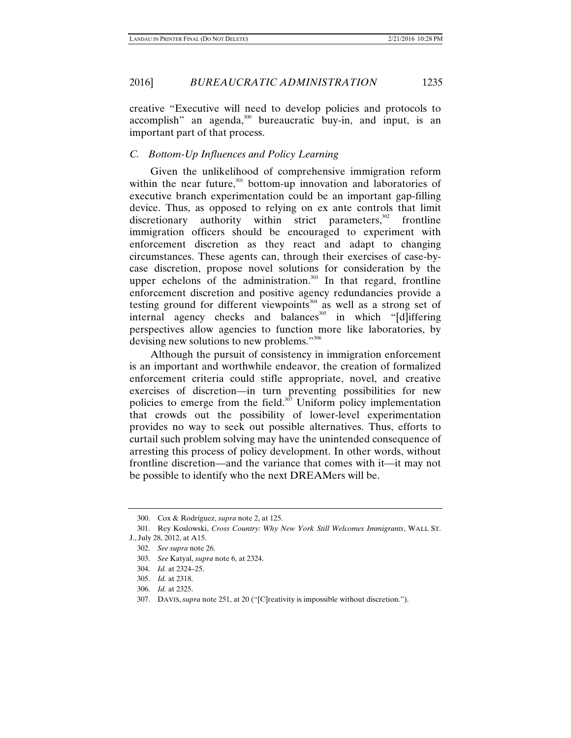creative "Executive will need to develop policies and protocols to accomplish" an agenda,<sup>300</sup> bureaucratic buy-in, and input, is an important part of that process.

### *C. Bottom-Up Influences and Policy Learning*

Given the unlikelihood of comprehensive immigration reform within the near future, $301$  bottom-up innovation and laboratories of executive branch experimentation could be an important gap-filling device. Thus, as opposed to relying on ex ante controls that limit discretionary authority within strict parameters, $302$  frontline immigration officers should be encouraged to experiment with enforcement discretion as they react and adapt to changing circumstances. These agents can, through their exercises of case-bycase discretion, propose novel solutions for consideration by the upper echelons of the administration.<sup>303</sup> In that regard, frontline enforcement discretion and positive agency redundancies provide a testing ground for different viewpoints<sup>304</sup> as well as a strong set of  $internal$  agency checks and balances<sup>305</sup> in which "[d]iffering perspectives allow agencies to function more like laboratories, by devising new solutions to new problems."<sup>306</sup>

Although the pursuit of consistency in immigration enforcement is an important and worthwhile endeavor, the creation of formalized enforcement criteria could stifle appropriate, novel, and creative exercises of discretion—in turn preventing possibilities for new policies to emerge from the field.<sup>307</sup> Uniform policy implementation that crowds out the possibility of lower-level experimentation provides no way to seek out possible alternatives. Thus, efforts to curtail such problem solving may have the unintended consequence of arresting this process of policy development. In other words, without frontline discretion—and the variance that comes with it—it may not be possible to identify who the next DREAMers will be.

 <sup>300.</sup> Cox & Rodríguez, *supra* note 2, at 125.

 <sup>301.</sup> Rey Koslowski, *Cross Country: Why New York Still Welcomes Immigrants*, WALL ST. J., July 28, 2012, at A15.

 <sup>302.</sup> *See supra* note 26.

 <sup>303.</sup> *See* Katyal, *supra* note 6, at 2324.

 <sup>304.</sup> *Id.* at 2324–25.

 <sup>305.</sup> *Id.* at 2318.

 <sup>306.</sup> *Id.* at 2325.

 <sup>307.</sup> DAVIS, *supra* note 251, at 20 ("[C]reativity is impossible without discretion.").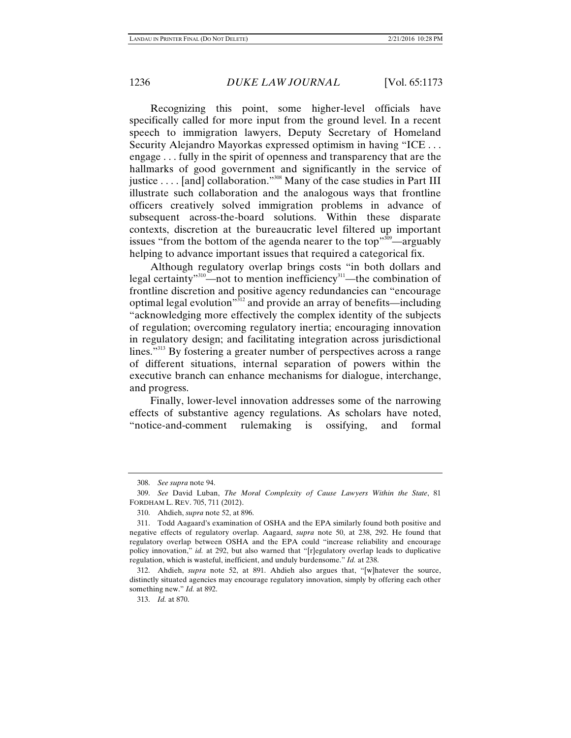Recognizing this point, some higher-level officials have specifically called for more input from the ground level. In a recent speech to immigration lawyers, Deputy Secretary of Homeland Security Alejandro Mayorkas expressed optimism in having "ICE . . . engage . . . fully in the spirit of openness and transparency that are the hallmarks of good government and significantly in the service of justice  $\dots$  [and] collaboration."<sup>308</sup> Many of the case studies in Part III illustrate such collaboration and the analogous ways that frontline officers creatively solved immigration problems in advance of subsequent across-the-board solutions. Within these disparate contexts, discretion at the bureaucratic level filtered up important issues "from the bottom of the agenda nearer to the top"  $\frac{309}{2}$  arguably helping to advance important issues that required a categorical fix.

Although regulatory overlap brings costs "in both dollars and legal certainty"<sup>310</sup>—not to mention inefficiency<sup>311</sup>—the combination of frontline discretion and positive agency redundancies can "encourage optimal legal evolution<sup> $312$ </sup> and provide an array of benefits—including "acknowledging more effectively the complex identity of the subjects of regulation; overcoming regulatory inertia; encouraging innovation in regulatory design; and facilitating integration across jurisdictional lines."<sup>313</sup> By fostering a greater number of perspectives across a range of different situations, internal separation of powers within the executive branch can enhance mechanisms for dialogue, interchange, and progress.

Finally, lower-level innovation addresses some of the narrowing effects of substantive agency regulations. As scholars have noted, "notice-and-comment rulemaking is ossifying, and formal

 <sup>308.</sup> *See supra* note 94.

 <sup>309.</sup> *See* David Luban, *The Moral Complexity of Cause Lawyers Within the State*, 81 FORDHAM L. REV. 705, 711 (2012).

 <sup>310.</sup> Ahdieh, *supra* note 52, at 896.

 <sup>311.</sup> Todd Aagaard's examination of OSHA and the EPA similarly found both positive and negative effects of regulatory overlap. Aagaard, *supra* note 50, at 238, 292. He found that regulatory overlap between OSHA and the EPA could "increase reliability and encourage policy innovation," *id.* at 292, but also warned that "[r]egulatory overlap leads to duplicative regulation, which is wasteful, inefficient, and unduly burdensome." *Id.* at 238.

 <sup>312.</sup> Ahdieh, *supra* note 52, at 891. Ahdieh also argues that, "[w]hatever the source, distinctly situated agencies may encourage regulatory innovation, simply by offering each other something new." *Id.* at 892.

 <sup>313.</sup> *Id.* at 870.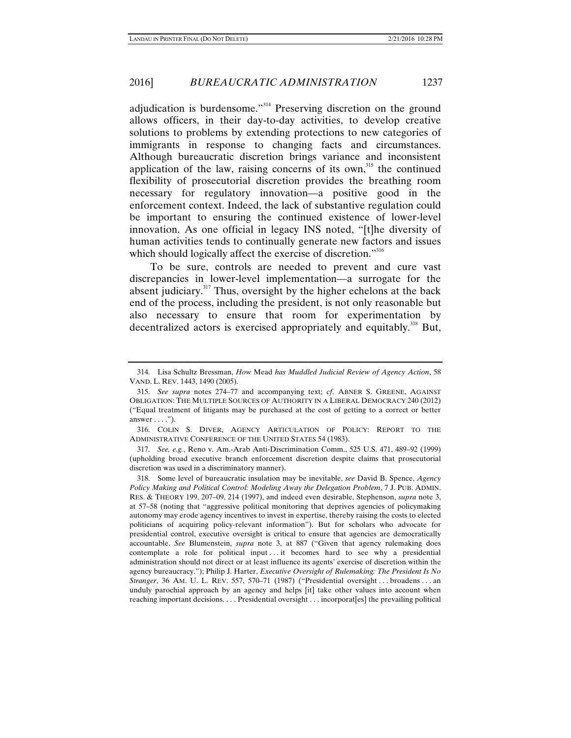adjudication is burdensome."<sup>314</sup> Preserving discretion on the ground allows officers, in their day-to-day activities, to develop creative solutions to problems by extending protections to new categories of immigrants in response to changing facts and circumstances. Although bureaucratic discretion brings variance and inconsistent application of the law, raising concerns of its own, $315$  the continued flexibility of prosecutorial discretion provides the breathing room necessary for regulatory innovation—a positive good in the enforcement context. Indeed, the lack of substantive regulation could be important to ensuring the continued existence of lower-level innovation. As one official in legacy INS noted, "[t]he diversity of human activities tends to continually generate new factors and issues which should logically affect the exercise of discretion."<sup>316</sup>

To be sure, controls are needed to prevent and cure vast discrepancies in lower-level implementation—a surrogate for the absent judiciary.<sup>317</sup> Thus, oversight by the higher echelons at the back end of the process, including the president, is not only reasonable but also necessary to ensure that room for experimentation by decentralized actors is exercised appropriately and equitably.<sup>318</sup> But,

 317. *See, e.g.*, Reno v. Am.-Arab Anti-Discrimination Comm., 525 U.S. 471, 489–92 (1999) (upholding broad executive branch enforcement discretion despite claims that prosecutorial discretion was used in a discriminatory manner).

 318. Some level of bureaucratic insulation may be inevitable, *see* David B. Spence, *Agency Policy Making and Political Control: Modeling Away the Delegation Problem*, 7 J. PUB. ADMIN. RES. & THEORY 199, 207–09, 214 (1997), and indeed even desirable, Stephenson, *supra* note 3, at 57–58 (noting that "aggressive political monitoring that deprives agencies of policymaking autonomy may erode agency incentives to invest in expertise, thereby raising the costs to elected politicians of acquiring policy-relevant information"). But for scholars who advocate for presidential control, executive oversight is critical to ensure that agencies are democratically accountable. *See* Blumenstein, *supra* note 3, at 887 ("Given that agency rulemaking does contemplate a role for political input . . . it becomes hard to see why a presidential administration should not direct or at least influence its agents' exercise of discretion within the agency bureaucracy."); Philip J. Harter, *Executive Oversight of Rulemaking: The President Is No Stranger*, 36 AM. U. L. REV. 557, 570–71 (1987) ("Presidential oversight . . . broadens . . . an unduly parochial approach by an agency and helps [it] take other values into account when reaching important decisions. . . . Presidential oversight . . . incorporat[es] the prevailing political

 <sup>314.</sup> Lisa Schultz Bressman, *How* Mead *has Muddled Judicial Review of Agency Action*, 58 VAND. L. REV. 1443, 1490 (2005).

 <sup>315.</sup> *See supra* notes 274–77 and accompanying text; *cf*. ABNER S. GREENE, AGAINST OBLIGATION: THE MULTIPLE SOURCES OF AUTHORITY IN A LIBERAL DEMOCRACY 240 (2012) ("Equal treatment of litigants may be purchased at the cost of getting to a correct or better answer  $\dots$ .").

 <sup>316.</sup> COLIN S. DIVER, AGENCY ARTICULATION OF POLICY: REPORT TO THE ADMINISTRATIVE CONFERENCE OF THE UNITED STATES 54 (1983).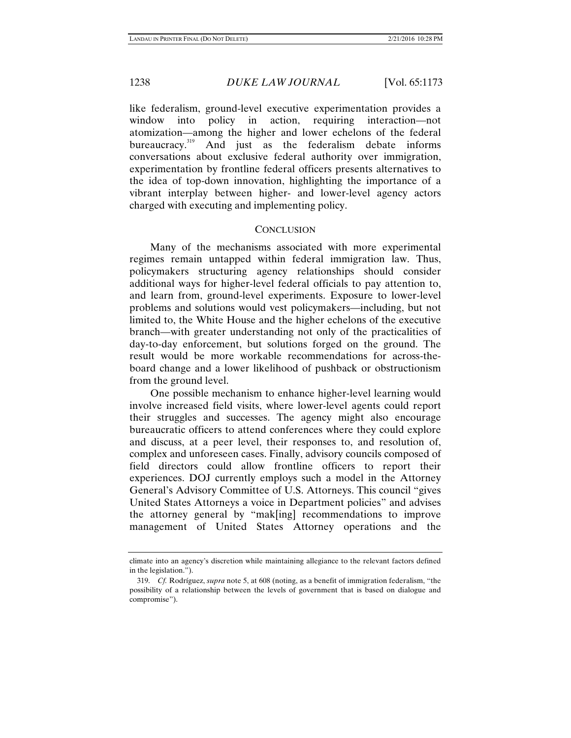like federalism, ground-level executive experimentation provides a window into policy in action, requiring interaction—not atomization—among the higher and lower echelons of the federal bureaucracy.<sup>319</sup> And just as the federalism debate informs conversations about exclusive federal authority over immigration, experimentation by frontline federal officers presents alternatives to the idea of top-down innovation, highlighting the importance of a vibrant interplay between higher- and lower-level agency actors charged with executing and implementing policy.

### **CONCLUSION**

Many of the mechanisms associated with more experimental regimes remain untapped within federal immigration law. Thus, policymakers structuring agency relationships should consider additional ways for higher-level federal officials to pay attention to, and learn from, ground-level experiments. Exposure to lower-level problems and solutions would vest policymakers—including, but not limited to, the White House and the higher echelons of the executive branch—with greater understanding not only of the practicalities of day-to-day enforcement, but solutions forged on the ground. The result would be more workable recommendations for across-theboard change and a lower likelihood of pushback or obstructionism from the ground level.

One possible mechanism to enhance higher-level learning would involve increased field visits, where lower-level agents could report their struggles and successes. The agency might also encourage bureaucratic officers to attend conferences where they could explore and discuss, at a peer level, their responses to, and resolution of, complex and unforeseen cases. Finally, advisory councils composed of field directors could allow frontline officers to report their experiences. DOJ currently employs such a model in the Attorney General's Advisory Committee of U.S. Attorneys. This council "gives United States Attorneys a voice in Department policies" and advises the attorney general by "mak[ing] recommendations to improve management of United States Attorney operations and the

climate into an agency's discretion while maintaining allegiance to the relevant factors defined in the legislation.").

 <sup>319.</sup> *Cf.* Rodríguez, *supra* note 5, at 608 (noting, as a benefit of immigration federalism, "the possibility of a relationship between the levels of government that is based on dialogue and compromise").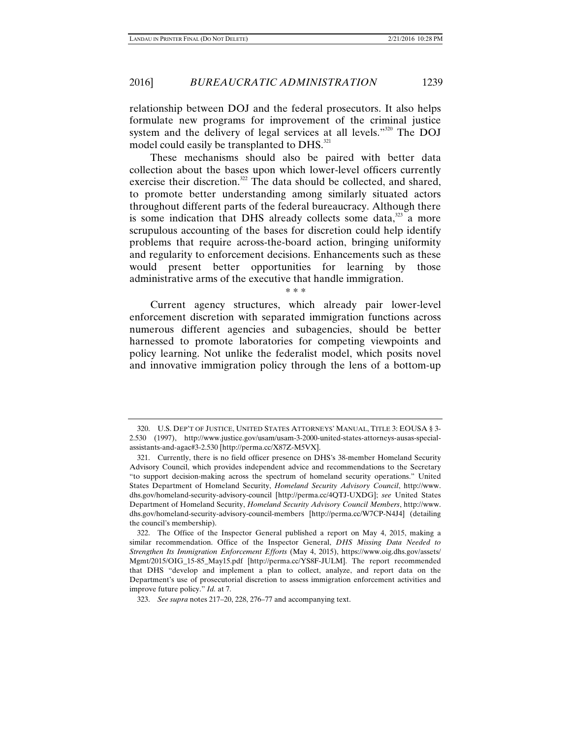relationship between DOJ and the federal prosecutors. It also helps formulate new programs for improvement of the criminal justice system and the delivery of legal services at all levels."320 The DOJ model could easily be transplanted to DHS.<sup>321</sup>

These mechanisms should also be paired with better data collection about the bases upon which lower-level officers currently exercise their discretion.<sup>322</sup> The data should be collected, and shared, to promote better understanding among similarly situated actors throughout different parts of the federal bureaucracy. Although there is some indication that DHS already collects some data, $323$  a more scrupulous accounting of the bases for discretion could help identify problems that require across-the-board action, bringing uniformity and regularity to enforcement decisions. Enhancements such as these would present better opportunities for learning by those administrative arms of the executive that handle immigration.

\* \* \*

Current agency structures, which already pair lower-level enforcement discretion with separated immigration functions across numerous different agencies and subagencies, should be better harnessed to promote laboratories for competing viewpoints and policy learning. Not unlike the federalist model, which posits novel and innovative immigration policy through the lens of a bottom-up

 <sup>320.</sup> U.S. DEP'T OF JUSTICE, UNITED STATES ATTORNEYS' MANUAL, TITLE 3: EOUSA § 3- 2.530 (1997), http://www.justice.gov/usam/usam-3-2000-united-states-attorneys-ausas-specialassistants-and-agac#3-2.530 [http://perma.cc/X87Z-M5VX].

 <sup>321.</sup> Currently, there is no field officer presence on DHS's 38-member Homeland Security Advisory Council, which provides independent advice and recommendations to the Secretary "to support decision-making across the spectrum of homeland security operations." United States Department of Homeland Security, *Homeland Security Advisory Council*, http://www. dhs.gov/homeland-security-advisory-council [http://perma.cc/4QTJ-UXDG]; *see* United States Department of Homeland Security, *Homeland Security Advisory Council Members*, http://www. dhs.gov/homeland-security-advisory-council-members [http://perma.cc/W7CP-N4J4] (detailing the council's membership).

 <sup>322.</sup> The Office of the Inspector General published a report on May 4, 2015, making a similar recommendation. Office of the Inspector General, *DHS Missing Data Needed to Strengthen Its Immigration Enforcement Efforts* (May 4, 2015), https://www.oig.dhs.gov/assets/ Mgmt/2015/OIG\_15-85\_May15.pdf [http://perma.cc/YS8F-JULM]. The report recommended that DHS "develop and implement a plan to collect, analyze, and report data on the Department's use of prosecutorial discretion to assess immigration enforcement activities and improve future policy." *Id.* at 7.

 <sup>323.</sup> *See supra* notes 217–20, 228, 276–77 and accompanying text.